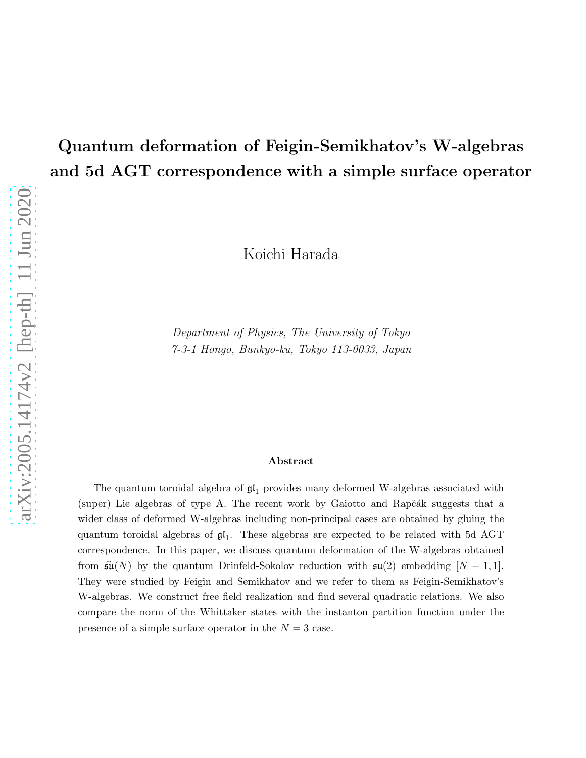## Quantum deformation of Feigin-Semikhatov's W-algebras and 5d AGT correspondence with a simple surface operator

Koichi Harada

Department of Physics, The University of Tokyo 7-3-1 Hongo, Bunkyo-ku, Tokyo 113-0033, Japan

#### Abstract

The quantum toroidal algebra of  $\mathfrak{gl}_1$  provides many deformed W-algebras associated with (super) Lie algebras of type A. The recent work by Gaiotto and Rapčák suggests that a wider class of deformed W-algebras including non-principal cases are obtained by gluing the quantum toroidal algebras of  $\mathfrak{gl}_1$ . These algebras are expected to be related with 5d AGT correspondence. In this paper, we discuss quantum deformation of the W-algebras obtained from  $\widehat{\mathfrak{su}}(N)$  by the quantum Drinfeld-Sokolov reduction with  $\mathfrak{su}(2)$  embedding  $[N-1,1]$ . They were studied by Feigin and Semikhatov and we refer to them as Feigin-Semikhatov's W-algebras. We construct free field realization and find several quadratic relations. We also compare the norm of the Whittaker states with the instanton partition function under the presence of a simple surface operator in the  $N = 3$  case.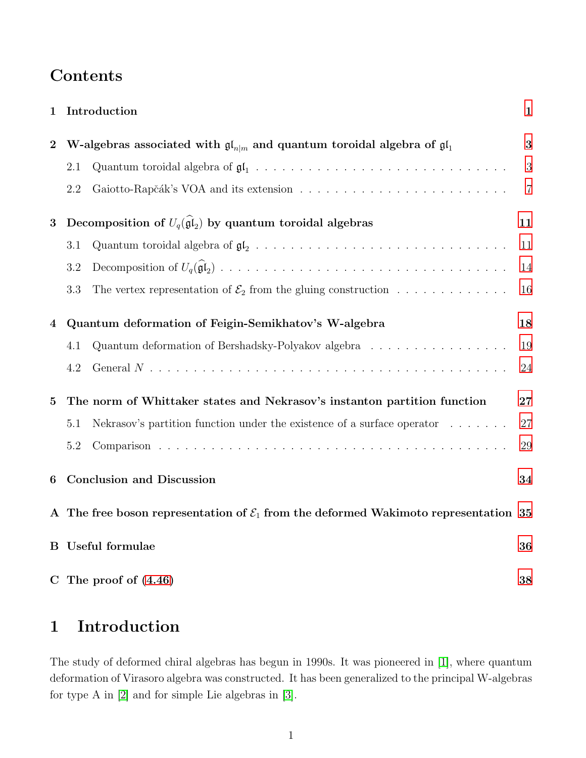## Contents

| $\mathbf{1}$     |                                                                                                    | Introduction                                                                                            | $\mathbf{1}$   |
|------------------|----------------------------------------------------------------------------------------------------|---------------------------------------------------------------------------------------------------------|----------------|
| $\boldsymbol{2}$ | W-algebras associated with $\mathfrak{gl}_{n m}$ and quantum toroidal algebra of $\mathfrak{gl}_1$ |                                                                                                         | 3              |
|                  | 2.1                                                                                                |                                                                                                         | 3              |
|                  | $2.2\,$                                                                                            | Gaiotto-Rapčák's VOA and its extension $\ldots \ldots \ldots \ldots \ldots \ldots \ldots \ldots \ldots$ | $\overline{7}$ |
| 3                |                                                                                                    | Decomposition of $U_q(\widehat{\mathfrak{gl}}_2)$ by quantum toroidal algebras                          | 11             |
|                  | 3.1                                                                                                |                                                                                                         | 11             |
|                  | 3.2                                                                                                |                                                                                                         | 14             |
|                  | 3.3                                                                                                | The vertex representation of $\mathcal{E}_2$ from the gluing construction                               | 16             |
| 4                | Quantum deformation of Feigin-Semikhatov's W-algebra                                               |                                                                                                         | 18             |
|                  | 4.1                                                                                                | Quantum deformation of Bershadsky-Polyakov algebra                                                      | 19             |
|                  | 4.2                                                                                                |                                                                                                         | 24             |
| $\mathbf{5}$     | The norm of Whittaker states and Nekrasov's instanton partition function                           |                                                                                                         | 27             |
|                  | 5.1                                                                                                | Nekrasov's partition function under the existence of a surface operator                                 | 27             |
|                  | 5.2                                                                                                |                                                                                                         | $\,29$         |
| 6                | <b>Conclusion and Discussion</b>                                                                   |                                                                                                         | 34             |
|                  |                                                                                                    | A The free boson representation of $\mathcal{E}_1$ from the deformed Wakimoto representation 35         |                |
|                  | <b>B</b> Useful formulae                                                                           |                                                                                                         | 36             |
|                  |                                                                                                    | C The proof of $(4.46)$                                                                                 | 38             |

## <span id="page-1-0"></span>1 Introduction

The study of deformed chiral algebras has begun in 1990s. It was pioneered in [\[1\]](#page-40-0), where quantum deformation of Virasoro algebra was constructed. It has been generalized to the principal W-algebras for type A in [\[2\]](#page-40-1) and for simple Lie algebras in [\[3\]](#page-40-2).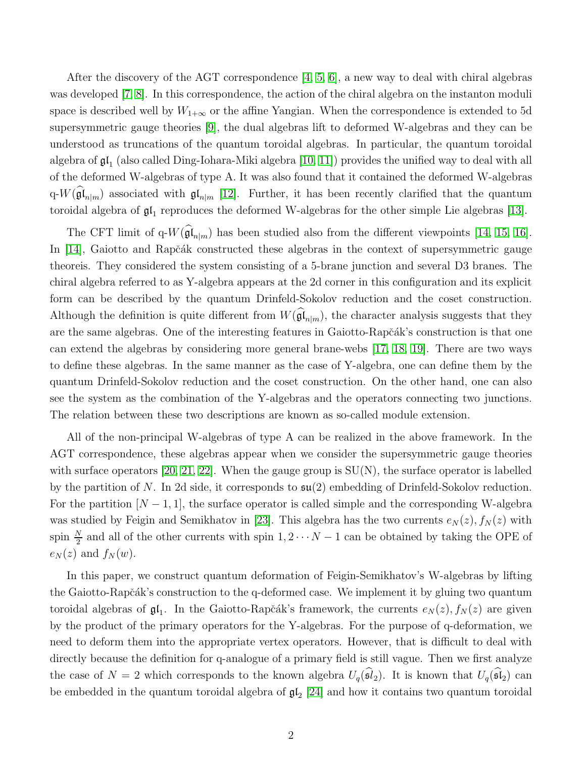After the discovery of the AGT correspondence [\[4,](#page-40-3) [5,](#page-40-4) [6\]](#page-41-0), a new way to deal with chiral algebras was developed [\[7,](#page-41-1) [8\]](#page-41-2). In this correspondence, the action of the chiral algebra on the instanton moduli space is described well by  $W_{1+\infty}$  or the affine Yangian. When the correspondence is extended to 5d supersymmetric gauge theories [\[9\]](#page-41-3), the dual algebras lift to deformed W-algebras and they can be understood as truncations of the quantum toroidal algebras. In particular, the quantum toroidal algebra of  $\mathfrak{gl}_1$  (also called Ding-Iohara-Miki algebra [\[10,](#page-41-4) [11\]](#page-41-5)) provides the unified way to deal with all of the deformed W-algebras of type A. It was also found that it contained the deformed W-algebras q- $W(\mathfrak{gl}_{n|m})$  associated with  $\mathfrak{gl}_{n|m}$  [\[12\]](#page-41-6). Further, it has been recently clarified that the quantum toroidal algebra of  $\mathfrak{gl}_1$  reproduces the deformed W-algebras for the other simple Lie algebras [\[13\]](#page-41-7).

The CFT limit of  $q-W(\mathfrak{gl}_{n|m})$  has been studied also from the different viewpoints [\[14,](#page-41-8) [15,](#page-41-9) [16\]](#page-41-10). In [\[14\]](#page-41-8), Gaiotto and Rapčák constructed these algebras in the context of supersymmetric gauge theoreis. They considered the system consisting of a 5-brane junction and several D3 branes. The chiral algebra referred to as Y-algebra appears at the 2d corner in this configuration and its explicit form can be described by the quantum Drinfeld-Sokolov reduction and the coset construction. Although the definition is quite different from  $W(\mathfrak{gl}_{n|m})$ , the character analysis suggests that they are the same algebras. One of the interesting features in Gaiotto-Rapčák's construction is that one can extend the algebras by considering more general brane-webs [\[17,](#page-41-11) [18,](#page-41-12) [19\]](#page-41-13). There are two ways to define these algebras. In the same manner as the case of Y-algebra, one can define them by the quantum Drinfeld-Sokolov reduction and the coset construction. On the other hand, one can also see the system as the combination of the Y-algebras and the operators connecting two junctions. The relation between these two descriptions are known as so-called module extension.

All of the non-principal W-algebras of type A can be realized in the above framework. In the AGT correspondence, these algebras appear when we consider the supersymmetric gauge theories with surface operators [\[20,](#page-42-0) [21,](#page-42-1) [22\]](#page-42-2). When the gauge group is  $SU(N)$ , the surface operator is labelled by the partition of N. In 2d side, it corresponds to  $\mathfrak{su}(2)$  embedding of Drinfeld-Sokolov reduction. For the partition  $[N-1,1]$ , the surface operator is called simple and the corresponding W-algebra was studied by Feigin and Semikhatov in [\[23\]](#page-42-3). This algebra has the two currents  $e_N(z)$ ,  $f_N(z)$  with spin  $\frac{N}{2}$  and all of the other currents with spin  $1, 2 \cdots N-1$  can be obtained by taking the OPE of  $e_N(z)$  and  $f_N(w)$ .

In this paper, we construct quantum deformation of Feigin-Semikhatov's W-algebras by lifting the Gaiotto-Rapčák's construction to the q-deformed case. We implement it by gluing two quantum toroidal algebras of  $\mathfrak{gl}_1$ . In the Gaiotto-Rapčák's framework, the currents  $e_N(z)$ ,  $f_N(z)$  are given by the product of the primary operators for the Y-algebras. For the purpose of q-deformation, we need to deform them into the appropriate vertex operators. However, that is difficult to deal with directly because the definition for q-analogue of a primary field is still vague. Then we first analyze the case of  $N = 2$  which corresponds to the known algebra  $U_q(\widehat{\mathfrak{sl}}_2)$ . It is known that  $U_q(\widehat{\mathfrak{sl}}_2)$  can be embedded in the quantum toroidal algebra of  $\mathfrak{gl}_2$  [\[24\]](#page-42-4) and how it contains two quantum toroidal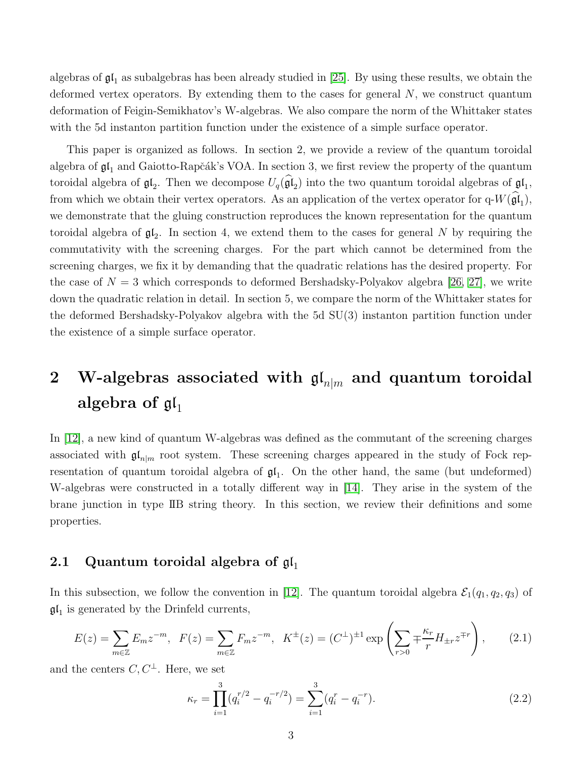algebras of  $\mathfrak{gl}_1$  as subalgebras has been already studied in [\[25\]](#page-42-5). By using these results, we obtain the deformed vertex operators. By extending them to the cases for general  $N$ , we construct quantum deformation of Feigin-Semikhatov's W-algebras. We also compare the norm of the Whittaker states with the 5d instanton partition function under the existence of a simple surface operator.

This paper is organized as follows. In section 2, we provide a review of the quantum toroidal algebra of  $\mathfrak{gl}_1$  and Gaiotto-Rapčák's VOA. In section 3, we first review the property of the quantum toroidal algebra of  $\mathfrak{gl}_2$ . Then we decompose  $U_q(\mathfrak{gl}_2)$  into the two quantum toroidal algebras of  $\mathfrak{gl}_1$ , from which we obtain their vertex operators. As an application of the vertex operator for  $q-W(\mathfrak{gl}_1)$ , we demonstrate that the gluing construction reproduces the known representation for the quantum toroidal algebra of  $\mathfrak{gl}_2$ . In section 4, we extend them to the cases for general N by requiring the commutativity with the screening charges. For the part which cannot be determined from the screening charges, we fix it by demanding that the quadratic relations has the desired property. For the case of  $N = 3$  which corresponds to deformed Bershadsky-Polyakov algebra [\[26,](#page-42-6) [27\]](#page-42-7), we write down the quadratic relation in detail. In section 5, we compare the norm of the Whittaker states for the deformed Bershadsky-Polyakov algebra with the 5d SU(3) instanton partition function under the existence of a simple surface operator.

# <span id="page-3-0"></span>2 W-algebras associated with  $\mathfrak{gl}_{n|m}$  and quantum toroidal algebra of  $\mathfrak{gl}_1$

In [\[12\]](#page-41-6), a new kind of quantum W-algebras was defined as the commutant of the screening charges associated with  $\mathfrak{gl}_{n|m}$  root system. These screening charges appeared in the study of Fock representation of quantum toroidal algebra of  $\mathfrak{gl}_1$ . On the other hand, the same (but undeformed) W-algebras were constructed in a totally different way in [\[14\]](#page-41-8). They arise in the system of the brane junction in type IIB string theory. In this section, we review their definitions and some properties.

### <span id="page-3-1"></span>2.1 Quantum toroidal algebra of  $\mathfrak{gl}_1$

In this subsection, we follow the convention in [\[12\]](#page-41-6). The quantum toroidal algebra  $\mathcal{E}_1(q_1, q_2, q_3)$  of  $\mathfrak{gl}_1$  is generated by the Drinfeld currents,

$$
E(z) = \sum_{m \in \mathbb{Z}} E_m z^{-m}, \quad F(z) = \sum_{m \in \mathbb{Z}} F_m z^{-m}, \quad K^{\pm}(z) = (C^{\pm})^{\pm 1} \exp\left(\sum_{r>0} \mp \frac{\kappa_r}{r} H_{\pm r} z^{\mp r}\right), \tag{2.1}
$$

and the centers  $C, C^{\perp}$ . Here, we set

$$
\kappa_r = \prod_{i=1}^3 (q_i^{r/2} - q_i^{-r/2}) = \sum_{i=1}^3 (q_i^r - q_i^{-r}).
$$
\n(2.2)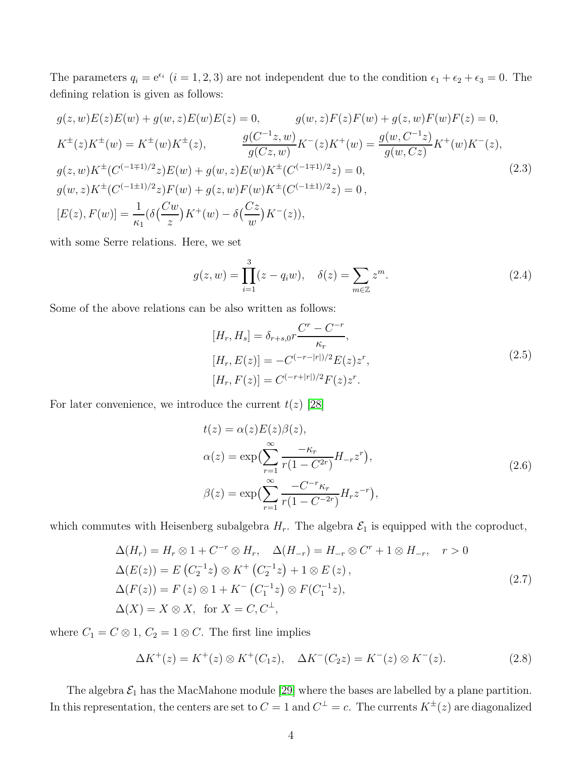The parameters  $q_i = e^{\epsilon_i}$   $(i = 1, 2, 3)$  are not independent due to the condition  $\epsilon_1 + \epsilon_2 + \epsilon_3 = 0$ . The defining relation is given as follows:

$$
g(z, w)E(z)E(w) + g(w, z)E(w)E(z) = 0, \qquad g(w, z)F(z)F(w) + g(z, w)F(w)F(z) = 0,
$$
  
\n
$$
K^{\pm}(z)K^{\pm}(w) = K^{\pm}(w)K^{\pm}(z), \qquad \frac{g(C^{-1}z, w)}{g(Cz, w)}K^{-}(z)K^{+}(w) = \frac{g(w, C^{-1}z)}{g(w, Cz)}K^{+}(w)K^{-}(z),
$$
  
\n
$$
g(z, w)K^{\pm}(C^{(-1\mp 1)/2}z)E(w) + g(w, z)E(w)K^{\pm}(C^{(-1\mp 1)/2}z) = 0,
$$
  
\n
$$
g(w, z)K^{\pm}(C^{(-1\pm 1)/2}z)F(w) + g(z, w)F(w)K^{\pm}(C^{(-1\pm 1)/2}z) = 0,
$$
  
\n
$$
[E(z), F(w)] = \frac{1}{\kappa_1}(\delta(\frac{Cw}{z})K^{+}(w) - \delta(\frac{Cz}{w})K^{-}(z)),
$$
\n(2.3)

with some Serre relations. Here, we set

$$
g(z, w) = \prod_{i=1}^{3} (z - q_i w), \quad \delta(z) = \sum_{m \in \mathbb{Z}} z^m.
$$
 (2.4)

Some of the above relations can be also written as follows:

$$
[H_r, H_s] = \delta_{r+s,0} r \frac{C^r - C^{-r}}{\kappa_r},
$$
  
\n
$$
[H_r, E(z)] = -C^{(-r-|r|)/2} E(z) z^r,
$$
  
\n
$$
[H_r, F(z)] = C^{(-r+|r|)/2} F(z) z^r.
$$
\n(2.5)

<span id="page-4-1"></span>For later convenience, we introduce the current  $t(z)$  [\[28\]](#page-42-8)

$$
t(z) = \alpha(z)E(z)\beta(z),
$$
  
\n
$$
\alpha(z) = \exp\left(\sum_{r=1}^{\infty} \frac{-\kappa_r}{r(1 - C^{2r})} H_{-r} z^r\right),
$$
  
\n
$$
\beta(z) = \exp\left(\sum_{r=1}^{\infty} \frac{-C^{-r} \kappa_r}{r(1 - C^{-2r})} H_r z^{-r}\right),
$$
\n(2.6)

which commutes with Heisenberg subalgebra  $H_r$ . The algebra  $\mathcal{E}_1$  is equipped with the coproduct,

<span id="page-4-0"></span>
$$
\Delta(H_r) = H_r \otimes 1 + C^{-r} \otimes H_r, \quad \Delta(H_{-r}) = H_{-r} \otimes C^r + 1 \otimes H_{-r}, \quad r > 0
$$
  
\n
$$
\Delta(E(z)) = E(C_2^{-1}z) \otimes K^+ (C_2^{-1}z) + 1 \otimes E(z),
$$
  
\n
$$
\Delta(F(z)) = F(z) \otimes 1 + K^- (C_1^{-1}z) \otimes F(C_1^{-1}z),
$$
  
\n
$$
\Delta(X) = X \otimes X, \text{ for } X = C, C^{\perp},
$$
\n(2.7)

where  $C_1 = C \otimes 1$ ,  $C_2 = 1 \otimes C$ . The first line implies

$$
\Delta K^+(z) = K^+(z) \otimes K^+(C_1 z), \quad \Delta K^-(C_2 z) = K^-(z) \otimes K^-(z). \tag{2.8}
$$

The algebra  $\mathcal{E}_1$  has the MacMahone module [\[29\]](#page-42-9) where the bases are labelled by a plane partition. In this representation, the centers are set to  $C = 1$  and  $C^{\perp} = c$ . The currents  $K^{\pm}(z)$  are diagonalized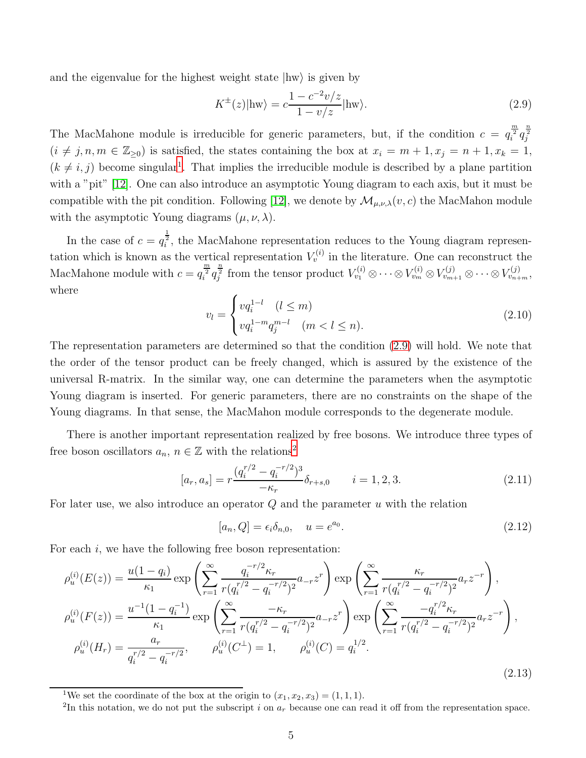and the eigenvalue for the highest weight state  $|hw\rangle$  is given by

<span id="page-5-1"></span>
$$
K^{\pm}(z)|\text{hw}\rangle = c\frac{1 - c^{-2}v/z}{1 - v/z}|\text{hw}\rangle. \tag{2.9}
$$

The MacMahone module is irreducible for generic parameters, but, if the condition  $c = q_i^{\frac{m}{2}} q_j^{\frac{n}{2}}$  $(i \neq j, n, m \in \mathbb{Z}_{\geq 0})$  is satisfied, the states containing the box at  $x_i = m + 1, x_j = n + 1, x_k = 1$ ,  $(k \neq i, j)$  become singular<sup>[1](#page-5-0)</sup>. That implies the irreducible module is described by a plane partition with a "pit" [\[12\]](#page-41-6). One can also introduce an asymptotic Young diagram to each axis, but it must be compatible with the pit condition. Following [\[12\]](#page-41-6), we denote by  $\mathcal{M}_{\mu,\nu,\lambda}(v,c)$  the MacMahon module with the asymptotic Young diagrams  $(\mu, \nu, \lambda)$ .

In the case of  $c = q_i^{\frac{1}{2}}$ , the MacMahone representation reduces to the Young diagram representation which is known as the vertical representation  $V_v^{(i)}$  in the literature. One can reconstruct the MacMahone module with  $c=q_i^{\frac{m}{2}}q_j^{\frac{n}{2}}$  from the tensor product  $V_{v_1}^{(i)}\otimes \cdots \otimes V_{v_m}^{(i)}\otimes V_{v_{m+1}}^{(j)}\otimes \cdots \otimes V_{v_{n+m}}^{(j)}$ where

$$
v_l = \begin{cases} vq_i^{1-l} & (l \le m) \\ vq_i^{1-m}q_j^{m-l} & (m < l \le n). \end{cases}
$$
 (2.10)

The representation parameters are determined so that the condition [\(2.9\)](#page-5-1) will hold. We note that the order of the tensor product can be freely changed, which is assured by the existence of the universal R-matrix. In the similar way, one can determine the parameters when the asymptotic Young diagram is inserted. For generic parameters, there are no constraints on the shape of the Young diagrams. In that sense, the MacMahon module corresponds to the degenerate module.

There is another important representation realized by free bosons. We introduce three types of free boson oscillators  $a_n$ ,  $n \in \mathbb{Z}$  with the relations<sup>[2](#page-5-2)</sup>

<span id="page-5-4"></span>
$$
[a_r, a_s] = r \frac{(q_i^{r/2} - q_i^{-r/2})^3}{-\kappa_r} \delta_{r+s,0} \qquad i = 1, 2, 3.
$$
 (2.11)

For later use, we also introduce an operator  $Q$  and the parameter  $u$  with the relation

$$
[a_n, Q] = \epsilon_i \delta_{n,0}, \quad u = e^{a_0}.
$$
\n
$$
(2.12)
$$

For each  $i$ , we have the following free boson representation:

<span id="page-5-3"></span>
$$
\rho_{u}^{(i)}(E(z)) = \frac{u(1-q_{i})}{\kappa_{1}} \exp\left(\sum_{r=1}^{\infty} \frac{q_{i}^{-r/2} \kappa_{r}}{r(q_{i}^{r/2} - q_{i}^{-r/2})^{2}} a_{-r} z^{r}\right) \exp\left(\sum_{r=1}^{\infty} \frac{\kappa_{r}}{r(q_{i}^{r/2} - q_{i}^{-r/2})^{2}} a_{r} z^{-r}\right),
$$
  
\n
$$
\rho_{u}^{(i)}(F(z)) = \frac{u^{-1}(1-q_{i}^{-1})}{\kappa_{1}} \exp\left(\sum_{r=1}^{\infty} \frac{-\kappa_{r}}{r(q_{i}^{r/2} - q_{i}^{-r/2})^{2}} a_{-r} z^{r}\right) \exp\left(\sum_{r=1}^{\infty} \frac{-q_{i}^{r/2} \kappa_{r}}{r(q_{i}^{r/2} - q_{i}^{-r/2})^{2}} a_{r} z^{-r}\right),
$$
  
\n
$$
\rho_{u}^{(i)}(H_{r}) = \frac{a_{r}}{q_{i}^{r/2} - q_{i}^{-r/2}}, \qquad \rho_{u}^{(i)}(C^{\perp}) = 1, \qquad \rho_{u}^{(i)}(C) = q_{i}^{1/2}.
$$
  
\n(2.13)

<sup>&</sup>lt;sup>1</sup>We set the coordinate of the box at the origin to  $(x_1, x_2, x_3) = (1, 1, 1)$ .

<span id="page-5-2"></span><span id="page-5-0"></span><sup>&</sup>lt;sup>2</sup>In this notation, we do not put the subscript i on  $a_r$  because one can read it off from the representation space.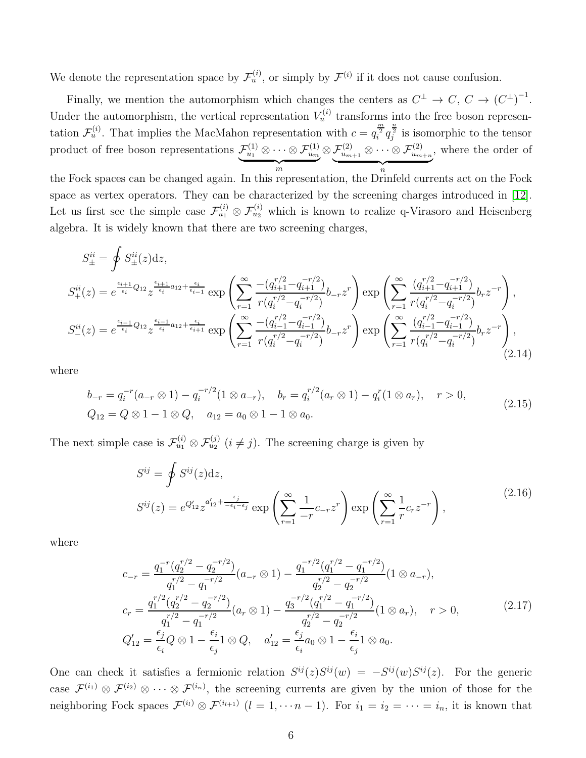We denote the representation space by  $\mathcal{F}_u^{(i)}$ , or simply by  $\mathcal{F}_u^{(i)}$  if it does not cause confusion.

Finally, we mention the automorphism which changes the centers as  $C^{\perp} \to C, C \to (C^{\perp})^{-1}$ . Under the automorphism, the vertical representation  $V_u^{(i)}$  transforms into the free boson representation  $\mathcal{F}_u^{(i)}$ . That implies the MacMahon representation with  $c = q_i^{\frac{m}{2}} q_j^{\frac{n}{2}}$  is isomorphic to the tensor product of free boson representations  $\mathcal{F}^{(1)}_{u_1} \otimes \cdots \otimes \mathcal{F}^{(1)}_{u_m}$  $\overbrace{m}$  $\otimes \mathcal{F}^{(2)}_{u_{m+1}} \otimes \cdots \otimes \mathcal{F}^{(2)}_{u_{m+n}}$  $\overbrace{n}$ , where the order of

the Fock spaces can be changed again. In this representation, the Drinfeld currents act on the Fock space as vertex operators. They can be characterized by the screening charges introduced in [\[12\]](#page-41-6). Let us first see the simple case  $\mathcal{F}_{u_1}^{(i)} \otimes \mathcal{F}_{u_2}^{(i)}$  which is known to realize q-Virasoro and Heisenberg algebra. It is widely known that there are two screening charges,

$$
S_{\pm}^{ii} = \oint S_{\pm}^{ii}(z)dz,
$$
  
\n
$$
S_{+}^{ii}(z) = e^{\frac{\epsilon_{i+1}}{\epsilon_{i}}Q_{12}} z^{\frac{\epsilon_{i+1}}{\epsilon_{i}}a_{12} + \frac{\epsilon_{i}}{\epsilon_{i-1}}} \exp\left(\sum_{r=1}^{\infty} \frac{-(q_{i+1}^{r/2} - q_{i-1}^{-r/2})}{r(q_{i}^{r/2} - q_{i}^{-r/2})} b_{-r} z^{r}\right) \exp\left(\sum_{r=1}^{\infty} \frac{(q_{i+1}^{r/2} - q_{i-1}^{-r/2})}{r(q_{i}^{r/2} - q_{i}^{-r/2})} b_{r} z^{-r}\right),
$$
  
\n
$$
S_{-}^{ii}(z) = e^{\frac{\epsilon_{i-1}}{\epsilon_{i}}Q_{12}} z^{\frac{\epsilon_{i-1}}{\epsilon_{i}}a_{12} + \frac{\epsilon_{i}}{\epsilon_{i+1}}} \exp\left(\sum_{r=1}^{\infty} \frac{-(q_{i-1}^{r/2} - q_{i-1}^{-r/2})}{r(q_{i}^{r/2} - q_{i}^{-r/2})} b_{-r} z^{r}\right) \exp\left(\sum_{r=1}^{\infty} \frac{(q_{i-1}^{r/2} - q_{i-1}^{-r/2})}{r(q_{i}^{r/2} - q_{i}^{-r/2})} b_{r} z^{-r}\right),
$$
\n(2.14)

where

$$
b_{-r} = q_i^{-r}(a_{-r} \otimes 1) - q_i^{-r/2}(1 \otimes a_{-r}), \quad b_r = q_i^{r/2}(a_r \otimes 1) - q_i^{r}(1 \otimes a_r), \quad r > 0,
$$
  
\n
$$
Q_{12} = Q \otimes 1 - 1 \otimes Q, \quad a_{12} = a_0 \otimes 1 - 1 \otimes a_0.
$$
\n(2.15)

The next simple case is  $\mathcal{F}_{u_1}^{(i)} \otimes \mathcal{F}_{u_2}^{(j)}$   $(i \neq j)$ . The screening charge is given by

$$
S^{ij} = \oint S^{ij}(z)dz,
$$
  
\n
$$
S^{ij}(z) = e^{Q'_{12}} z^{a'_{12} + \frac{\epsilon_j}{-\epsilon_i - \epsilon_j}} \exp\left(\sum_{r=1}^{\infty} \frac{1}{-r} c_{-r} z^r\right) \exp\left(\sum_{r=1}^{\infty} \frac{1}{r} c_r z^{-r}\right),
$$
\n(2.16)

where

$$
c_{-r} = \frac{q_1^{-r}(q_2^{r/2} - q_2^{-r/2})}{q_1^{r/2} - q_1^{-r/2}} (a_{-r} \otimes 1) - \frac{q_1^{-r/2}(q_1^{r/2} - q_1^{-r/2})}{q_2^{r/2} - q_2^{-r/2}} (1 \otimes a_{-r}),
$$
  
\n
$$
c_r = \frac{q_1^{r/2}(q_2^{r/2} - q_2^{-r/2})}{q_1^{r/2} - q_1^{-r/2}} (a_r \otimes 1) - \frac{q_3^{-r/2}(q_1^{r/2} - q_1^{-r/2})}{q_2^{r/2} - q_2^{-r/2}} (1 \otimes a_r), \quad r > 0,
$$
  
\n
$$
Q'_{12} = \frac{\epsilon_j}{\epsilon_i} Q \otimes 1 - \frac{\epsilon_i}{\epsilon_j} 1 \otimes Q, \quad a'_{12} = \frac{\epsilon_j}{\epsilon_i} a_0 \otimes 1 - \frac{\epsilon_i}{\epsilon_j} 1 \otimes a_0.
$$
\n(2.17)

One can check it satisfies a fermionic relation  $S^{ij}(z)S^{ij}(w) = -S^{ij}(w)S^{ij}(z)$ . For the generic case  $\mathcal{F}^{(i_1)} \otimes \mathcal{F}^{(i_2)} \otimes \cdots \otimes \mathcal{F}^{(i_n)}$ , the screening currents are given by the union of those for the neighboring Fock spaces  $\mathcal{F}^{(i_l)} \otimes \mathcal{F}^{(i_{l+1})}$   $(l = 1, \cdots n-1)$ . For  $i_1 = i_2 = \cdots = i_n$ , it is known that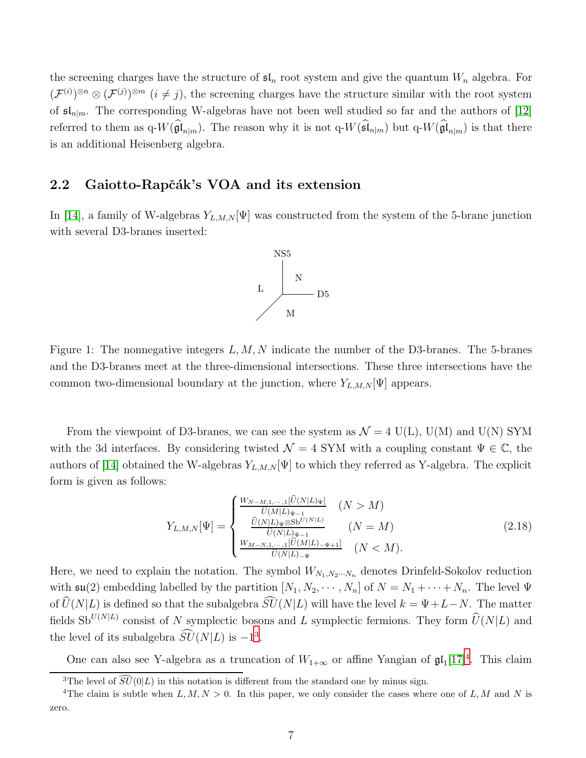the screening charges have the structure of  $\mathfrak{sl}_n$  root system and give the quantum  $W_n$  algebra. For  $(\mathcal{F}^{(i)})^{\otimes n} \otimes (\mathcal{F}^{(j)})^{\otimes m}$   $(i \neq j)$ , the screening charges have the structure similar with the root system of  $\mathfrak{sl}_{n|m}$ . The corresponding W-algebras have not been well studied so far and the authors of [\[12\]](#page-41-6) referred to them as  $q-W(\mathfrak{gl}_{n|m})$ . The reason why it is not  $q-W(\mathfrak{sl}_{n|m})$  but  $q-W(\mathfrak{gl}_{n|m})$  is that there is an additional Heisenberg algebra.

#### <span id="page-7-0"></span>2.2 Gaiotto-Rapčák's VOA and its extension

In [\[14\]](#page-41-8), a family of W-algebras  $Y_{L,M,N}[\Psi]$  was constructed from the system of the 5-brane junction with several D3-branes inserted:



Figure 1: The nonnegative integers  $L, M, N$  indicate the number of the D3-branes. The 5-branes and the D3-branes meet at the three-dimensional intersections. These three intersections have the common two-dimensional boundary at the junction, where  $Y_{L,M,N}[\Psi]$  appears.

From the viewpoint of D3-branes, we can see the system as  $\mathcal{N} = 4$  U(L), U(M) and U(N) SYM with the 3d interfaces. By considering twisted  $\mathcal{N} = 4$  SYM with a coupling constant  $\Psi \in \mathbb{C}$ , the authors of [\[14\]](#page-41-8) obtained the W-algebras  $Y_{L,M,N}[\Psi]$  to which they referred as Y-algebra. The explicit form is given as follows:

<span id="page-7-3"></span>
$$
Y_{L,M,N}[\Psi] = \begin{cases} \frac{W_{N-M,1,\cdots,1}[\hat{U}(N|L)\Psi]}{\hat{U}(M|L)\Psi_{-1}} & (N > M) \\ \frac{\hat{U}(N|L)\Psi \otimes S\mathbf{b}^{U(N|L)}}{\hat{U}(N|L)\Psi_{-1}} & (N = M) \\ \frac{W_{M-N,1,\cdots,1}[\hat{U}(M|L)_{-\Psi+1}]}{\hat{U}(N|L)_{-\Psi}} & (N < M). \end{cases} \tag{2.18}
$$

Here, we need to explain the notation. The symbol  $W_{N_1,N_2\cdots N_n}$  denotes Drinfeld-Sokolov reduction with  $\mathfrak{su}(2)$  embedding labelled by the partition  $[N_1, N_2, \cdots, N_n]$  of  $N = N_1 + \cdots + N_n$ . The level  $\Psi$ of  $\widehat{U}(N|L)$  is defined so that the subalgebra  $\widehat{SU}(N|L)$  will have the level  $k = \Psi + L - N$ . The matter fields Sb<sup>U(N|L)</sup> consist of N symplectic bosons and L symplectic fermions. They form  $\widehat{U}(N|L)$  and the level of its subalgebra  $\widetilde{SU}(N|L)$  is  $-1^3$  $-1^3$ .

One can also see Y-algebra as a truncation of  $W_{1+\infty}$  or affine Yangian of  $\mathfrak{gl}_1[17]^4$  $\mathfrak{gl}_1[17]^4$  $\mathfrak{gl}_1[17]^4$  $\mathfrak{gl}_1[17]^4$ . This claim

<span id="page-7-1"></span><sup>&</sup>lt;sup>3</sup>The level of  $\widehat{SU}(0|L)$  in this notation is different from the standard one by minus sign.

<span id="page-7-2"></span><sup>&</sup>lt;sup>4</sup>The claim is subtle when  $L, M, N > 0$ . In this paper, we only consider the cases where one of L, M and N is zero.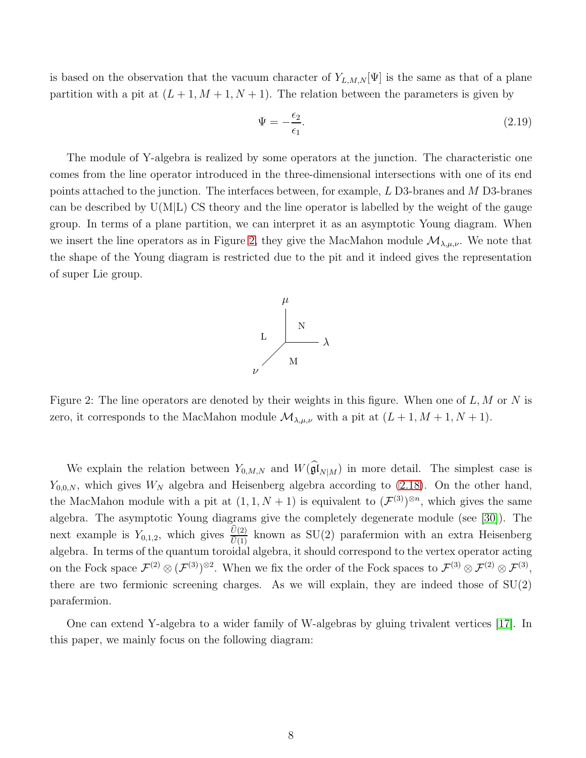is based on the observation that the vacuum character of  $Y_{L,M,N}[\Psi]$  is the same as that of a plane partition with a pit at  $(L + 1, M + 1, N + 1)$ . The relation between the parameters is given by

$$
\Psi = -\frac{\epsilon_2}{\epsilon_1}.\tag{2.19}
$$

The module of Y-algebra is realized by some operators at the junction. The characteristic one comes from the line operator introduced in the three-dimensional intersections with one of its end points attached to the junction. The interfaces between, for example,  $L$  D3-branes and  $M$  D3-branes can be described by  $U(M|L)$  CS theory and the line operator is labelled by the weight of the gauge group. In terms of a plane partition, we can interpret it as an asymptotic Young diagram. When we insert the line operators as in Figure [2,](#page-8-0) they give the MacMahon module  $\mathcal{M}_{\lambda,\mu,\nu}$ . We note that the shape of the Young diagram is restricted due to the pit and it indeed gives the representation of super Lie group.



<span id="page-8-0"></span>Figure 2: The line operators are denoted by their weights in this figure. When one of  $L, M$  or N is zero, it corresponds to the MacMahon module  $\mathcal{M}_{\lambda,\mu,\nu}$  with a pit at  $(L+1, M+1, N+1)$ .

We explain the relation between  $Y_{0,M,N}$  and  $W(\mathfrak{gl}_{N|M})$  in more detail. The simplest case is  $Y_{0,0,N}$ , which gives  $W_N$  algebra and Heisenberg algebra according to [\(2.18\)](#page-7-3). On the other hand, the MacMahon module with a pit at  $(1,1,N+1)$  is equivalent to  $(\mathcal{F}^{(3)})^{\otimes n}$ , which gives the same algebra. The asymptotic Young diagrams give the completely degenerate module (see [\[30\]](#page-42-10)). The next example is  $Y_{0,1,2}$ , which gives  $\frac{U(2)}{\hat{U}(1)}$  known as SU(2) parafermion with an extra Heisenberg algebra. In terms of the quantum toroidal algebra, it should correspond to the vertex operator acting on the Fock space  $\mathcal{F}^{(2)} \otimes (\mathcal{F}^{(3)})^{\otimes 2}$ . When we fix the order of the Fock spaces to  $\mathcal{F}^{(3)} \otimes \mathcal{F}^{(2)} \otimes \mathcal{F}^{(3)}$ , there are two fermionic screening charges. As we will explain, they are indeed those of SU(2) parafermion.

One can extend Y-algebra to a wider family of W-algebras by gluing trivalent vertices [\[17\]](#page-41-11). In this paper, we mainly focus on the following diagram: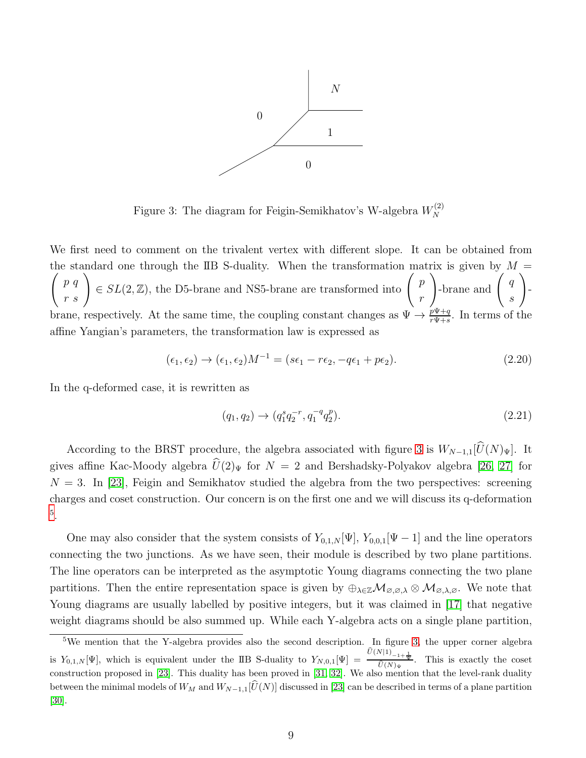

<span id="page-9-0"></span>Figure 3: The diagram for Feigin-Semikhatov's W-algebra  $W_N^{(2)}$ N

We first need to comment on the trivalent vertex with different slope. It can be obtained from the standard one through the IIB S-duality. When the transformation matrix is given by  $M =$  $\sqrt{ }$ p q  $\begin{pmatrix} p & q \\ r & s \end{pmatrix} \in SL(2, \mathbb{Z})$ , the D5-brane and NS5-brane are transformed into  $\begin{pmatrix} p \\ r \end{pmatrix}$ r  $\Bigg)$ -brane and  $\Bigg($  9 s  $\setminus$  brane, respectively. At the same time, the coupling constant changes as  $\Psi \to \frac{p\Psi + q}{r\Psi + s}$ . In terms of the affine Yangian's parameters, the transformation law is expressed as

$$
(\epsilon_1, \epsilon_2) \rightarrow (\epsilon_1, \epsilon_2)M^{-1} = (s\epsilon_1 - r\epsilon_2, -q\epsilon_1 + p\epsilon_2). \tag{2.20}
$$

In the q-deformed case, it is rewritten as

<span id="page-9-2"></span>
$$
(q_1, q_2) \to (q_1^s q_2^{-r}, q_1^{-q} q_2^p). \tag{2.21}
$$

According to the BRST procedure, the algebra associated with figure [3](#page-9-0) is  $W_{N-1,1}[\widehat{U}(N)_{\Psi}]$ . It gives affine Kac-Moody algebra  $\hat{U}(2)_{\Psi}$  for  $N = 2$  and Bershadsky-Polyakov algebra [\[26,](#page-42-6) [27\]](#page-42-7) for  $N = 3$ . In [\[23\]](#page-42-3), Feigin and Semikhatov studied the algebra from the two perspectives: screening charges and coset construction. Our concern is on the first one and we will discuss its q-deformation [5](#page-9-1) .

One may also consider that the system consists of  $Y_{0,1,N}[\Psi], Y_{0,0,1}[\Psi - 1]$  and the line operators connecting the two junctions. As we have seen, their module is described by two plane partitions. The line operators can be interpreted as the asymptotic Young diagrams connecting the two plane partitions. Then the entire representation space is given by  $\oplus_{\lambda\in\mathbb{Z}}\mathcal{M}_{\varnothing,\varnothing,\lambda}\otimes\mathcal{M}_{\varnothing,\lambda,\varnothing}$ . We note that Young diagrams are usually labelled by positive integers, but it was claimed in [\[17\]](#page-41-11) that negative weight diagrams should be also summed up. While each Y-algebra acts on a single plane partition,

<span id="page-9-1"></span><sup>&</sup>lt;sup>5</sup>We mention that the Y-algebra provides also the second description. In figure [3,](#page-9-0) the upper corner algebra is  $Y_{0,1,N}[\Psi]$ , which is equivalent under the IIB S-duality to  $Y_{N,0,1}[\Psi] = \frac{U(N|1)_{-1+\frac{1}{\Psi}}}{\widehat{U}(N)\Psi}$ . This is exactly the coset construction proposed in [\[23\]](#page-42-3). This duality has been proved in [\[31,](#page-42-11) [32\]](#page-42-12). We also mention that the level-rank duality between the minimal models of  $W_M$  and  $W_{N-1,1}[\widehat{U}(N)]$  discussed in [\[23\]](#page-42-3) can be described in terms of a plane partition [\[30\]](#page-42-10).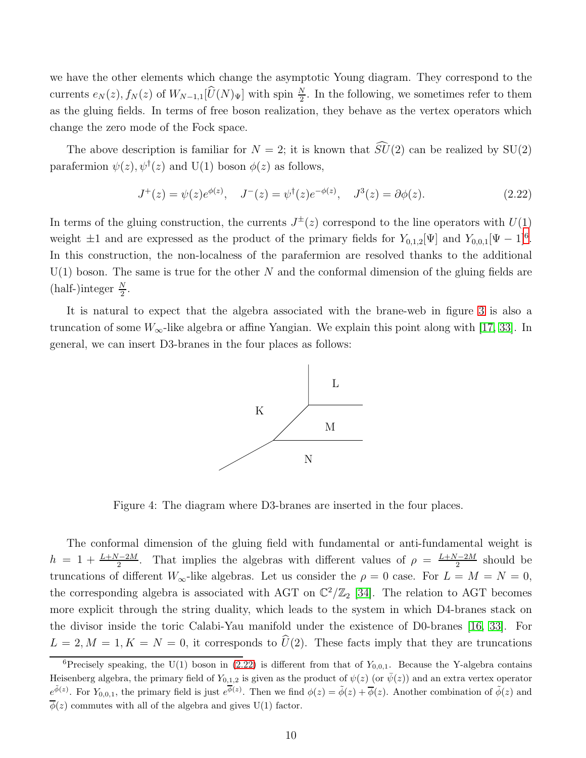we have the other elements which change the asymptotic Young diagram. They correspond to the currents  $e_N(z)$ ,  $f_N(z)$  of  $W_{N-1,1}[\hat{U}(N)_\Psi]$  with spin  $\frac{N}{2}$ . In the following, we sometimes refer to them as the gluing fields. In terms of free boson realization, they behave as the vertex operators which change the zero mode of the Fock space.

The above description is familiar for  $N = 2$ ; it is known that  $\widehat{SU}(2)$  can be realized by SU(2) parafermion  $\psi(z)$ ,  $\psi^{\dagger}(z)$  and U(1) boson  $\phi(z)$  as follows,

<span id="page-10-1"></span>
$$
J^+(z) = \psi(z)e^{\phi(z)}, \quad J^-(z) = \psi^{\dagger}(z)e^{-\phi(z)}, \quad J^3(z) = \partial\phi(z). \tag{2.22}
$$

In terms of the gluing construction, the currents  $J^{\pm}(z)$  correspond to the line operators with  $U(1)$ weight  $\pm 1$  and are expressed as the product of the primary fields for  $Y_{0,1,2}[\Psi]$  and  $Y_{0,0,1}[\Psi - 1]$ <sup>[6](#page-10-0)</sup>. In this construction, the non-localness of the parafermion are resolved thanks to the additional  $U(1)$  boson. The same is true for the other N and the conformal dimension of the gluing fields are  $(half-)integer \frac{N}{2}.$ 

It is natural to expect that the algebra associated with the brane-web in figure [3](#page-9-0) is also a truncation of some  $W_{\infty}$ -like algebra or affine Yangian. We explain this point along with [\[17,](#page-41-11) [33\]](#page-42-13). In general, we can insert D3-branes in the four places as follows:



<span id="page-10-2"></span>Figure 4: The diagram where D3-branes are inserted in the four places.

The conformal dimension of the gluing field with fundamental or anti-fundamental weight is  $h = 1 + \frac{L+N-2M}{2}$ . That implies the algebras with different values of  $\rho = \frac{L+N-2M}{2}$  $\frac{2^{7}-2M}{2}$  should be truncations of different  $W_{\infty}$ -like algebras. Let us consider the  $\rho = 0$  case. For  $L = M = N = 0$ , the corresponding algebra is associated with AGT on  $\mathbb{C}^2/\mathbb{Z}_2$  [\[34\]](#page-42-14). The relation to AGT becomes more explicit through the string duality, which leads to the system in which D4-branes stack on the divisor inside the toric Calabi-Yau manifold under the existence of D0-branes [\[16,](#page-41-10) [33\]](#page-42-13). For  $L = 2, M = 1, K = N = 0$ , it corresponds to  $\widehat{U}(2)$ . These facts imply that they are truncations

<span id="page-10-0"></span><sup>&</sup>lt;sup>6</sup>Precisely speaking, the U(1) boson in [\(2.22\)](#page-10-1) is different from that of  $Y_{0,0,1}$ . Because the Y-algebra contains Heisenberg algebra, the primary field of  $Y_{0,1,2}$  is given as the product of  $\psi(z)$  (or  $\bar{\psi}(z)$ ) and an extra vertex operator  $e^{\tilde{\phi}(z)}$ . For  $Y_{0,0,1}$ , the primary field is just  $e^{\overline{\phi}(z)}$ . Then we find  $\phi(z) = \tilde{\phi}(z) + \overline{\phi}(z)$ . Another combination of  $\tilde{\phi}(z)$  and  $\overline{\phi}(z)$  commutes with all of the algebra and gives U(1) factor.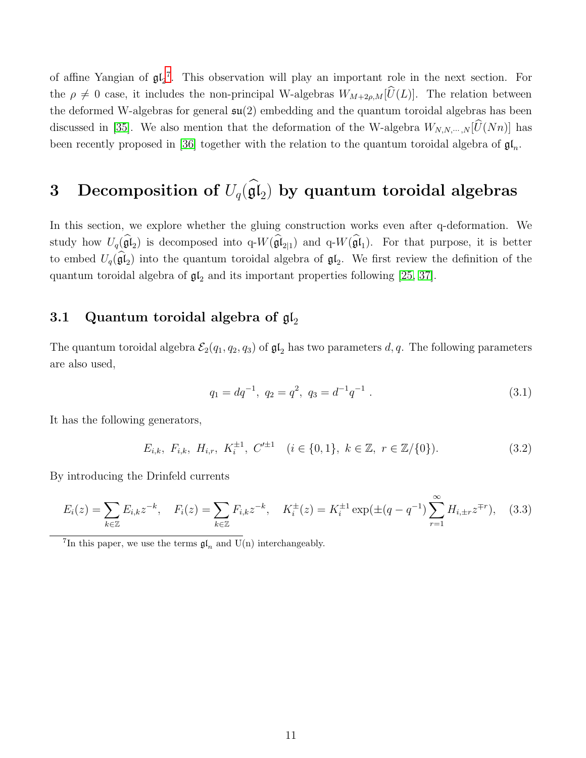of affine Yangian of  $\mathfrak{gl}_2^7$  $\mathfrak{gl}_2^7$ . This observation will play an important role in the next section. For the  $\rho \neq 0$  case, it includes the non-principal W-algebras  $W_{M+2\rho,M}[\hat{U}(L)]$ . The relation between the deformed W-algebras for general  $\mathfrak{su}(2)$  embedding and the quantum toroidal algebras has been discussed in [\[35\]](#page-42-15). We also mention that the deformation of the W-algebra  $W_{N,N,\dots,N}[\hat{U}(Nn)]$  has been recently proposed in [\[36\]](#page-43-0) together with the relation to the quantum toroidal algebra of  $\mathfrak{gl}_n$ .

# <span id="page-11-0"></span>3 Decomposition of  $U_q(\mathfrak{gl}_2)$  by quantum toroidal algebras

In this section, we explore whether the gluing construction works even after q-deformation. We study how  $U_q(\mathfrak{gl}_2)$  is decomposed into  $q-W(\mathfrak{gl}_{2|1})$  and  $q-W(\mathfrak{gl}_1)$ . For that purpose, it is better to embed  $U_q(\mathfrak{gl}_2)$  into the quantum toroidal algebra of  $\mathfrak{gl}_2$ . We first review the definition of the quantum toroidal algebra of  $\mathfrak{gl}_2$  and its important properties following [\[25,](#page-42-5) [37\]](#page-43-1).

#### <span id="page-11-1"></span>3.1 Quantum toroidal algebra of  $\mathfrak{gl}_2$

The quantum toroidal algebra  $\mathcal{E}_2(q_1, q_2, q_3)$  of  $\mathfrak{gl}_2$  has two parameters d, q. The following parameters are also used,

$$
q_1 = dq^{-1}, \ q_2 = q^2, \ q_3 = d^{-1}q^{-1} \tag{3.1}
$$

It has the following generators,

$$
E_{i,k}, F_{i,k}, H_{i,r}, K_i^{\pm 1}, C'^{\pm 1} \quad (i \in \{0, 1\}, k \in \mathbb{Z}, r \in \mathbb{Z}/\{0\}).
$$
\n(3.2)

By introducing the Drinfeld currents

$$
E_i(z) = \sum_{k \in \mathbb{Z}} E_{i,k} z^{-k}, \quad F_i(z) = \sum_{k \in \mathbb{Z}} F_{i,k} z^{-k}, \quad K_i^{\pm}(z) = K_i^{\pm 1} \exp(\pm (q - q^{-1}) \sum_{r=1}^{\infty} H_{i,\pm r} z^{\mp r}), \quad (3.3)
$$

<span id="page-11-2"></span><sup>7</sup>In this paper, we use the terms  $\mathfrak{gl}_n$  and U(n) interchangeably.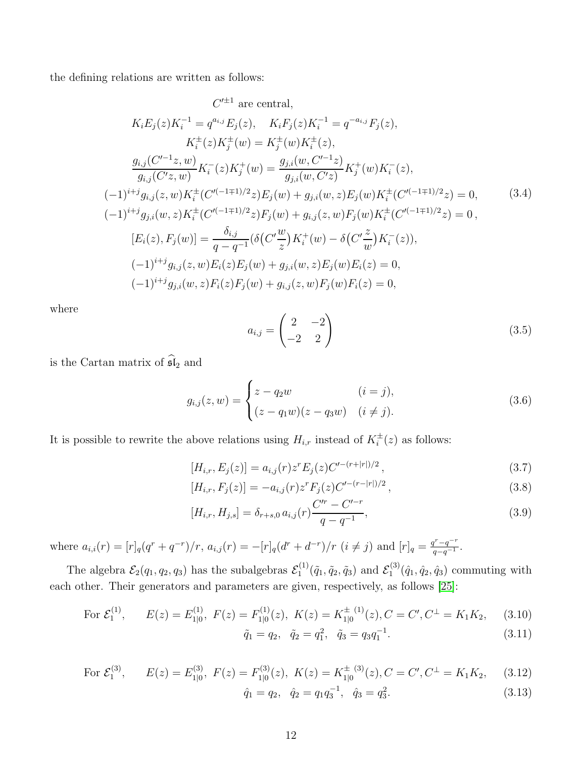the defining relations are written as follows:

$$
C'^{\pm 1} \text{ are central,}
$$
\n
$$
K_i E_j(z) K_i^{-1} = q^{a_{i,j}} E_j(z), \quad K_i F_j(z) K_i^{-1} = q^{-a_{i,j}} F_j(z),
$$
\n
$$
K_i^{\pm}(z) K_j^{\pm}(w) = K_j^{\pm}(w) K_i^{\pm}(z),
$$
\n
$$
\frac{g_{i,j}(C'^{-1}z, w)}{g_{i,j}(C'z, w)} K_i^{-}(z) K_j^{+}(w) = \frac{g_{j,i}(w, C'^{-1}z)}{g_{j,i}(w, C'z)} K_j^{+}(w) K_i^{-}(z),
$$
\n
$$
(-1)^{i+j} g_{i,j}(z, w) K_i^{\pm}(C'^{(-1\mp 1)/2}z) E_j(w) + g_{j,i}(w, z) E_j(w) K_i^{\pm}(C'^{(-1\mp 1)/2}z) = 0,
$$
\n
$$
(-1)^{i+j} g_{j,i}(w, z) K_i^{\pm}(C'^{(-1\mp 1)/2}z) F_j(w) + g_{i,j}(z, w) F_j(w) K_i^{\pm}(C'^{(-1\mp 1)/2}z) = 0,
$$
\n
$$
[E_i(z), F_j(w)] = \frac{\delta_{i,j}}{q - q^{-1}} (\delta(C' \frac{w}{z}) K_i^+(w) - \delta(C' \frac{z}{w}) K_i^-(z)),
$$
\n
$$
(-1)^{i+j} g_{i,j}(z, w) E_i(z) E_j(w) + g_{j,i}(w, z) E_j(w) E_i(z) = 0,
$$
\n
$$
(-1)^{i+j} g_{j,i}(w, z) F_i(z) F_j(w) + g_{i,j}(z, w) F_j(w) F_i(z) = 0,
$$

where

<span id="page-12-1"></span>
$$
a_{i,j} = \begin{pmatrix} 2 & -2 \\ -2 & 2 \end{pmatrix} \tag{3.5}
$$

is the Cartan matrix of  $\widehat{\mathfrak{sl}}_2$  and

$$
g_{i,j}(z,w) = \begin{cases} z - q_2 w & (i = j), \\ (z - q_1 w)(z - q_3 w) & (i \neq j). \end{cases}
$$
(3.6)

It is possible to rewrite the above relations using  $H_{i,r}$  instead of  $K_i^{\pm}(z)$  as follows:

$$
[H_{i,r}, E_j(z)] = a_{i,j}(r)z^r E_j(z)C'^{-(r+|r|)/2}, \qquad (3.7)
$$

$$
[H_{i,r}, F_j(z)] = -a_{i,j}(r)z^r F_j(z)C'^{-(r-|r|)/2}, \qquad (3.8)
$$

$$
[H_{i,r}, H_{j,s}] = \delta_{r+s,0} a_{i,j}(r) \frac{C'^r - C'^{-r}}{q - q^{-1}},
$$
\n(3.9)

where  $a_{i,i}(r) = [r]_q (q^r + q^{-r})/r$ ,  $a_{i,j}(r) = -[r]_q (d^r + d^{-r})/r$   $(i \neq j)$  and  $[r]_q = \frac{q^r - q^{-r}}{q - q^{-1}}$  $\frac{q^r-q^{-1}}{q-q^{-1}}$ .

The algebra  $\mathcal{E}_2(q_1, q_2, q_3)$  has the subalgebras  $\mathcal{E}_1^{(1)}$  $\mathcal{E}_1^{(1)}(\tilde{q}_1, \tilde{q}_2, \tilde{q}_3)$  and  $\mathcal{E}_1^{(3)}$  $\hat{q}_1^{(3)}(\hat{q}_1, \hat{q}_2, \hat{q}_3)$  commuting with each other. Their generators and parameters are given, respectively, as follows [\[25\]](#page-42-5):

<span id="page-12-0"></span>For 
$$
\mathcal{E}_1^{(1)}
$$
,  $E(z) = E_{1|0}^{(1)}$ ,  $F(z) = F_{1|0}^{(1)}(z)$ ,  $K(z) = K_{1|0}^{\pm (1)}(z)$ ,  $C = C'$ ,  $C^{\pm} = K_1 K_2$ , (3.10)  
 $\tilde{C} = C_1 \tilde{C} - C_2 \tilde{C} - C_1 C_1^{-1}$  (3.11)

$$
\tilde{q}_1 = q_2, \quad \tilde{q}_2 = q_1^2, \quad \tilde{q}_3 = q_3 q_1^{-1}.
$$
\n(3.11)

For 
$$
\mathcal{E}_1^{(3)}
$$
,  $E(z) = E_{1|0}^{(3)}$ ,  $F(z) = F_{1|0}^{(3)}(z)$ ,  $K(z) = K_{1|0}^{\pm (3)}(z)$ ,  $C = C', C^{\perp} = K_1 K_2$ , (3.12)

$$
\hat{q}_1 = q_2, \quad \hat{q}_2 = q_1 q_3^{-1}, \quad \hat{q}_3 = q_3^2. \tag{3.13}
$$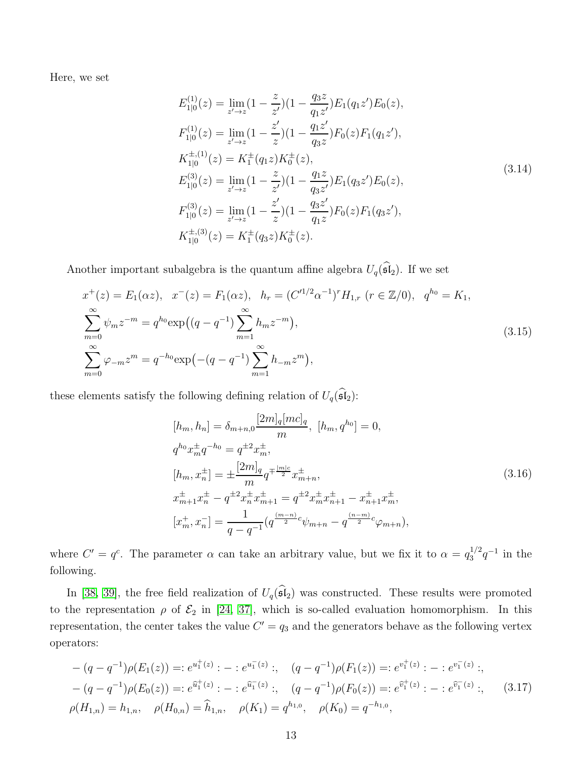<span id="page-13-1"></span>Here, we set

$$
E_{1|0}^{(1)}(z) = \lim_{z' \to z} (1 - \frac{z}{z'}) (1 - \frac{q_3 z}{q_1 z'}) E_1(q_1 z') E_0(z),
$$
  
\n
$$
F_{1|0}^{(1)}(z) = \lim_{z' \to z} (1 - \frac{z'}{z}) (1 - \frac{q_1 z'}{q_3 z}) F_0(z) F_1(q_1 z'),
$$
  
\n
$$
K_{1|0}^{\pm,(1)}(z) = K_1^{\pm}(q_1 z) K_0^{\pm}(z),
$$
  
\n
$$
E_{1|0}^{(3)}(z) = \lim_{z' \to z} (1 - \frac{z}{z'}) (1 - \frac{q_1 z}{q_3 z'}) E_1(q_3 z') E_0(z),
$$
  
\n
$$
F_{1|0}^{(3)}(z) = \lim_{z' \to z} (1 - \frac{z'}{z}) (1 - \frac{q_3 z'}{q_1 z}) F_0(z) F_1(q_3 z'),
$$
  
\n
$$
K_{1|0}^{\pm,(3)}(z) = K_1^{\pm}(q_3 z) K_0^{\pm}(z).
$$
  
\n(3.14)

Another important subalgebra is the quantum affine algebra  $U_q(\widehat{\mathfrak{sl}}_2)$ . If we set

$$
x^{+}(z) = E_{1}(\alpha z), \quad x^{-}(z) = F_{1}(\alpha z), \quad h_{r} = (C'^{1/2} \alpha^{-1})^{r} H_{1,r} \ (r \in \mathbb{Z}/0), \quad q^{h_{0}} = K_{1},
$$
  

$$
\sum_{m=0}^{\infty} \psi_{m} z^{-m} = q^{h_{0}} \exp\left((q - q^{-1}) \sum_{m=1}^{\infty} h_{m} z^{-m}\right),
$$
  

$$
\sum_{m=0}^{\infty} \varphi_{-m} z^{m} = q^{-h_{0}} \exp\left(-(q - q^{-1}) \sum_{m=1}^{\infty} h_{-m} z^{m}\right),
$$
\n(3.15)

these elements satisfy the following defining relation of  $U_q(\widehat{\mathfrak{sl}}_2)$ :

$$
[h_m, h_n] = \delta_{m+n,0} \frac{[2m]_q[mc]_q}{m}, [h_m, q^{h_0}] = 0,
$$
  
\n
$$
q^{h_0} x_m^{\pm} q^{-h_0} = q^{\pm 2} x_m^{\pm},
$$
  
\n
$$
[h_m, x_n^{\pm}] = \pm \frac{[2m]_q}{m} q^{\mp \frac{|m|c}{2}} x_{m+n}^{\pm},
$$
  
\n
$$
x_{m+1}^{\pm} x_n^{\pm} - q^{\pm 2} x_n^{\pm} x_{m+1}^{\pm} = q^{\pm 2} x_m^{\pm} x_{n+1}^{\pm} - x_{n+1}^{\pm} x_m^{\pm},
$$
  
\n
$$
[x_m^+, x_n^-] = \frac{1}{q - q^{-1}} (q^{\frac{(m-n)}{2}} \psi_{m+n} - q^{\frac{(n-m)}{2}} \psi_{m+n}),
$$
\n(3.16)

where  $C' = q^c$ . The parameter  $\alpha$  can take an arbitrary value, but we fix it to  $\alpha = q_3^{1/2}$  $j_3^{1/2}q^{-1}$  in the following.

In [\[38,](#page-43-2) [39\]](#page-43-3), the free field realization of  $U_q(\widehat{\mathfrak{sl}}_2)$  was constructed. These results were promoted to the representation  $\rho$  of  $\mathcal{E}_2$  in [\[24,](#page-42-4) [37\]](#page-43-1), which is so-called evaluation homomorphism. In this representation, the center takes the value  $C' = q_3$  and the generators behave as the following vertex operators:

<span id="page-13-0"></span>
$$
-(q - q^{-1})\rho(E_1(z)) =: e^{u_1^+(z)}: -: e^{u_1^-(z)}: , \quad (q - q^{-1})\rho(F_1(z)) =: e^{v_1^+(z)}: -: e^{v_1^-(z)}: ,
$$
  
\n
$$
-(q - q^{-1})\rho(E_0(z)) =: e^{\hat{u}_1^+(z)}: -: e^{\hat{u}_1^-(z)}: , \quad (q - q^{-1})\rho(F_0(z)) =: e^{\hat{v}_1^+(z)}: -: e^{\hat{v}_1^-(z)}: , \quad (3.17)
$$
  
\n
$$
\rho(H_{1,n}) = h_{1,n}, \quad \rho(H_{0,n}) = \hat{h}_{1,n}, \quad \rho(K_1) = q^{h_{1,0}}, \quad \rho(K_0) = q^{-h_{1,0}},
$$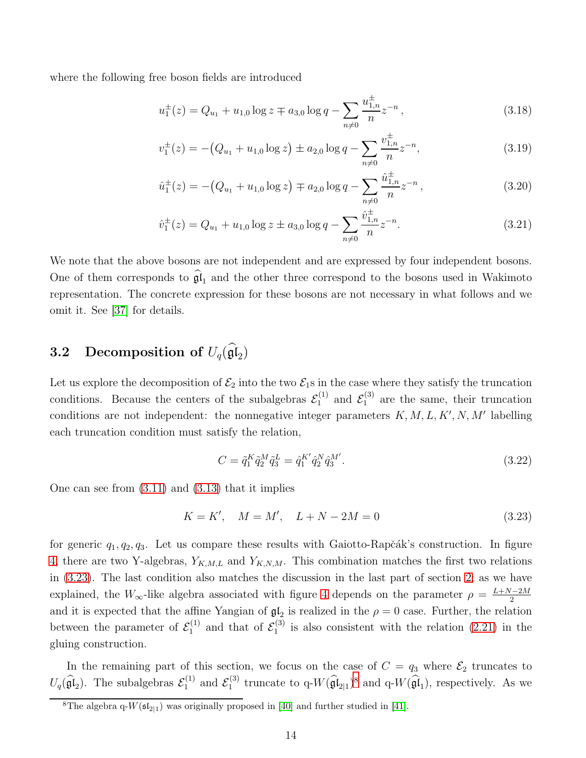where the following free boson fields are introduced

$$
u_1^{\pm}(z) = Q_{u_1} + u_{1,0} \log z \mp a_{3,0} \log q - \sum_{n \neq 0} \frac{u_{1,n}^{\pm}}{n} z^{-n}, \qquad (3.18)
$$

$$
v_1^{\pm}(z) = -\left(Q_{u_1} + u_{1,0}\log z\right) \pm a_{2,0}\log q - \sum_{n \neq 0} \frac{v_{1,n}^{\pm}}{n} z^{-n},\tag{3.19}
$$

$$
\hat{u}_1^{\pm}(z) = -\left(Q_{u_1} + u_{1,0}\log z\right) \mp a_{2,0}\log q - \sum_{n \neq 0} \frac{\hat{u}_{1,n}^{\pm}}{n} z^{-n},\tag{3.20}
$$

$$
\hat{v}_1^{\pm}(z) = Q_{u_1} + u_{1,0} \log z \pm a_{3,0} \log q - \sum_{n \neq 0} \frac{\hat{v}_{1,n}^{\pm}}{n} z^{-n}.
$$
\n(3.21)

We note that the above bosons are not independent and are expressed by four independent bosons. One of them corresponds to  $\mathfrak{gl}_1$  and the other three correspond to the bosons used in Wakimoto representation. The concrete expression for these bosons are not necessary in what follows and we omit it. See [\[37\]](#page-43-1) for details.

## <span id="page-14-0"></span>3.2 Decomposition of  $U_q(\mathfrak{gl}_2)$

Let us explore the decomposition of  $\mathcal{E}_2$  into the two  $\mathcal{E}_1$ s in the case where they satisfy the truncation conditions. Because the centers of the subalgebras  $\mathcal{E}_1^{(1)}$  and  $\mathcal{E}_1^{(3)}$  are the same, their truncation conditions are not independent: the nonnegative integer parameters  $K, M, L, K', N, M'$  labelling each truncation condition must satisfy the relation,

$$
C = \tilde{q}_1^K \tilde{q}_2^M \tilde{q}_3^L = \hat{q}_1^{K'} \hat{q}_2^N \hat{q}_3^{M'}.
$$
\n(3.22)

One can see from  $(3.11)$  and  $(3.13)$  that it implies

<span id="page-14-1"></span>
$$
K = K', \quad M = M', \quad L + N - 2M = 0 \tag{3.23}
$$

for generic  $q_1, q_2, q_3$ . Let us compare these results with Gaiotto-Rapčák's construction. In figure [4,](#page-10-2) there are two Y-algebras,  $Y_{K,M,L}$  and  $Y_{K,N,M}$ . This combination matches the first two relations in [\(3.23\)](#page-14-1). The last condition also matches the discussion in the last part of section [2;](#page-3-0) as we have explained, the  $W_{\infty}$ -like algebra associated with figure [4](#page-10-2) depends on the parameter  $\rho = \frac{L+N-2M}{2}$ 2 and it is expected that the affine Yangian of  $\mathfrak{gl}_2$  is realized in the  $\rho = 0$  case. Further, the relation between the parameter of  $\mathcal{E}_1^{(1)}$  $\zeta_1^{(1)}$  and that of  $\mathcal{E}_1^{(3)}$  $1^{(5)}$  is also consistent with the relation  $(2.21)$  in the gluing construction.

In the remaining part of this section, we focus on the case of  $C = q_3$  where  $\mathcal{E}_2$  truncates to  $U_q(\widehat{\mathfrak{gl}}_2)$ . The subalgebras  $\mathcal{E}_1^{(1)}$  $\mathcal{E}_1^{(1)}$  and  $\mathcal{E}_1^{(3)}$ <sup>(3)</sup> truncate to q- $W(\widehat{\mathfrak{gl}}_{2|1})^8$  $W(\widehat{\mathfrak{gl}}_{2|1})^8$  and q- $W(\widehat{\mathfrak{gl}}_1)$ , respectively. As we

<span id="page-14-2"></span><sup>&</sup>lt;sup>8</sup>The algebra  $q-W(\mathfrak{sl}_{2|1})$  was originally proposed in [\[40\]](#page-43-4) and further studied in [\[41\]](#page-43-5).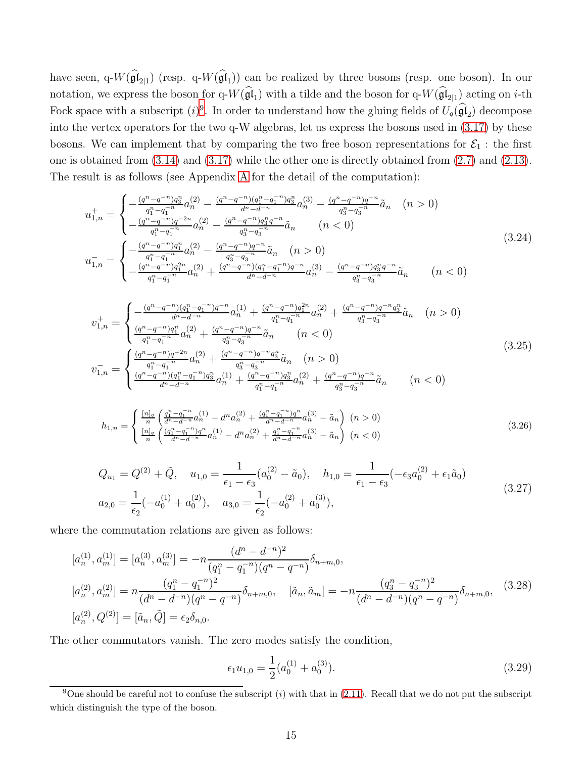have seen, q- $W(\mathfrak{gl}_{2|1})$  (resp. q- $W(\mathfrak{gl}_1)$ ) can be realized by three bosons (resp. one boson). In our notation, we express the boson for q- $W(\mathfrak{gl}_1)$  with a tilde and the boson for q- $W(\mathfrak{gl}_{2|1})$  acting on *i*-th Fock space with a subscript  $(i)^9$  $(i)^9$ . In order to understand how the gluing fields of  $U_q(\mathfrak{gl}_2)$  decompose into the vertex operators for the two q-W algebras, let us express the bosons used in [\(3.17\)](#page-13-0) by these bosons. We can implement that by comparing the two free boson representations for  $\mathcal{E}_1$ : the first one is obtained from [\(3.14\)](#page-13-1) and [\(3.17\)](#page-13-0) while the other one is directly obtained from [\(2.7\)](#page-4-0) and [\(2.13\)](#page-5-3). The result is as follows (see Appendix [A](#page-35-0) for the detail of the computation):

<span id="page-15-4"></span>
$$
u_{1,n}^{+} = \begin{cases} -\frac{(q^{n} - q^{-n})q_{3}^{n}}{q_{1}^{n} - q_{1}^{-n}} a_{n}^{n} - \frac{(q^{n} - q^{-n})(q_{1}^{n} - q_{1}^{-n})q_{3}^{n}}{d^{n} - d^{-n}} a_{n}^{n} - \frac{(q^{n} - q^{-n})q^{-n}}{q_{3}^{n} - q_{3}^{-n}} \tilde{a}_{n} & (n > 0) \\ -\frac{(q^{n} - q^{-n})q^{-2n}}{q_{1}^{n} - q_{1}^{-n}} a_{n}^{n} - \frac{(q^{n} - q^{-n})q_{3}^{n} q^{-n}}{q_{3}^{n} - q_{3}^{-n}} \tilde{a}_{n} & (n < 0) \end{cases}
$$
  
\n
$$
u_{1,n}^{-} = \begin{cases} -\frac{(q^{n} - q^{-n})q_{1}^{n}}{q_{1}^{n} - q_{1}^{-n}} a_{n}^{n} - \frac{(q^{n} - q^{-n})q^{-n}}{q_{3}^{n} - q_{3}^{-n}} \tilde{a}_{n} & (n > 0) \\ -\frac{(q^{n} - q^{-n})q_{1}^{n}}{q_{1}^{n} - q_{1}^{-n}} a_{n}^{n} + \frac{(q^{n} - q^{-n})(q_{1}^{n} - q_{1}^{-n})q^{-n}}{d^{n} - d^{-n}} a_{n}^{n} - \frac{(q^{n} - q^{-n})q_{3}^{n} q^{-n}}{q_{3}^{n} - q_{3}^{-n}} \tilde{a}_{n} & (n < 0) \end{cases}
$$
\n
$$
(3.24)
$$

<span id="page-15-2"></span>
$$
v_{1,n}^{+} = \begin{cases} -\frac{(q^{n} - q^{-n})(q_1^{n} - q_1^{-n})q^{-n}}{d^{n} - d^{-n}} a_n^{(1)} + \frac{(q^{n} - q^{-n})q_1^{2n}}{q_1^{n} - q_1^{-n}} a_n^{(2)} + \frac{(q^{n} - q^{-n})q^{-n}q_3^{n}}{q_3^{n} - q_3^{-n}} \tilde{a}_n & (n > 0) \\ \frac{(q^{n} - q^{-n})q_1^{n}}{q_1^{n} - q_1^{-n}} a_n^{(2)} + \frac{(q^{n} - q^{-n})q^{-n}}{q_3^{n} - q_3^{-n}} \tilde{a}_n & (n < 0) \\ v_{1,n}^{-} = \begin{cases} \frac{(q^{n} - q^{-n})q^{-2n}}{q_1^{n} - q_1^{-n}} a_n^{(2)} + \frac{(q^{n} - q^{-n})q^{-n}q_3^{n}}{q_3^{n} - q_3^{-n}} \tilde{a}_n & (n > 0) \\ \frac{(q^{n} - q^{-n})(q_1^{n} - q_1^{-n})q_3^{n}}{d^{n} - d^{-n}} a_n^{(1)} + \frac{(q^{n} - q^{-n})q_3^{n}}{q_1^{n} - q_1^{-n}} a_n^{(2)} + \frac{(q^{n} - q^{-n})q^{-n}}{q_3^{n} - q_3^{-n}} \tilde{a}_n & (n < 0) \end{cases} \end{cases} \tag{3.25}
$$

<span id="page-15-1"></span>
$$
h_{1,n} = \begin{cases} \frac{[n]_q}{n} \left( \frac{q_1^n - q_1^{-n}}{d^n - d^{-n}} a_n^{(1)} - d^n a_n^{(2)} + \frac{(q_1^n - q_1^{-n}) q^n}{d^n - d^{-n}} a_n^{(3)} - \tilde{a}_n \right) & (n > 0) \\ \frac{[n]_q}{n} \left( \frac{(q_1^n - q_1^{-n}) q^n}{d^n - d^{-n}} a_n^{(1)} - d^n a_n^{(2)} + \frac{q_1^n - q_1^{-n}}{d^n - d^{-n}} a_n^{(3)} - \tilde{a}_n \right) & (n < 0) \end{cases} \tag{3.26}
$$

$$
Q_{u_1} = Q^{(2)} + \tilde{Q}, \quad u_{1,0} = \frac{1}{\epsilon_1 - \epsilon_3} (a_0^{(2)} - \tilde{a}_0), \quad h_{1,0} = \frac{1}{\epsilon_1 - \epsilon_3} (-\epsilon_3 a_0^{(2)} + \epsilon_1 \tilde{a}_0)
$$
  
\n
$$
a_{2,0} = \frac{1}{\epsilon_2} (-a_0^{(1)} + a_0^{(2)}), \quad a_{3,0} = \frac{1}{\epsilon_2} (-a_0^{(2)} + a_0^{(3)}), \tag{3.27}
$$

where the commutation relations are given as follows:

<span id="page-15-3"></span>
$$
[a_n^{(1)}, a_m^{(1)}] = [a_n^{(3)}, a_m^{(3)}] = -n \frac{(d^n - d^{-n})^2}{(q_1^n - q_1^{-n})(q^n - q^{-n})} \delta_{n+m,0},
$$
  
\n
$$
[a_n^{(2)}, a_m^{(2)}] = n \frac{(q_1^n - q_1^{-n})^2}{(d^n - d^{-n})(q^n - q^{-n})} \delta_{n+m,0}, \quad [\tilde{a}_n, \tilde{a}_m] = -n \frac{(q_3^n - q_3^{-n})^2}{(d^n - d^{-n})(q^n - q^{-n})} \delta_{n+m,0}, \quad (3.28)
$$
  
\n
$$
[a_n^{(2)}, Q^{(2)}] = [\tilde{a}_n, \tilde{Q}] = \epsilon_2 \delta_{n,0}.
$$

The other commutators vanish. The zero modes satisfy the condition,

$$
\epsilon_1 u_{1,0} = \frac{1}{2} (a_0^{(1)} + a_0^{(3)}).
$$
\n(3.29)

<span id="page-15-0"></span><sup>&</sup>lt;sup>9</sup>One should be careful not to confuse the subscript (i) with that in [\(2.11\)](#page-5-4). Recall that we do not put the subscript which distinguish the type of the boson.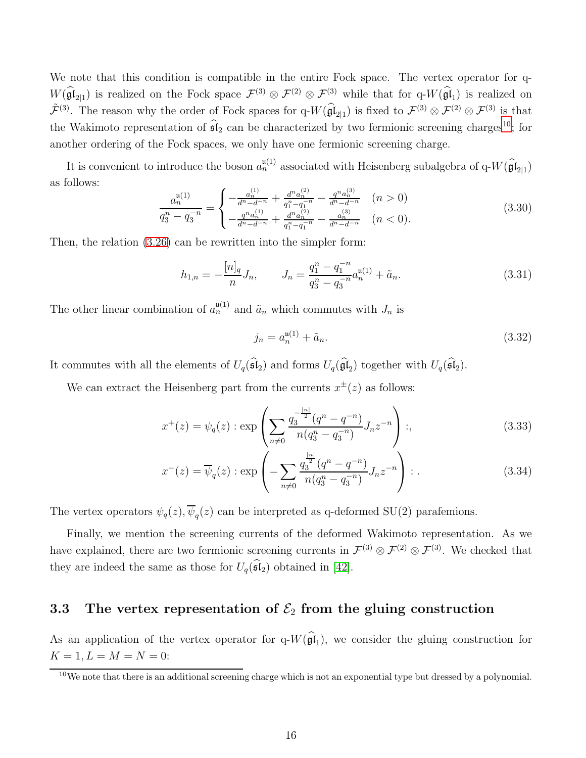We note that this condition is compatible in the entire Fock space. The vertex operator for q- $W(\hat{\mathfrak{gl}}_{2|1})$  is realized on the Fock space  $\mathcal{F}^{(3)} \otimes \mathcal{F}^{(2)} \otimes \mathcal{F}^{(3)}$  while that for q- $W(\hat{\mathfrak{gl}}_1)$  is realized on  $\tilde{\mathcal{F}}^{(3)}$ . The reason why the order of Fock spaces for  $q-W(\widehat{\mathfrak{gl}}_{2|1})$  is fixed to  $\mathcal{F}^{(3)}\otimes\mathcal{F}^{(2)}\otimes\mathcal{F}^{(3)}$  is that the Wakimoto representation of  $\widehat{\mathfrak{sl}}_2$  can be characterized by two fermionic screening charges<sup>[10](#page-16-1)</sup>; for another ordering of the Fock spaces, we only have one fermionic screening charge.

It is convenient to introduce the boson  $a_n^{\mathfrak{u}(1)}$  associated with Heisenberg subalgebra of  $q-W(\widehat{\mathfrak{gl}}_{2|1})$ as follows:

<span id="page-16-2"></span>
$$
\frac{a_n^{\mathfrak{u}(1)}}{q_3^n - q_3^{-n}} = \begin{cases}\n-\frac{a_n^{(1)}}{d^n - d^{-n}} + \frac{d^n a_n^{(2)}}{q_1^n - q_1^{-n}} - \frac{q^n a_n^{(3)}}{d^n - d^{-n}} & (n > 0) \\
-\frac{q^n a_n^{(1)}}{d^n - d^{-n}} + \frac{d^n a_n^{(2)}}{q_1^n - q_1^{-n}} - \frac{a_n^{(3)}}{d^n - d^{-n}} & (n < 0).\n\end{cases} (3.30)
$$

Then, the relation [\(3.26\)](#page-15-1) can be rewritten into the simpler form:

$$
h_{1,n} = -\frac{[n]_q}{n} J_n, \qquad J_n = \frac{q_1^n - q_1^{-n}}{q_3^n - q_3^{-n}} a_n^{\mathfrak{u}(1)} + \tilde{a}_n. \tag{3.31}
$$

The other linear combination of  $a_n^{\mathfrak{u}(1)}$  and  $\tilde{a}_n$  which commutes with  $J_n$  is

$$
j_n = a_n^{\mathfrak{u}(1)} + \tilde{a}_n. \tag{3.32}
$$

It commutes with all the elements of  $U_q(\mathfrak{sl}_2)$  and forms  $U_q(\mathfrak{gl}_2)$  together with  $U_q(\mathfrak{sl}_2)$ .

We can extract the Heisenberg part from the currents  $x^{\pm}(z)$  as follows:

$$
x^{+}(z) = \psi_{q}(z) : \exp\left(\sum_{n \neq 0} \frac{q_3^{-\frac{|n|}{2}}(q^n - q^{-n})}{n(q_3^n - q_3^{-n})} J_n z^{-n}\right) : , \tag{3.33}
$$

$$
x^{-}(z) = \overline{\psi}_q(z) : \exp\left(-\sum_{n \neq 0} \frac{q_3^{\frac{|n|}{2}}(q^n - q^{-n})}{n(q_3^n - q_3^{-n})} J_n z^{-n}\right) : . \tag{3.34}
$$

The vertex operators  $\psi_q(z)$ ,  $\psi_q(z)$  can be interpreted as q-deformed SU(2) parafemions.

Finally, we mention the screening currents of the deformed Wakimoto representation. As we have explained, there are two fermionic screening currents in  $\mathcal{F}^{(3)} \otimes \mathcal{F}^{(2)} \otimes \mathcal{F}^{(3)}$ . We checked that they are indeed the same as those for  $U_q(\widehat{\mathfrak{sl}}_2)$  obtained in [\[42\]](#page-43-6).

### <span id="page-16-0"></span>3.3 The vertex representation of  $\mathcal{E}_2$  from the gluing construction

As an application of the vertex operator for  $q-W(\mathfrak{gl}_1)$ , we consider the gluing construction for  $K = 1, L = M = N = 0:$ 

<span id="page-16-1"></span> $10$ We note that there is an additional screening charge which is not an exponential type but dressed by a polynomial.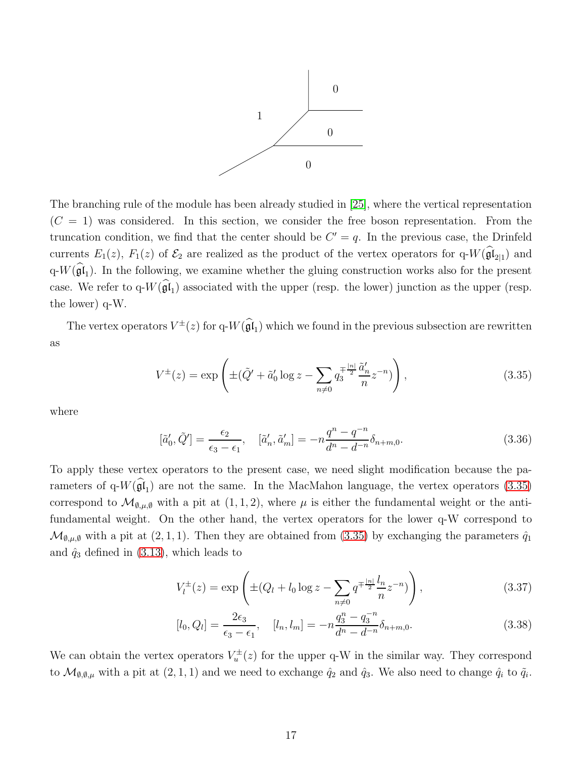

The branching rule of the module has been already studied in [\[25\]](#page-42-5), where the vertical representation  $(C = 1)$  was considered. In this section, we consider the free boson representation. From the truncation condition, we find that the center should be  $C' = q$ . In the previous case, the Drinfeld currents  $E_1(z)$ ,  $F_1(z)$  of  $\mathcal{E}_2$  are realized as the product of the vertex operators for  $q-W(\mathfrak{gl}_{2|1})$  and  $q-W(\mathfrak{gl}_1)$ . In the following, we examine whether the gluing construction works also for the present case. We refer to  $q-W(\mathfrak{gl}_1)$  associated with the upper (resp. the lower) junction as the upper (resp. the lower) q-W.

The vertex operators  $V^{\pm}(z)$  for  $q-W(\hat{\mathfrak{gl}}_1)$  which we found in the previous subsection are rewritten as

<span id="page-17-0"></span>
$$
V^{\pm}(z) = \exp\left(\pm(\tilde{Q}' + \tilde{a}'_0 \log z - \sum_{n \neq 0} q_3^{\mp \frac{|n|}{2}} \frac{\tilde{a}'_n}{n} z^{-n})\right),\tag{3.35}
$$

where

$$
[\tilde{a}'_0, \tilde{Q}'] = \frac{\epsilon_2}{\epsilon_3 - \epsilon_1}, \quad [\tilde{a}'_n, \tilde{a}'_m] = -n \frac{q^n - q^{-n}}{d^n - d^{-n}} \delta_{n+m,0}.
$$
\n(3.36)

To apply these vertex operators to the present case, we need slight modification because the parameters of q- $W(\mathfrak{gl}_1)$  are not the same. In the MacMahon language, the vertex operators [\(3.35\)](#page-17-0) correspond to  $\mathcal{M}_{\emptyset,\mu,\emptyset}$  with a pit at  $(1,1,2)$ , where  $\mu$  is either the fundamental weight or the antifundamental weight. On the other hand, the vertex operators for the lower q-W correspond to  $\mathcal{M}_{\emptyset,\mu,\emptyset}$  with a pit at  $(2,1,1)$ . Then they are obtained from  $(3.35)$  by exchanging the parameters  $\hat{q}_1$ and  $\hat{q}_3$  defined in [\(3.13\)](#page-12-0), which leads to

$$
V_l^{\pm}(z) = \exp\left(\pm (Q_l + l_0 \log z - \sum_{n \neq 0} q^{\mp \frac{|n|}{2}} \frac{l_n}{n} z^{-n})\right),\tag{3.37}
$$

$$
[l_0, Q_l] = \frac{2\epsilon_3}{\epsilon_3 - \epsilon_1}, \quad [l_n, l_m] = -n \frac{q_3^n - q_3^{-n}}{d^n - d^{-n}} \delta_{n+m,0}.
$$
\n(3.38)

We can obtain the vertex operators  $V_u^{\pm}(z)$  for the upper q-W in the similar way. They correspond to  $\mathcal{M}_{\emptyset,\emptyset,\mu}$  with a pit at  $(2,1,1)$  and we need to exchange  $\hat{q}_2$  and  $\hat{q}_3$ . We also need to change  $\hat{q}_i$  to  $\tilde{q}_i$ .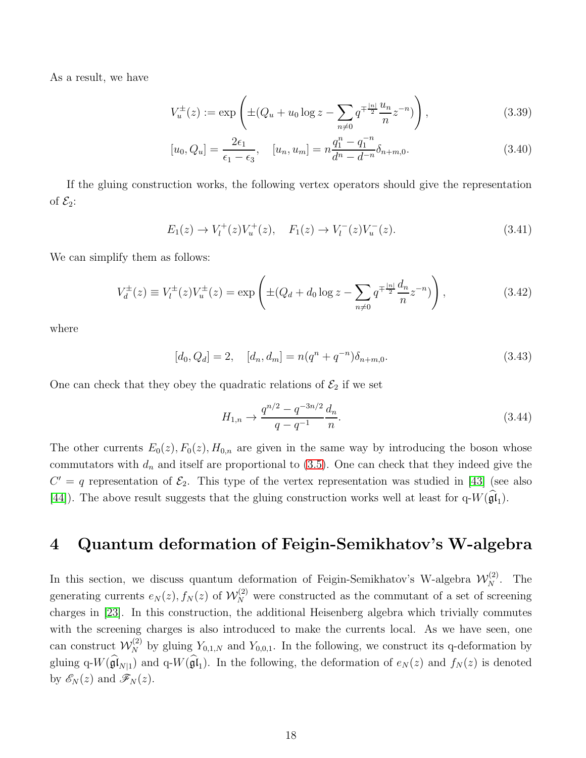As a result, we have

$$
V_u^{\pm}(z) := \exp\left(\pm(Q_u + u_0 \log z - \sum_{n \neq 0} q^{\mp \frac{|n|}{2}} \frac{u_n}{n} z^{-n})\right),\tag{3.39}
$$

$$
[u_0, Q_u] = \frac{2\epsilon_1}{\epsilon_1 - \epsilon_3}, \quad [u_n, u_m] = n\frac{q_1^n - q_1^{-n}}{d^n - d^{-n}}\delta_{n+m,0}.
$$
\n(3.40)

If the gluing construction works, the following vertex operators should give the representation of  $\mathcal{E}_2$ :

$$
E_1(z) \to V_l^+(z)V_u^+(z), \quad F_1(z) \to V_l^-(z)V_u^-(z). \tag{3.41}
$$

We can simplify them as follows:

$$
V_d^{\pm}(z) \equiv V_l^{\pm}(z)V_u^{\pm}(z) = \exp\left(\pm(Q_d + d_0 \log z - \sum_{n \neq 0} q^{\mp \frac{|n|}{2}} \frac{d_n}{n} z^{-n})\right),\tag{3.42}
$$

where

$$
[d_0, Q_d] = 2, \quad [d_n, d_m] = n(q^n + q^{-n})\delta_{n+m,0}.
$$
\n(3.43)

One can check that they obey the quadratic relations of  $\mathcal{E}_2$  if we set

$$
H_{1,n} \to \frac{q^{n/2} - q^{-3n/2}}{q - q^{-1}} \frac{d_n}{n}.\tag{3.44}
$$

The other currents  $E_0(z)$ ,  $F_0(z)$ ,  $H_{0,n}$  are given in the same way by introducing the boson whose commutators with  $d_n$  and itself are proportional to [\(3.5\)](#page-12-1). One can check that they indeed give the  $C' = q$  representation of  $\mathcal{E}_2$ . This type of the vertex representation was studied in [\[43\]](#page-43-7) (see also [\[44\]](#page-43-8)). The above result suggests that the gluing construction works well at least for  $q-W(\mathfrak{gl}_1)$ .

### <span id="page-18-0"></span>4 Quantum deformation of Feigin-Semikhatov's W-algebra

In this section, we discuss quantum deformation of Feigin-Semikhatov's W-algebra  $\mathcal{W}_N^{(2)}$ . The generating currents  $e_N(z)$ ,  $f_N(z)$  of  $\mathcal{W}_N^{(2)}$  were constructed as the commutant of a set of screening charges in [\[23\]](#page-42-3). In this construction, the additional Heisenberg algebra which trivially commutes with the screening charges is also introduced to make the currents local. As we have seen, one can construct  $\mathcal{W}_N^{(2)}$  by gluing  $Y_{0,1,N}$  and  $Y_{0,0,1}$ . In the following, we construct its q-deformation by gluing  $q-W(\mathfrak{gl}_{N|1})$  and  $q-W(\mathfrak{gl}_1)$ . In the following, the deformation of  $e_N(z)$  and  $f_N(z)$  is denoted by  $\mathscr{E}_N(z)$  and  $\mathscr{F}_N(z)$ .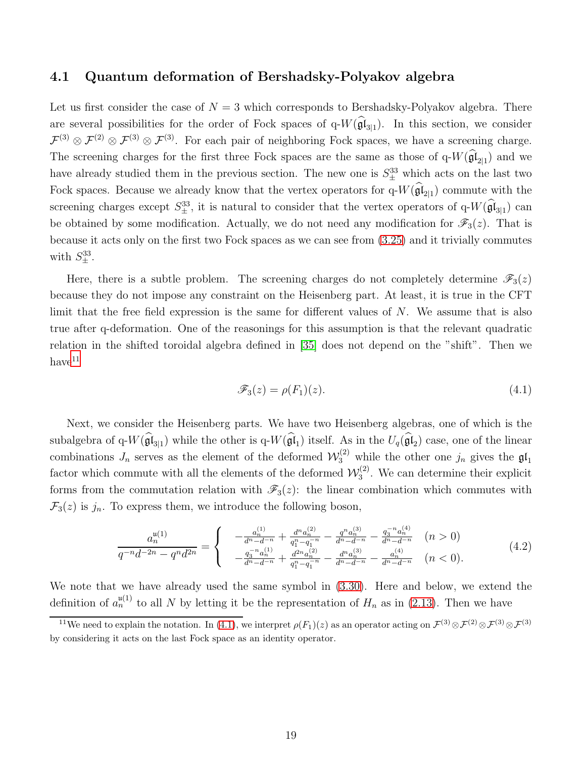#### <span id="page-19-0"></span>4.1 Quantum deformation of Bershadsky-Polyakov algebra

Let us first consider the case of  $N = 3$  which corresponds to Bershadsky-Polyakov algebra. There are several possibilities for the order of Fock spaces of  $q-W(\mathfrak{gl}_{3|1})$ . In this section, we consider  $\mathcal{F}^{(3)} \otimes \mathcal{F}^{(2)} \otimes \mathcal{F}^{(3)} \otimes \mathcal{F}^{(3)}$ . For each pair of neighboring Fock spaces, we have a screening charge. The screening charges for the first three Fock spaces are the same as those of  $q-W(\mathfrak{gl}_{2|1})$  and we have already studied them in the previous section. The new one is  $S_{\pm}^{33}$  which acts on the last two Fock spaces. Because we already know that the vertex operators for  $q-W(\mathfrak{gl}_{2|1})$  commute with the screening charges except  $S^{33}_{\pm}$ , it is natural to consider that the vertex operators of q- $W(\hat{\mathfrak{gl}}_{3|1})$  can be obtained by some modification. Actually, we do not need any modification for  $\mathscr{F}_3(z)$ . That is because it acts only on the first two Fock spaces as we can see from [\(3.25\)](#page-15-2) and it trivially commutes with  $S_{\pm}^{33}$ .

Here, there is a subtle problem. The screening charges do not completely determine  $\mathscr{F}_3(z)$ because they do not impose any constraint on the Heisenberg part. At least, it is true in the CFT limit that the free field expression is the same for different values of  $N$ . We assume that is also true after q-deformation. One of the reasonings for this assumption is that the relevant quadratic relation in the shifted toroidal algebra defined in [\[35\]](#page-42-15) does not depend on the "shift". Then we  $have<sup>11</sup>$  $have<sup>11</sup>$  $have<sup>11</sup>$ 

<span id="page-19-2"></span>
$$
\mathscr{F}_3(z) = \rho(F_1)(z). \tag{4.1}
$$

Next, we consider the Heisenberg parts. We have two Heisenberg algebras, one of which is the subalgebra of q- $W(\mathfrak{gl}_{3|1})$  while the other is q- $W(\mathfrak{gl}_1)$  itself. As in the  $U_q(\mathfrak{gl}_2)$  case, one of the linear combinations  $J_n$  serves as the element of the deformed  $\mathcal{W}_3^{(2)}$  while the other one  $j_n$  gives the  $\mathfrak{gl}_1$ factor which commute with all the elements of the deformed  $\mathcal{W}_3^{(2)}$  $3^{(2)}$ . We can determine their explicit forms from the commutation relation with  $\mathscr{F}_3(z)$ : the linear combination which commutes with  $\mathcal{F}_3(z)$  is  $j_n$ . To express them, we introduce the following boson,

$$
\frac{a_n^{u(1)}}{q^{-n}d^{-2n} - q^n d^{2n}} = \begin{cases}\n\frac{a_n^{(1)}}{d^n - d^{-n}} + \frac{d^n a_n^{(2)}}{q_1^n - q_1^{-n}} - \frac{q^n a_n^{(3)}}{d^n - d^{-n}} - \frac{q_3^{-n} a_n^{(4)}}{d^n - d^{-n}} & (n > 0) \\
-\frac{q_3^{-n} a_n^{(1)}}{d^n - d^{-n}} + \frac{d^{2n} a_n^{(2)}}{q_1^n - q_1^{-n}} - \frac{d^n a_n^{(3)}}{d^n - d^{-n}} - \frac{a_n^{(4)}}{d^n - d^{-n}} & (n < 0).\n\end{cases} (4.2)
$$

We note that we have already used the same symbol in [\(3.30\)](#page-16-2). Here and below, we extend the definition of  $a_n^{\mathfrak{u}(1)}$  to all N by letting it be the representation of  $H_n$  as in [\(2.13\)](#page-5-3). Then we have

<span id="page-19-1"></span><sup>&</sup>lt;sup>11</sup>We need to explain the notation. In [\(4.1\)](#page-19-2), we interpret  $\rho(F_1)(z)$  as an operator acting on  $\mathcal{F}^{(3)} \otimes \mathcal{F}^{(2)} \otimes \mathcal{F}^{(3)} \otimes \mathcal{F}^{(3)}$ by considering it acts on the last Fock space as an identity operator.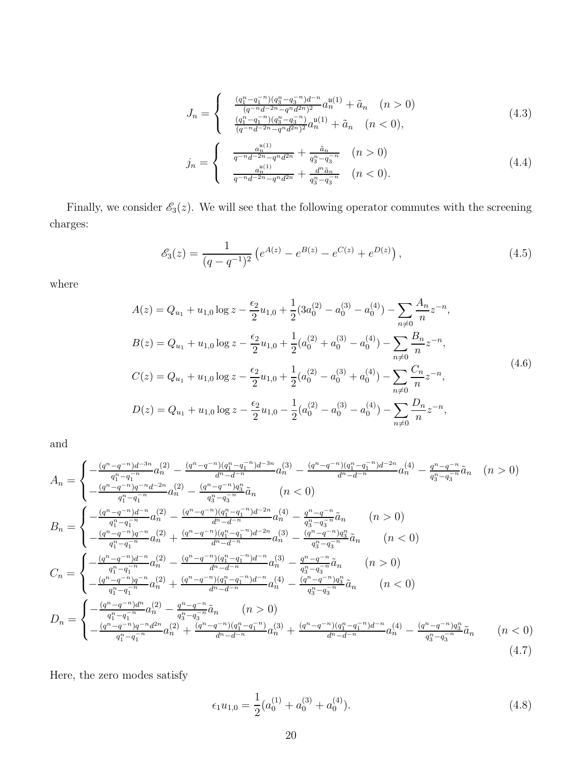$$
J_n = \begin{cases} \frac{(q_1^n - q_1^{-n})(q_3^n - q_3^{-n})d^{-n}}{(q^{-n}d^{-2n} - q^n d^{2n})^2} a_n^{(1)} + \tilde{a}_n & (n > 0) \\ \frac{(q_1^n - q_1^{-n})(q_3^n - q_3^{-n})}{(q^{-n}d^{-2n} - q^n d^{2n})^2} a_n^{(1)} + \tilde{a}_n & (n < 0), \end{cases} \tag{4.3}
$$

$$
j_n = \begin{cases} \frac{a_n^{u(1)}}{q^{-n}d^{-2n} - q^n d^{2n}} + \frac{\tilde{a}_n}{q_3^n - q_3^{-n}} & (n > 0) \\ \frac{a_n^{u(1)}}{q^{-n}d^{-2n} - q^n d^{2n}} + \frac{d^n \tilde{a}_n}{q_3^n - q_3^{-n}} & (n < 0). \end{cases}
$$
(4.4)

Finally, we consider  $\mathcal{E}_3(z)$ . We will see that the following operator commutes with the screening charges:

<span id="page-20-1"></span>
$$
\mathcal{E}_3(z) = \frac{1}{(q - q^{-1})^2} \left( e^{A(z)} - e^{B(z)} - e^{C(z)} + e^{D(z)} \right),\tag{4.5}
$$

where

$$
A(z) = Q_{u_1} + u_{1,0} \log z - \frac{\epsilon_2}{2} u_{1,0} + \frac{1}{2} (3a_0^{(2)} - a_0^{(3)} - a_0^{(4)}) - \sum_{n \neq 0} \frac{A_n}{n} z^{-n},
$$
  
\n
$$
B(z) = Q_{u_1} + u_{1,0} \log z - \frac{\epsilon_2}{2} u_{1,0} + \frac{1}{2} (a_0^{(2)} + a_0^{(3)} - a_0^{(4)}) - \sum_{n \neq 0} \frac{B_n}{n} z^{-n},
$$
  
\n
$$
C(z) = Q_{u_1} + u_{1,0} \log z - \frac{\epsilon_2}{2} u_{1,0} + \frac{1}{2} (a_0^{(2)} - a_0^{(3)} + a_0^{(4)}) - \sum_{n \neq 0} \frac{C_n}{n} z^{-n},
$$
  
\n
$$
D(z) = Q_{u_1} + u_{1,0} \log z - \frac{\epsilon_2}{2} u_{1,0} - \frac{1}{2} (a_0^{(2)} - a_0^{(3)} - a_0^{(4)}) - \sum_{n \neq 0} \frac{D_n}{n} z^{-n},
$$
  
\n(4.6)

and

<span id="page-20-0"></span>
$$
A_{n} = \begin{cases} -\frac{(q^{n}-q^{-n})d^{-3n}}{q_{1}^{n}-q_{1}^{-n}}a_{n}^{(2)} - \frac{(q^{n}-q^{-n})(q_{1}^{n}-q_{1}^{-n})d^{-3n}}{d^{n}-d^{-n}}a_{n}^{(3)} - \frac{(q^{n}-q^{-n})(q_{1}^{n}-q_{1}^{-n})d^{-2n}}{d^{n}-d^{-n}}a_{n}^{(4)} - \frac{q^{n}-q^{-n}}{q_{3}^{n}-q_{3}^{-n}}a_{n}^{(4)} - \frac{(q^{n}-q^{-n})q^{-n}d^{-2n}}{q_{1}^{n}-q_{1}^{-n}}a_{n}^{(2)} - \frac{(q^{n}-q^{-n})q_{3}^{n}}{q_{3}^{n}-q_{3}^{-n}}\tilde{a}_{n} & (n < 0) \end{cases}
$$
  
\n
$$
B_{n} = \begin{cases} -\frac{(q^{n}-q^{-n})d^{-n}}{q_{1}^{n}-q_{1}^{-n}}a_{n}^{(2)} - \frac{(q^{n}-q^{-n})(q_{1}^{n}-q_{1}^{-n})d^{-2n}}{d^{n}-d^{-n}}a_{n}^{(4)} - \frac{q^{n}-q^{-n}}{q_{3}^{n}-q_{3}^{-n}}\tilde{a}_{n} & (n > 0) \end{cases}
$$
  
\n
$$
B_{n} = \begin{cases} -\frac{(q^{n}-q^{-n})d^{-n}}{q_{1}^{n}-q_{1}^{-n}}a_{n}^{(2)} - \frac{(q^{n}-q^{-n})(q_{1}^{n}-q_{1}^{-n})d^{-2n}}{d^{n}-d^{-n}}a_{n}^{(4)} - \frac{q^{n}-q^{-n}}{q_{3}^{n}-q_{3}^{-n}}\tilde{a}_{n} & (n < 0) \end{cases}
$$
  
\n
$$
C_{n} = \begin{cases} -\frac{(q^{n}-q^{-n})d^{-n}}{q_{1}^{n}-q_{1}^{-n}}a_{n}^{(2)} - \frac{(q^{n}-q^{-n})(q_{1}^{n}-q_{1}^{-n})d^{-n}}{d^{n}-d^{-n}}a_{n}^{(3)} - \frac{(q^{n}-q^{-n})q_{3}^{n}}{q_{3}^{n}-q_{3}^{-n}}\tilde{a}_{n} & (n < 0) \end{cases}
$$
  
\n<math display="</math>

Here, the zero modes satisfy

<span id="page-20-2"></span>
$$
\epsilon_1 u_{1,0} = \frac{1}{2} (a_0^{(1)} + a_0^{(3)} + a_0^{(4)}).
$$
\n(4.8)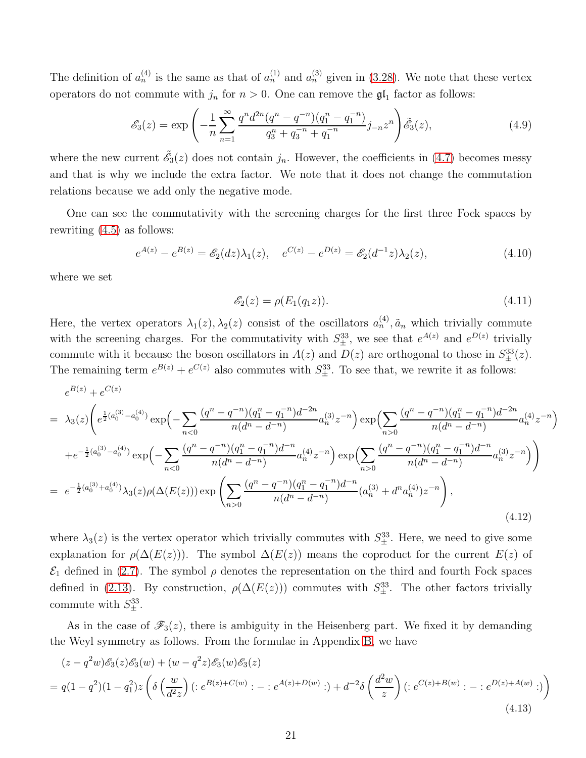The definition of  $a_n^{(4)}$  is the same as that of  $a_n^{(1)}$  and  $a_n^{(3)}$  given in [\(3.28\)](#page-15-3). We note that these vertex operators do not commute with  $j_n$  for  $n > 0$ . One can remove the  $\mathfrak{gl}_1$  factor as follows:

$$
\mathcal{E}_3(z) = \exp\left(-\frac{1}{n}\sum_{n=1}^{\infty} \frac{q^n d^{2n} (q^n - q^{-n})(q_1^n - q_1^{-n})}{q_3^n + q_3^{-n} + q_1^{-n}} j_{-n} z^n\right) \tilde{\mathcal{E}}_3(z),\tag{4.9}
$$

where the new current  $\tilde{\mathscr{E}}_3(z)$  does not contain  $j_n$ . However, the coefficients in [\(4.7\)](#page-20-0) becomes messy and that is why we include the extra factor. We note that it does not change the commutation relations because we add only the negative mode.

One can see the commutativity with the screening charges for the first three Fock spaces by rewriting [\(4.5\)](#page-20-1) as follows:

$$
e^{A(z)} - e^{B(z)} = \mathcal{E}_2(dz)\lambda_1(z), \quad e^{C(z)} - e^{D(z)} = \mathcal{E}_2(d^{-1}z)\lambda_2(z), \tag{4.10}
$$

where we set

$$
\mathcal{E}_2(z) = \rho(E_1(q_1 z)). \tag{4.11}
$$

Here, the vertex operators  $\lambda_1(z), \lambda_2(z)$  consist of the oscillators  $a_n^{(4)}$ ,  $\tilde{a}_n$  which trivially commute with the screening charges. For the commutativity with  $S_{\pm}^{33}$ , we see that  $e^{A(z)}$  and  $e^{D(z)}$  trivially commute with it because the boson oscillators in  $A(z)$  and  $D(z)$  are orthogonal to those in  $S_{\pm}^{33}(z)$ . The remaining term  $e^{B(z)} + e^{C(z)}$  also commutes with  $S_{\pm}^{33}$ . To see that, we rewrite it as follows:

$$
e^{B(z)} + e^{C(z)}
$$
\n
$$
= \lambda_3(z) \left( e^{\frac{1}{2}(a_0^{(3)} - a_0^{(4)})} \exp\left(-\sum_{n < 0} \frac{(q^n - q^{-n})(q_1^n - q_1^{-n})d^{-2n}}{n(d^n - d^{-n})} a_n^{(3)} z^{-n}\right) \exp\left(\sum_{n > 0} \frac{(q^n - q^{-n})(q_1^n - q_1^{-n})d^{-2n}}{n(d^n - d^{-n})} a_n^{(4)} z^{-n}\right) \right)
$$
\n
$$
+ e^{-\frac{1}{2}(a_0^{(3)} - a_0^{(4)})} \exp\left(-\sum_{n < 0} \frac{(q^n - q^{-n})(q_1^n - q_1^{-n})d^{-n}}{n(d^n - d^{-n})} a_n^{(4)} z^{-n}\right) \exp\left(\sum_{n > 0} \frac{(q^n - q^{-n})(q_1^n - q_1^{-n})d^{-n}}{n(d^n - d^{-n})} a_n^{(3)} z^{-n}\right) \right)
$$
\n
$$
= e^{-\frac{1}{2}(a_0^{(3)} + a_0^{(4)})} \lambda_3(z) \rho(\Delta(E(z))) \exp\left(\sum_{n > 0} \frac{(q^n - q^{-n})(q_1^n - q_1^{-n})d^{-n}}{n(d^n - d^{-n})} (a_n^{(3)} + d^n a_n^{(4)}) z^{-n}\right), \tag{4.12}
$$

where  $\lambda_3(z)$  is the vertex operator which trivially commutes with  $S_{\pm}^{33}$ . Here, we need to give some explanation for  $\rho(\Delta(E(z)))$ . The symbol  $\Delta(E(z))$  means the coproduct for the current  $E(z)$  of  $\mathcal{E}_1$  defined in [\(2.7\)](#page-4-0). The symbol  $\rho$  denotes the representation on the third and fourth Fock spaces defined in [\(2.13\)](#page-5-3). By construction,  $\rho(\Delta(E(z)))$  commutes with  $S_{\pm}^{33}$ . The other factors trivially commute with  $S_{\pm}^{33}$ .

As in the case of  $\mathscr{F}_3(z)$ , there is ambiguity in the Heisenberg part. We fixed it by demanding the Weyl symmetry as follows. From the formulae in Appendix [B,](#page-36-0) we have

<span id="page-21-0"></span>
$$
(z - q2w)\mathscr{E}_{3}(z)\mathscr{E}_{3}(w) + (w - q2z)\mathscr{E}_{3}(w)\mathscr{E}_{3}(z)
$$
  
=  $q(1 - q^{2})(1 - q_{1}^{2})z \left( \delta \left( \frac{w}{d^{2}z} \right) ( :e^{B(z) + C(w)}: - :e^{A(z) + D(w)}: ) + d^{-2} \delta \left( \frac{d^{2}w}{z} \right) ( :e^{C(z) + B(w)}: - :e^{D(z) + A(w)}: ) \right)$   
(4.13)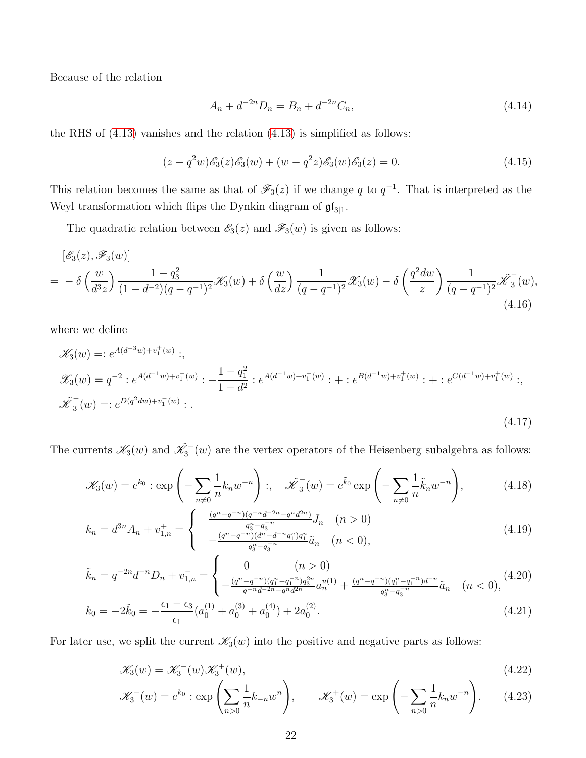Because of the relation

$$
A_n + d^{-2n} D_n = B_n + d^{-2n} C_n,
$$
\n(4.14)

the RHS of [\(4.13\)](#page-21-0) vanishes and the relation [\(4.13\)](#page-21-0) is simplified as follows:

$$
(z - q2w)\mathscr{E}_{3}(z)\mathscr{E}_{3}(w) + (w - q2z)\mathscr{E}_{3}(w)\mathscr{E}_{3}(z) = 0.
$$
\n(4.15)

This relation becomes the same as that of  $\mathscr{F}_3(z)$  if we change q to  $q^{-1}$ . That is interpreted as the Weyl transformation which flips the Dynkin diagram of  $\mathfrak{gl}_{3|1}$ .

The quadratic relation between  $\mathscr{E}_3(z)$  and  $\mathscr{F}_3(w)$  is given as follows:

<span id="page-22-0"></span>
$$
[\mathcal{E}_3(z), \mathcal{F}_3(w)]
$$
  
=  $-\delta \left(\frac{w}{d^3 z}\right) \frac{1 - q_3^2}{(1 - d^{-2})(q - q^{-1})^2} \mathcal{K}_3(w) + \delta \left(\frac{w}{dz}\right) \frac{1}{(q - q^{-1})^2} \mathcal{K}_3(w) - \delta \left(\frac{q^2 dw}{z}\right) \frac{1}{(q - q^{-1})^2} \mathcal{K}_3(w),$ \n  
(4.16)

where we define

$$
\mathcal{K}_3(w) =: e^{A(d^{-3}w) + v_1^+(w)}:,
$$
\n
$$
\mathcal{K}_3(w) = q^{-2} : e^{A(d^{-1}w) + v_1^-(w)} : -\frac{1 - q_1^2}{1 - d^2} : e^{A(d^{-1}w) + v_1^+(w)} : + : e^{B(d^{-1}w) + v_1^+(w)} : + : e^{C(d^{-1}w) + v_1^+(w)}:,
$$
\n
$$
\tilde{\mathcal{K}}_3^-(w) =: e^{D(q^2dw) + v_1^-(w)} : .
$$
\n(4.17)

The currents  $\mathscr{K}_3(w)$  and  $\tilde{\mathscr{K}}_3^-(w)$  are the vertex operators of the Heisenberg subalgebra as follows:

$$
\mathscr{K}_3(w) = e^{k_0} : \exp\left(-\sum_{n\neq 0} \frac{1}{n} k_n w^{-n}\right) : , \quad \tilde{\mathscr{K}}_3^-(w) = e^{\tilde{k}_0} \exp\left(-\sum_{n\neq 0} \frac{1}{n} \tilde{k}_n w^{-n}\right), \tag{4.18}
$$

$$
k_n = d^{3n} A_n + v_{1,n}^+ = \begin{cases} \frac{(q^n - q^{-n})(q^{-n}d^{-2n} - q^n d^{2n})}{q_3^n - q_3^{-n}} J_n & (n > 0) \\ -\frac{(q^n - q^{-n})(d^n - d^{-n}q_1^n)q_1^n}{q_3^n - q_3^{-n}} \tilde{a}_n & (n < 0), \end{cases} \tag{4.19}
$$

$$
\tilde{k}_n = q^{-2n} d^{-n} D_n + v_{1,n}^- = \begin{cases}\n0 & (n > 0) \\
-\frac{(q^n - q^{-n})(q_1^n - q_1^{-n})q_3^{2n}}{q^{-n} d^{-2n} - q^n d^{2n}} a_n^{u(1)} + \frac{(q^n - q^{-n})(q_1^n - q_1^{-n})d^{-n}}{q_3^{n} - q_3^{-n}} \tilde{a}_n & (n < 0),\n\end{cases}
$$
\n(4.20)

$$
k_0 = -2\tilde{k}_0 = -\frac{\epsilon_1 - \epsilon_3}{\epsilon_1} (a_0^{(1)} + a_0^{(3)} + a_0^{(4)}) + 2a_0^{(2)}.
$$
\n(4.21)

For later use, we split the current  $\mathscr{K}_3(w)$  into the positive and negative parts as follows:

$$
\mathcal{K}_3(w) = \mathcal{K}_3^-(w)\mathcal{K}_3^+(w),\tag{4.22}
$$

$$
\mathcal{K}_3^{-}(w) = e^{k_0} : \exp\left(\sum_{n>0} \frac{1}{n} k_{-n} w^n\right), \qquad \mathcal{K}_3^{+}(w) = \exp\left(-\sum_{n>0} \frac{1}{n} k_n w^{-n}\right). \tag{4.23}
$$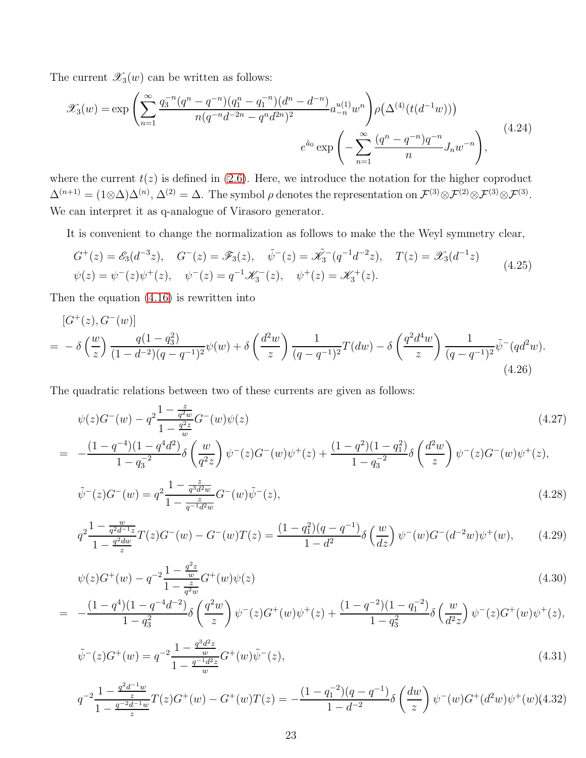The current  $\mathscr{X}_3(w)$  can be written as follows:

$$
\mathcal{X}_3(w) = \exp\left(\sum_{n=1}^{\infty} \frac{q_3^{-n} (q^n - q^{-n}) (q_1^n - q_1^{-n}) (d^n - d^{-n})}{n (q^{-n} d^{-2n} - q^n d^{2n})^2} a_{-n}^{u(1)} w^n \right) \rho\left(\Delta^{(4)}(t(d^{-1}w))\right)
$$
\n
$$
e^{\tilde{a}_0} \exp\left(-\sum_{n=1}^{\infty} \frac{(q^n - q^{-n}) q^{-n}}{n} J_n w^{-n}\right),
$$
\n(4.24)

where the current  $t(z)$  is defined in [\(2.6\)](#page-4-1). Here, we introduce the notation for the higher coproduct  $\Delta^{(n+1)} = (1 \otimes \Delta) \Delta^{(n)}, \Delta^{(2)} = \Delta$ . The symbol  $\rho$  denotes the representation on  $\mathcal{F}^{(3)} \otimes \mathcal{F}^{(2)} \otimes \mathcal{F}^{(3)} \otimes \mathcal{F}^{(3)}$ . We can interpret it as q-analogue of Virasoro generator.

It is convenient to change the normalization as follows to make the the Weyl symmetry clear,

$$
G^+(z) = \mathcal{E}_3(d^{-3}z), \quad G^-(z) = \mathcal{F}_3(z), \quad \tilde{\psi}^-(z) = \tilde{\mathcal{K}}_3^-(q^{-1}d^{-2}z), \quad T(z) = \mathcal{K}_3(d^{-1}z)
$$
  

$$
\psi(z) = \psi^-(z)\psi^+(z), \quad \psi^-(z) = q^{-1}\mathcal{K}_3^-(z), \quad \psi^+(z) = \mathcal{K}_3^+(z).
$$
 (4.25)

Then the equation [\(4.16\)](#page-22-0) is rewritten into

<span id="page-23-0"></span>
$$
[G^+(z), G^-(w)]
$$
  
=  $-\delta \left(\frac{w}{z}\right) \frac{q(1-q_3^2)}{(1-d^{-2})(q-q^{-1})^2} \psi(w) + \delta \left(\frac{d^2w}{z}\right) \frac{1}{(q-q^{-1})^2} T(dw) - \delta \left(\frac{q^2d^4w}{z}\right) \frac{1}{(q-q^{-1})^2} \tilde{\psi}^-(qd^2w).$  (4.26)

The quadratic relations between two of these currents are given as follows:

<span id="page-23-1"></span>
$$
\psi(z)G^{-}(w) - q^{2} \frac{1 - \frac{z}{q^{2}w}}{1 - \frac{q^{2}z}{w}} G^{-}(w)\psi(z)
$$
\n
$$
(1 - \frac{z}{q^{2}(1 - \frac{q^{2}}{w})} \left(\frac{1}{q^{2}(1 - \frac{q^{2}}{w})} + \frac{1}{q^{2}(1 - \frac{q^{2}}{w})} + \frac{1}{q^{2}(1 - \frac{q^{2}}{w})} + \frac{1}{q^{2}(1 - \frac{q^{2}}{w})} + \frac{1}{q^{2}(1 - \frac{q^{2}}{w})} + \frac{1}{q^{2}(1 - \frac{q^{2}}{w})} + \frac{1}{q^{2}(1 - \frac{q^{2}}{w})} + \frac{1}{q^{2}(1 - \frac{q^{2}}{w})} + \frac{1}{q^{2}(1 - \frac{q^{2}}{w})} + \frac{1}{q^{2}(1 - \frac{q^{2}}{w})} + \frac{1}{q^{2}(1 - \frac{q^{2}}{w})} + \frac{1}{q^{2}(1 - \frac{q^{2}}{w})} + \frac{1}{q^{2}(1 - \frac{q^{2}}{w})} + \frac{1}{q^{2}(1 - \frac{q^{2}}{w})} + \frac{1}{q^{2}(1 - \frac{q^{2}}{w})} + \frac{1}{q^{2}(1 - \frac{q^{2}}{w})} + \frac{1}{q^{2}(1 - \frac{q^{2}}{w})} + \frac{1}{q^{2}(1 - \frac{q^{2}}{w})} + \frac{1}{q^{2}(1 - \frac{q^{2}}{w})} + \frac{1}{q^{2}(1 - \frac{q^{2}}{w})} + \frac{1}{q^{2}(1 - \frac{q^{2}}{w})} + \frac{1}{q^{2}(1 - \frac{q^{2}}{w})} + \frac{1}{q^{2}(1 - \frac{q^{2}}{w})} + \frac{1}{q^{2}(1 - \frac{q^{2}}{w})} + \frac{1}{q^{2}(1 - \frac{q^{2}}{w})} + \frac{1}{q^{2}(1 - \frac{q^{2}}{w})} + \frac{1}{q^{2}(1 - \frac{q^{2}}{w})} + \frac{1}{q^{2}(1 - \frac{q^{2}}{w})} + \frac{1}{q^{2}(1 - \frac{q^{2}}{w})} + \frac{1}{q
$$

$$
= -\frac{(1-q^{-4})(1-q^4d^2)}{1-q_3^{-2}}\delta\left(\frac{w}{q^2z}\right)\psi^-(z)G^-(w)\psi^+(z) + \frac{(1-q^2)(1-q_1^2)}{1-q_3^{-2}}\delta\left(\frac{d^2w}{z}\right)\psi^-(z)G^-(w)\psi^+(z),
$$

$$
\tilde{\psi}^-(z)G^-(w) = q^2 \frac{1 - \frac{z}{q^3 d^2 w}}{1 - \frac{z}{q^{-1} d^2 w}} G^-(w) \tilde{\psi}^-(z),\tag{4.28}
$$

$$
q^{2} \frac{1 - \frac{w}{q^{2}d^{-1}z}}{1 - \frac{q^{2}dw}{z}} T(z)G^{-}(w) - G^{-}(w)T(z) = \frac{(1 - q_{1}^{2})(q - q^{-1})}{1 - d^{2}} \delta\left(\frac{w}{dz}\right) \psi^{-}(w)G^{-}(d^{-2}w)\psi^{+}(w), \tag{4.29}
$$

$$
\psi(z)G^{+}(w) - q^{-2} \frac{1 - \frac{q^{2}z}{w}}{1 - \frac{z}{q^{2}w}} G^{+}(w)\psi(z)
$$
\n
$$
= -\frac{(1 - q^{4})(1 - q^{-4}d^{-2})}{1 - q_{3}^{2}} \delta\left(\frac{q^{2}w}{z}\right) \psi^{-}(z)G^{+}(w)\psi^{+}(z) + \frac{(1 - q^{-2})(1 - q_{1}^{-2})}{1 - q_{3}^{2}} \delta\left(\frac{w}{d^{2}z}\right) \psi^{-}(z)G^{+}(w)\psi^{+}(z),
$$
\n(4.30)

$$
\tilde{\psi}^-(z)G^+(w) = q^{-2} \frac{1 - \frac{q^3 d^2 z}{w}}{1 - \frac{q^{-1} d^2 z}{w}} G^+(w) \tilde{\psi}^-(z),\tag{4.31}
$$

$$
q^{-2} \frac{1 - \frac{q^2 d^{-1} w}{z}}{1 - \frac{q^{-2} d^{-1} w}{z}} T(z) G^{+}(w) - G^{+}(w) T(z) = -\frac{(1 - q_1^{-2})(q - q^{-1})}{1 - d^{-2}} \delta\left(\frac{dw}{z}\right) \psi^{-}(w) G^{+}(d^2 w) \psi^{+}(w) (4.32)
$$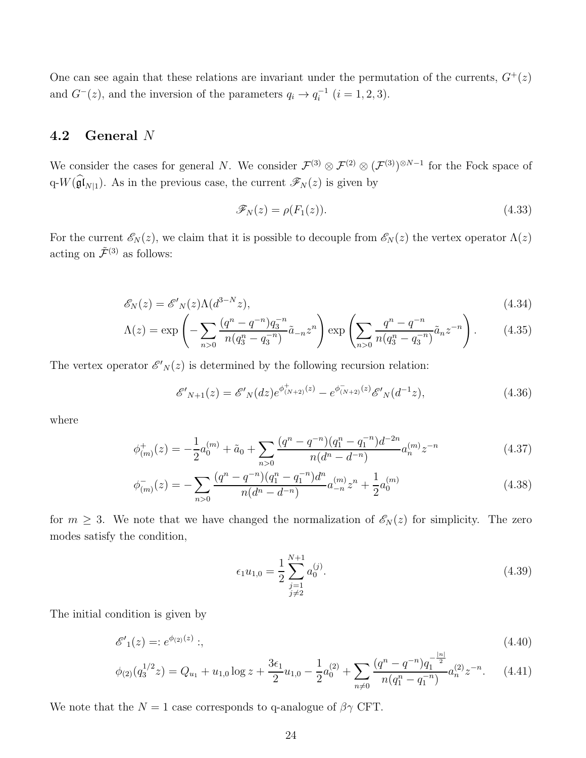One can see again that these relations are invariant under the permutation of the currents,  $G^+(z)$ and  $G^{-}(z)$ , and the inversion of the parameters  $q_i \to q_i^{-1}$  $i_i^{-1}$   $(i = 1, 2, 3).$ 

#### <span id="page-24-0"></span>4.2 General N

We consider the cases for general N. We consider  $\mathcal{F}^{(3)} \otimes \mathcal{F}^{(2)} \otimes (\mathcal{F}^{(3)})^{\otimes N-1}$  for the Fock space of q- $W(\widehat{\mathfrak{gl}}_{N|1})$ . As in the previous case, the current  $\mathscr{F}_N(z)$  is given by

$$
\mathcal{F}_N(z) = \rho(F_1(z)).\tag{4.33}
$$

For the current  $\mathscr{E}_N(z)$ , we claim that it is possible to decouple from  $\mathscr{E}_N(z)$  the vertex operator  $\Lambda(z)$ acting on  $\tilde{\mathcal{F}}^{(3)}$  as follows:

$$
\mathcal{E}_N(z) = \mathcal{E}'_N(z) \Lambda(d^{3-N}z),\tag{4.34}
$$

$$
\Lambda(z) = \exp\left(-\sum_{n>0} \frac{(q^n - q^{-n})q_3^{-n}}{n(q_3^n - q_3^{-n})} \tilde{a}_{-n} z^n\right) \exp\left(\sum_{n>0} \frac{q^n - q^{-n}}{n(q_3^n - q_3^{-n})} \tilde{a}_n z^{-n}\right). \tag{4.35}
$$

The vertex operator  $\mathscr{E}'_N(z)$  is determined by the following recursion relation:

<span id="page-24-1"></span>
$$
\mathscr{E'}_{N+1}(z) = \mathscr{E'}_N(dz)e^{\phi^+_{(N+2)}(z)} - e^{\phi^-_{(N+2)}(z)}\mathscr{E'}_N(d^{-1}z),\tag{4.36}
$$

where

<span id="page-24-2"></span>
$$
\phi_{(m)}^+(z) = -\frac{1}{2}a_0^{(m)} + \tilde{a}_0 + \sum_{n>0} \frac{(q^n - q^{-n})(q_1^n - q_1^{-n})d^{-2n}}{n(d^n - d^{-n})} a_n^{(m)} z^{-n}
$$
\n(4.37)

$$
\phi_{(m)}^{-}(z) = -\sum_{n>0} \frac{(q^n - q^{-n})(q_1^n - q_1^{-n})d^n}{n(d^n - d^{-n})} a_{-n}^{(m)} z^n + \frac{1}{2} a_0^{(m)} \tag{4.38}
$$

for  $m \geq 3$ . We note that we have changed the normalization of  $\mathscr{E}_N(z)$  for simplicity. The zero modes satisfy the condition,

$$
\epsilon_1 u_{1,0} = \frac{1}{2} \sum_{\substack{j=1 \ j \neq 2}}^{N+1} a_0^{(j)}.
$$
\n(4.39)

The initial condition is given by

$$
\mathscr{E'}_1(z) =: e^{\phi_{(2)}(z)}:, \tag{4.40}
$$

$$
\phi_{(2)}(q_3^{1/2}z) = Q_{u_1} + u_{1,0} \log z + \frac{3\epsilon_1}{2}u_{1,0} - \frac{1}{2}a_0^{(2)} + \sum_{n \neq 0} \frac{(q^n - q^{-n})q_1^{-\frac{|n|}{2}}}{n(q_1^n - q_1^{-n})} a_n^{(2)} z^{-n}.
$$
 (4.41)

We note that the  $N = 1$  case corresponds to q-analogue of  $\beta \gamma$  CFT.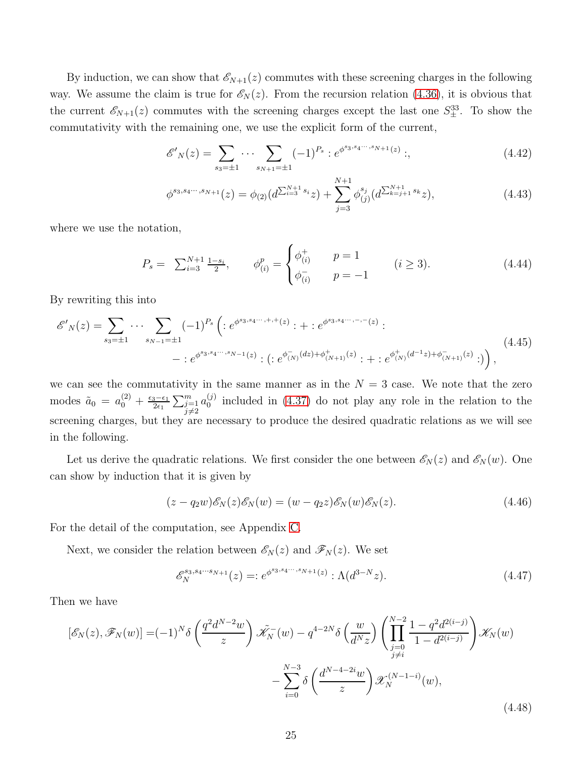By induction, we can show that  $\mathcal{E}_{N+1}(z)$  commutes with these screening charges in the following way. We assume the claim is true for  $\mathscr{E}_N(z)$ . From the recursion relation [\(4.36\)](#page-24-1), it is obvious that the current  $\mathscr{E}_{N+1}(z)$  commutes with the screening charges except the last one  $S_{\pm}^{33}$ . To show the commutativity with the remaining one, we use the explicit form of the current,

$$
\mathcal{E}'_N(z) = \sum_{s_3 = \pm 1} \cdots \sum_{s_{N+1} = \pm 1} (-1)^{P_s} : e^{\phi^{s_3, s_4 \cdots, s_{N+1}}(z)}; \tag{4.42}
$$

$$
\phi^{s_3, s_4 \cdots, s_{N+1}}(z) = \phi_{(2)}(d^{\sum_{i=3}^{N+1} s_i} z) + \sum_{j=3}^{N+1} \phi_{(j)}^{s_j}(d^{\sum_{k=j+1}^{N+1} s_k} z), \tag{4.43}
$$

where we use the notation,

$$
P_s = \sum_{i=3}^{N+1} \frac{1-s_i}{2}, \qquad \phi_{(i)}^p = \begin{cases} \phi_{(i)}^+ & p = 1\\ \phi_{(i)}^- & p = -1 \end{cases} \qquad (i \ge 3). \tag{4.44}
$$

By rewriting this into

$$
\mathscr{E}'_{N}(z) = \sum_{s_{3}=\pm 1} \cdots \sum_{s_{N-1}=\pm 1} (-1)^{P_{s}} \left( :e^{\phi^{s_{3},s_{4}\cdots,+,+}(z)}: + :e^{\phi^{s_{3},s_{4}\cdots,-,-}(z)}: \right. \\
 \left. - :e^{\phi^{s_{3},s_{4}\cdots,s_{N-1}}(z)}: ( :e^{\phi_{(N)}^{-}(dz)+\phi_{(N+1)}^{+}(z)}: + :e^{\phi_{(N)}^{+}(d^{-1}z)+\phi_{(N+1)}^{-}(z)}: \right),
$$
\n
$$
(4.45)
$$

we can see the commutativity in the same manner as in the  $N = 3$  case. We note that the zero modes  $\tilde{a}_0 = a_0^{(2)} + \frac{\epsilon_3 - \epsilon_1}{2\epsilon_1}$  $\frac{3-\epsilon_1}{2\epsilon_1} \sum_{\substack{j=1\\j\neq j}}^m$  $j\neq 2$  $a_0^{(j)}$  $_{0}^{(j)}$  included in  $(4.37)$  do not play any role in the relation to the screening charges, but they are necessary to produce the desired quadratic relations as we will see in the following.

Let us derive the quadratic relations. We first consider the one between  $\mathscr{E}_N(z)$  and  $\mathscr{E}_N(w)$ . One can show by induction that it is given by

<span id="page-25-0"></span>
$$
(z - q_2 w)\mathscr{E}_N(z)\mathscr{E}_N(w) = (w - q_2 z)\mathscr{E}_N(w)\mathscr{E}_N(z).
$$
\n(4.46)

For the detail of the computation, see Appendix [C.](#page-38-0)

Next, we consider the relation between  $\mathscr{E}_N(z)$  and  $\mathscr{F}_N(z)$ . We set

$$
\mathcal{E}_N^{s_3, s_4 \cdots s_{N+1}}(z) =: e^{\phi^{s_3, s_4 \cdots, s_{N+1}}(z)} : \Lambda(d^{3-N}z). \tag{4.47}
$$

Then we have

<span id="page-25-1"></span>
$$
[\mathscr{E}_{N}(z), \mathscr{F}_{N}(w)] = (-1)^{N} \delta \left( \frac{q^{2} d^{N-2} w}{z} \right) \tilde{\mathscr{K}}_{N}(w) - q^{4-2N} \delta \left( \frac{w}{d^{N} z} \right) \left( \prod_{\substack{j=0 \ j \neq i}}^{N-2} \frac{1 - q^{2} d^{2(i-j)}}{1 - d^{2(i-j)}} \right) \mathscr{K}_{N}(w) - \sum_{i=0}^{N-3} \delta \left( \frac{d^{N-4-2i} w}{z} \right) \mathscr{K}_{N}^{(N-1-i)}(w), \tag{4.48}
$$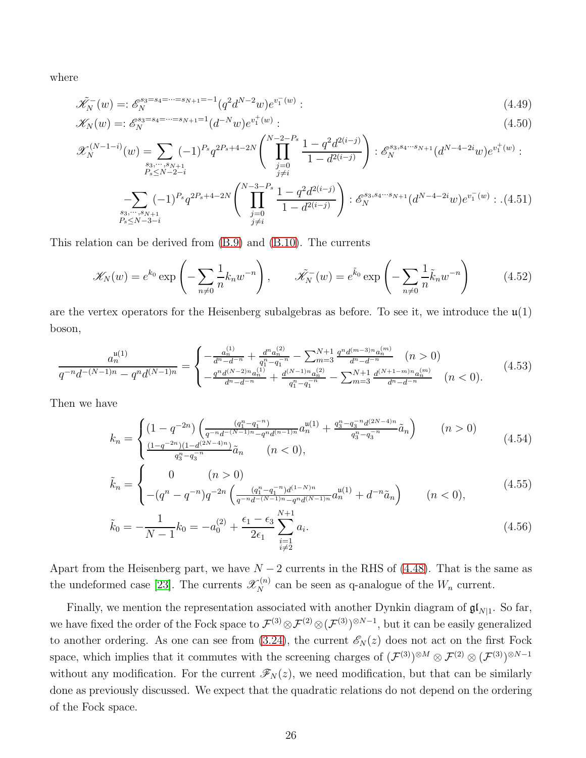where

$$
\tilde{\mathcal{K}}_N^-(w) = \mathcal{E}_N^{ss = ss_4 = \dots = ss_{N+1} = -1} (q^2 d^{N-2} w) e^{v_1^-(w)}.
$$
\n(4.49)

$$
\mathcal{K}_N(w) = \mathcal{E}_N^{s_3 = s_4 = \dots = s_{N+1} = 1} (d^{-N}w) e^{v_1^+(w)} \tag{4.50}
$$

$$
\mathcal{X}_{N}^{(N-1-i)}(w) = \sum_{\substack{s_3,\cdots,s_{N+1}\\P_s \le N-2-i}} (-1)^{P_s} q^{2P_s+4-2N} \left( \prod_{\substack{j=0\\j\neq i}}^{N-2-P_s} \frac{1-q^2 d^{2(i-j)}}{1-d^{2(i-j)}} \right) : \mathcal{E}_{N}^{s_3,s_4\cdots s_{N+1}}(d^{N-4-2i}w) e^{v_1^+(w)}:
$$
\n
$$
-\sum_{\substack{s_3,\cdots,s_{N+1}\\S_s \le N-3-i}} (-1)^{P_s} q^{2P_s+4-2N} \left( \prod_{\substack{j=0\\j\neq i}}^{N-3-P_s} \frac{1-q^2 d^{2(i-j)}}{1-d^{2(i-j)}} \right) : \mathcal{E}_{N}^{s_3,s_4\cdots s_{N+1}}(d^{N-4-2i}w) e^{v_1^-(w)} : . (4.51)
$$

This relation can be derived from [\(B.9\)](#page-38-1) and [\(B.10\)](#page-38-2). The currents

$$
\mathscr{K}_{N}(w) = e^{k_0} \exp\left(-\sum_{n \neq 0} \frac{1}{n} k_n w^{-n}\right), \qquad \tilde{\mathscr{K}}_{N}^{-}(w) = e^{\tilde{k}_0} \exp\left(-\sum_{n \neq 0} \frac{1}{n} \tilde{k}_n w^{-n}\right) \tag{4.52}
$$

are the vertex operators for the Heisenberg subalgebras as before. To see it, we introduce the  $\mathfrak{u}(1)$ boson,

$$
\frac{a_n^{u(1)}}{q^{-n}d^{-(N-1)n} - q^n d^{(N-1)n}} = \begin{cases}\n-\frac{a_n^{(1)}}{d^n - d^{-n}} + \frac{d^n a_n^{(2)}}{q_1^n - q_1^{-n}} - \sum_{m=3}^{N+1} \frac{q^n d^{(m-3)n} a_n^{(m)}}{d^n - d^{-n}} & (n > 0) \\
-\frac{q^n d^{(N-2)n} a_n^{(1)}}{d^n - d^{-n}} + \frac{d^{(N-1)n} a_n^{(2)}}{q_1^n - q_1^{-n}} - \sum_{m=3}^{N+1} \frac{d^{(N+1-m)n} a_n^{(m)}}{d^n - d^{-n}} & (n < 0).\n\end{cases} (4.53)
$$

Then we have

$$
k_n = \begin{cases} (1 - q^{-2n}) \left( \frac{(q_1^n - q_1^{-n})}{q^{-n} d^{-(N-1)n} - q^n d^{(n-1)n}} a_n^{\mu(1)} + \frac{q_3^n - q_3^{-n} d^{(2N-4)n}}{q_3^n - q_3^{-n}} \tilde{a}_n \right) & (n > 0) \\ \frac{(1 - q^{-2n})(1 - d^{(2N-4)n})}{q_3^n - q_3^{-n}} \tilde{a}_n & (n < 0), \end{cases} \tag{4.54}
$$

$$
\tilde{k}_n = \begin{cases}\n0 & (n > 0) \\
-(q^n - q^{-n})q^{-2n} \left( \frac{(q_1^n - q_1^{-n})d^{(1-N)n}}{q^{-n}d^{-(N-1)n} - q^n d^{(N-1)n}} a_n^{u(1)} + d^{-n} \tilde{a}_n \right) & (n < 0),\n\end{cases} (4.55)
$$

$$
\tilde{k}_0 = -\frac{1}{N-1}k_0 = -a_0^{(2)} + \frac{\epsilon_1 - \epsilon_3}{2\epsilon_1} \sum_{\substack{i=1 \ i \neq 2}}^{N+1} a_i.
$$
\n(4.56)

Apart from the Heisenberg part, we have  $N - 2$  currents in the RHS of [\(4.48\)](#page-25-1). That is the same as the undeformed case [\[23\]](#page-42-3). The currents  $\mathscr{X}_{N}^{(n)}$  can be seen as q-analogue of the  $W_n$  current.

Finally, we mention the representation associated with another Dynkin diagram of  $\mathfrak{gl}_{N|1}$ . So far, we have fixed the order of the Fock space to  $\mathcal{F}^{(3)} \otimes \mathcal{F}^{(2)} \otimes (\mathcal{F}^{(3)})^{\otimes N-1}$ , but it can be easily generalized to another ordering. As one can see from [\(3.24\)](#page-15-4), the current  $\mathscr{E}_N(z)$  does not act on the first Fock space, which implies that it commutes with the screening charges of  $(\mathcal{F}^{(3)})^{\otimes M} \otimes \mathcal{F}^{(2)} \otimes (\mathcal{F}^{(3)})^{\otimes N-1}$ without any modification. For the current  $\mathscr{F}_N(z)$ , we need modification, but that can be similarly done as previously discussed. We expect that the quadratic relations do not depend on the ordering of the Fock space.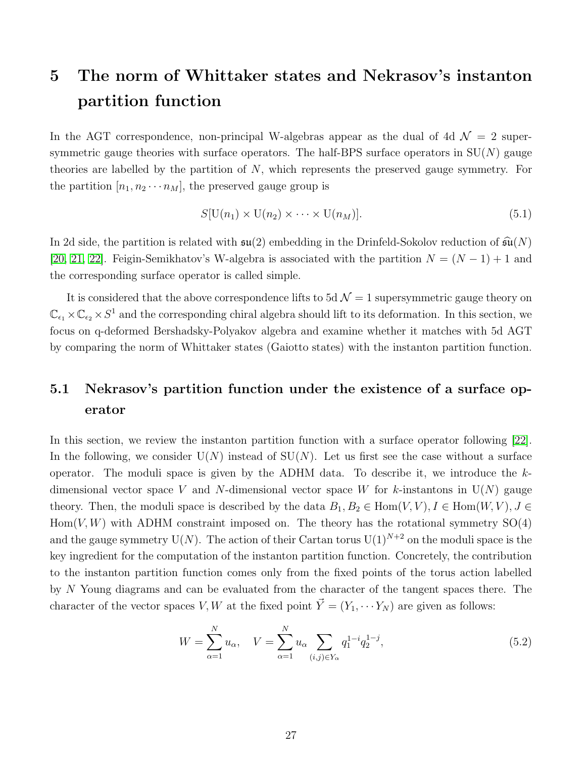## <span id="page-27-0"></span>5 The norm of Whittaker states and Nekrasov's instanton partition function

In the AGT correspondence, non-principal W-algebras appear as the dual of 4d  $\mathcal{N}=2$  supersymmetric gauge theories with surface operators. The half-BPS surface operators in  $SU(N)$  gauge theories are labelled by the partition of  $N$ , which represents the preserved gauge symmetry. For the partition  $[n_1, n_2 \cdots n_M]$ , the preserved gauge group is

<span id="page-27-3"></span>
$$
S[\mathcal{U}(n_1) \times \mathcal{U}(n_2) \times \cdots \times \mathcal{U}(n_M)]. \tag{5.1}
$$

In 2d side, the partition is related with  $\mathfrak{su}(2)$  embedding in the Drinfeld-Sokolov reduction of  $\widehat{\mathfrak{su}}(N)$ [\[20,](#page-42-0) [21,](#page-42-1) [22\]](#page-42-2). Feigin-Semikhatov's W-algebra is associated with the partition  $N = (N - 1) + 1$  and the corresponding surface operator is called simple.

It is considered that the above correspondence lifts to 5d  $\mathcal{N}=1$  supersymmetric gauge theory on  $\mathbb{C}_{\epsilon_1}\times\mathbb{C}_{\epsilon_2}\times S^1$  and the corresponding chiral algebra should lift to its deformation. In this section, we focus on q-deformed Bershadsky-Polyakov algebra and examine whether it matches with 5d AGT by comparing the norm of Whittaker states (Gaiotto states) with the instanton partition function.

### <span id="page-27-1"></span>5.1 Nekrasov's partition function under the existence of a surface operator

In this section, we review the instanton partition function with a surface operator following [\[22\]](#page-42-2). In the following, we consider  $U(N)$  instead of  $SU(N)$ . Let us first see the case without a surface operator. The moduli space is given by the ADHM data. To describe it, we introduce the  $k$ dimensional vector space V and N-dimensional vector space W for k-instantons in  $U(N)$  gauge theory. Then, the moduli space is described by the data  $B_1, B_2 \in \text{Hom}(V, V), I \in \text{Hom}(W, V), J \in$  $Hom(V, W)$  with ADHM constraint imposed on. The theory has the rotational symmetry  $SO(4)$ and the gauge symmetry  $U(N)$ . The action of their Cartan torus  $U(1)^{N+2}$  on the moduli space is the key ingredient for the computation of the instanton partition function. Concretely, the contribution to the instanton partition function comes only from the fixed points of the torus action labelled by N Young diagrams and can be evaluated from the character of the tangent spaces there. The character of the vector spaces V, W at the fixed point  $\vec{Y} = (Y_1, \cdots Y_N)$  are given as follows:

<span id="page-27-2"></span>
$$
W = \sum_{\alpha=1}^{N} u_{\alpha}, \quad V = \sum_{\alpha=1}^{N} u_{\alpha} \sum_{(i,j) \in Y_{\alpha}} q_1^{1-i} q_2^{1-j}, \tag{5.2}
$$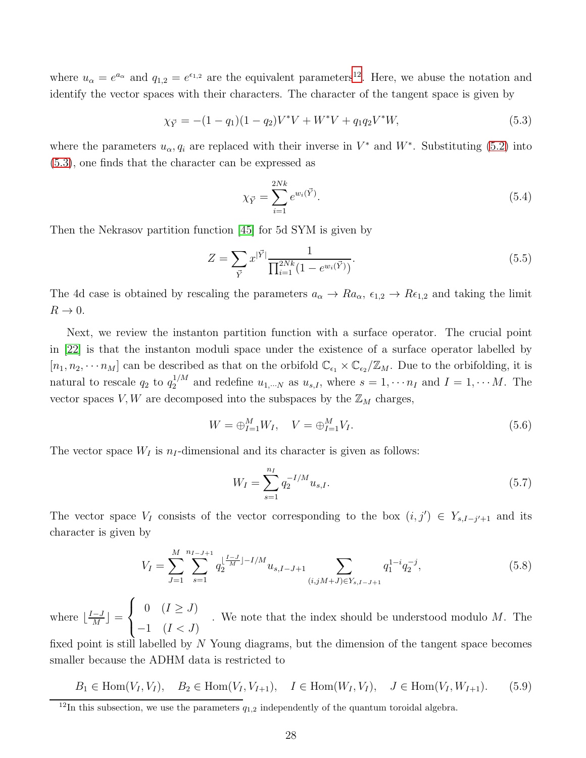where  $u_{\alpha} = e^{a_{\alpha}}$  and  $q_{1,2} = e^{\epsilon_{1,2}}$  are the equivalent parameters<sup>[12](#page-28-0)</sup>. Here, we abuse the notation and identify the vector spaces with their characters. The character of the tangent space is given by

<span id="page-28-1"></span>
$$
\chi_{\vec{Y}} = -(1 - q_1)(1 - q_2)V^*V + W^*V + q_1 q_2 V^*W,
$$
\n(5.3)

where the parameters  $u_{\alpha}, q_i$  are replaced with their inverse in  $V^*$  and  $W^*$ . Substituting [\(5.2\)](#page-27-2) into [\(5.3\)](#page-28-1), one finds that the character can be expressed as

$$
\chi_{\vec{Y}} = \sum_{i=1}^{2Nk} e^{w_i(\vec{Y})}.
$$
\n(5.4)

Then the Nekrasov partition function [\[45\]](#page-43-9) for 5d SYM is given by

$$
Z = \sum_{\vec{Y}} x^{|\vec{Y}|} \frac{1}{\prod_{i=1}^{2Nk} (1 - e^{w_i(\vec{Y})})}.
$$
\n(5.5)

The 4d case is obtained by rescaling the parameters  $a_{\alpha} \to Ra_{\alpha}$ ,  $\epsilon_{1,2} \to Re_{1,2}$  and taking the limit  $R \rightarrow 0$ .

Next, we review the instanton partition function with a surface operator. The crucial point in [\[22\]](#page-42-2) is that the instanton moduli space under the existence of a surface operator labelled by  $[n_1, n_2, \cdots n_M]$  can be described as that on the orbifold  $\mathbb{C}_{\epsilon_1} \times \mathbb{C}_{\epsilon_2}/\mathbb{Z}_M$ . Due to the orbifolding, it is natural to rescale  $q_2$  to  $q_2^{1/M}$  and redefine  $u_{1,\dots N}$  as  $u_{s,I}$ , where  $s = 1, \dots n_I$  and  $I = 1, \dots M$ . The vector spaces  $V, W$  are decomposed into the subspaces by the  $\mathbb{Z}_M$  charges,

$$
W = \bigoplus_{I=1}^{M} W_I, \quad V = \bigoplus_{I=1}^{M} V_I.
$$
\n(5.6)

The vector space  $W_I$  is  $n_I$ -dimensional and its character is given as follows:

$$
W_I = \sum_{s=1}^{n_I} q_2^{-I/M} u_{s,I}.
$$
\n(5.7)

The vector space  $V_I$  consists of the vector corresponding to the box  $(i, j') \in Y_{s,I-j'+1}$  and its character is given by

$$
V_I = \sum_{J=1}^{M} \sum_{s=1}^{n_{I-J+1}} q_2^{\lfloor \frac{I-J}{M} \rfloor - I/M} u_{s,I-J+1} \sum_{(i,jM+J) \in Y_{s,I-J+1}} q_1^{1-i} q_2^{-j}, \tag{5.8}
$$

where  $\lfloor \frac{I-J}{M} \rfloor$  $\frac{-J}{M}$  =  $\sqrt{ }$  $\frac{1}{2}$  $\mathbf{I}$ 0  $(I \geq J)$  $-1$   $(I < J)$ . We note that the index should be understood modulo M. The fixed point is still labelled by  $N$  Young diagrams, but the dimension of the tangent space becomes smaller because the ADHM data is restricted to

 $B_1 \in \text{Hom}(V_I, V_I), B_2 \in \text{Hom}(V_I, V_{I+1}), I \in \text{Hom}(W_I, V_I), J \in \text{Hom}(V_I, W_{I+1}).$  (5.9)

<span id="page-28-0"></span><sup>&</sup>lt;sup>12</sup>In this subsection, we use the parameters  $q_{1,2}$  independently of the quantum toroidal algebra.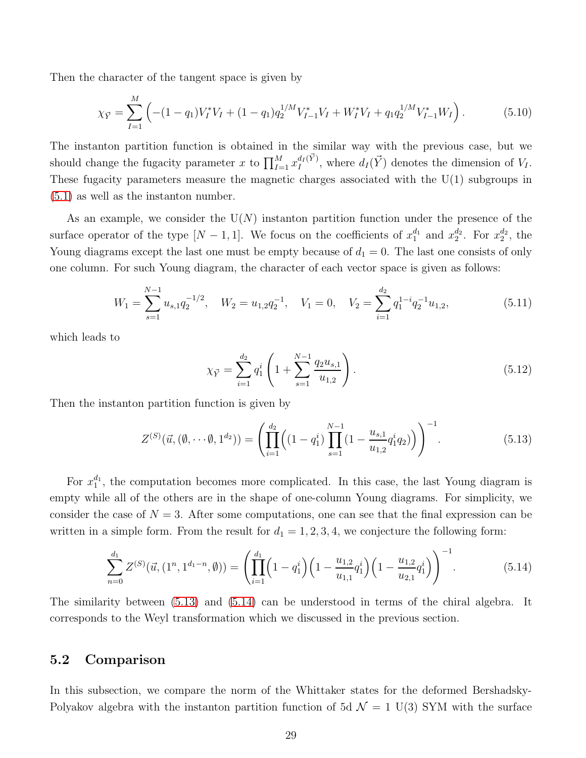Then the character of the tangent space is given by

$$
\chi_{\vec{Y}} = \sum_{I=1}^{M} \left( -(1 - q_1) V_I^* V_I + (1 - q_1) q_2^{1/M} V_{I-1}^* V_I + W_I^* V_I + q_1 q_2^{1/M} V_{I-1}^* W_I \right). \tag{5.10}
$$

The instanton partition function is obtained in the similar way with the previous case, but we should change the fugacity parameter x to  $\prod_{I=1}^{M} x_I^{d_I(\vec{Y})}$  $\frac{d_I(Y)}{I}$ , where  $d_I(\vec{Y})$  denotes the dimension of  $V_I$ . These fugacity parameters measure the magnetic charges associated with the U(1) subgroups in [\(5.1\)](#page-27-3) as well as the instanton number.

As an example, we consider the  $U(N)$  instanton partition function under the presence of the surface operator of the type  $[N-1,1]$ . We focus on the coefficients of  $x_1^{d_1}$  and  $x_2^{d_2}$ . For  $x_2^{d_2}$ , the Young diagrams except the last one must be empty because of  $d_1 = 0$ . The last one consists of only one column. For such Young diagram, the character of each vector space is given as follows:

$$
W_1 = \sum_{s=1}^{N-1} u_{s,1} q_2^{-1/2}, \quad W_2 = u_{1,2} q_2^{-1}, \quad V_1 = 0, \quad V_2 = \sum_{i=1}^{d_2} q_1^{1-i} q_2^{-1} u_{1,2}, \tag{5.11}
$$

which leads to

$$
\chi_{\vec{Y}} = \sum_{i=1}^{d_2} q_1^i \left( 1 + \sum_{s=1}^{N-1} \frac{q_2 u_{s,1}}{u_{1,2}} \right). \tag{5.12}
$$

Then the instanton partition function is given by

<span id="page-29-1"></span>
$$
Z^{(S)}(\vec{u},(\emptyset,\cdots\emptyset,1^{d_2})) = \left(\prod_{i=1}^{d_2} \left( (1-q_1^i) \prod_{s=1}^{N-1} \left(1 - \frac{u_{s,1}}{u_{1,2}} q_1^i q_2\right) \right) \right)^{-1}.
$$
\n(5.13)

For  $x_1^{d_1}$ , the computation becomes more complicated. In this case, the last Young diagram is empty while all of the others are in the shape of one-column Young diagrams. For simplicity, we consider the case of  $N = 3$ . After some computations, one can see that the final expression can be written in a simple form. From the result for  $d_1 = 1, 2, 3, 4$ , we conjecture the following form:

<span id="page-29-2"></span>
$$
\sum_{n=0}^{d_1} Z^{(S)}(\vec{u}, (1^n, 1^{d_1 - n}, \emptyset)) = \left( \prod_{i=1}^{d_1} \left( 1 - q_1^i \right) \left( 1 - \frac{u_{1,2}}{u_{1,1}} q_1^i \right) \left( 1 - \frac{u_{1,2}}{u_{2,1}} q_1^i \right) \right)^{-1}.
$$
(5.14)

The similarity between [\(5.13\)](#page-29-1) and [\(5.14\)](#page-29-2) can be understood in terms of the chiral algebra. It corresponds to the Weyl transformation which we discussed in the previous section.

#### <span id="page-29-0"></span>5.2 Comparison

In this subsection, we compare the norm of the Whittaker states for the deformed Bershadsky-Polyakov algebra with the instanton partition function of 5d  $\mathcal{N} = 1$  U(3) SYM with the surface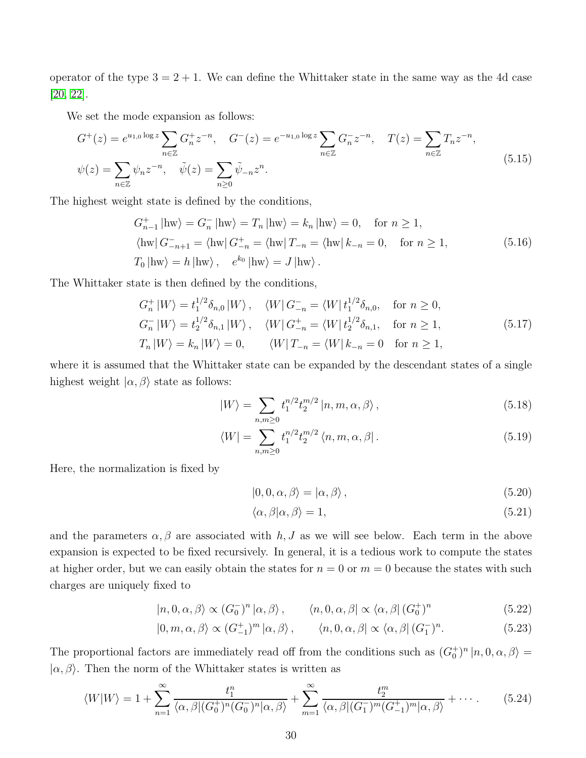operator of the type  $3 = 2 + 1$ . We can define the Whittaker state in the same way as the 4d case [\[20,](#page-42-0) [22\]](#page-42-2).

We set the mode expansion as follows:

$$
G^{+}(z) = e^{u_{1,0}\log z} \sum_{n \in \mathbb{Z}} G_{n}^{+} z^{-n}, \quad G^{-}(z) = e^{-u_{1,0}\log z} \sum_{n \in \mathbb{Z}} G_{n}^{-} z^{-n}, \quad T(z) = \sum_{n \in \mathbb{Z}} T_{n} z^{-n},
$$
  

$$
\psi(z) = \sum_{n \in \mathbb{Z}} \psi_{n} z^{-n}, \quad \tilde{\psi}(z) = \sum_{n \ge 0} \tilde{\psi}_{-n} z^{n}.
$$
 (5.15)

The highest weight state is defined by the conditions,

$$
G_{n-1}^{+} \mid \text{hw} \rangle = G_{n}^{-} \mid \text{hw} \rangle = T_{n} \mid \text{hw} \rangle = k_{n} \mid \text{hw} \rangle = 0, \quad \text{for } n \ge 1,
$$
  
\n
$$
\langle \text{hw} | G_{-n+1}^{-} = \langle \text{hw} | G_{-n}^{+} = \langle \text{hw} | T_{-n} = \langle \text{hw} | k_{-n} = 0, \quad \text{for } n \ge 1,
$$
  
\n
$$
T_{0} \mid \text{hw} \rangle = h \mid \text{hw} \rangle, \quad e^{k_{0}} \mid \text{hw} \rangle = J \mid \text{hw} \rangle.
$$
 (5.16)

The Whittaker state is then defined by the conditions,

$$
G_n^+ |W\rangle = t_1^{1/2} \delta_{n,0} |W\rangle, \quad \langle W| G_{-n}^- = \langle W| t_1^{1/2} \delta_{n,0}, \quad \text{for } n \ge 0,
$$
  
\n
$$
G_n^- |W\rangle = t_2^{1/2} \delta_{n,1} |W\rangle, \quad \langle W| G_{-n}^+ = \langle W| t_2^{1/2} \delta_{n,1}, \quad \text{for } n \ge 1,
$$
  
\n
$$
T_n |W\rangle = k_n |W\rangle = 0, \qquad \langle W| T_{-n} = \langle W| k_{-n} = 0 \quad \text{for } n \ge 1,
$$
\n(5.17)

where it is assumed that the Whittaker state can be expanded by the descendant states of a single highest weight  $|\alpha, \beta\rangle$  state as follows:

$$
|W\rangle = \sum_{n,m \ge 0} t_1^{n/2} t_2^{m/2} |n, m, \alpha, \beta\rangle, \qquad (5.18)
$$

$$
\langle W| = \sum_{n,m \ge 0} t_1^{n/2} t_2^{m/2} \langle n, m, \alpha, \beta|.
$$
 (5.19)

Here, the normalization is fixed by

$$
|0,0,\alpha,\beta\rangle = |\alpha,\beta\rangle, \qquad (5.20)
$$

$$
\langle \alpha, \beta | \alpha, \beta \rangle = 1,\tag{5.21}
$$

and the parameters  $\alpha, \beta$  are associated with h, J as we will see below. Each term in the above expansion is expected to be fixed recursively. In general, it is a tedious work to compute the states at higher order, but we can easily obtain the states for  $n = 0$  or  $m = 0$  because the states with such charges are uniquely fixed to

$$
|n, 0, \alpha, \beta\rangle \propto (G_0^{-})^n |\alpha, \beta\rangle, \qquad \langle n, 0, \alpha, \beta| \propto \langle \alpha, \beta| (G_0^{+})^n \qquad (5.22)
$$

$$
|0, m, \alpha, \beta\rangle \propto (G_{-1}^+)^m |\alpha, \beta\rangle, \qquad \langle n, 0, \alpha, \beta| \propto \langle \alpha, \beta| (G_1^-)^n. \tag{5.23}
$$

The proportional factors are immediately read off from the conditions such as  $(G_0^+)^n | n, 0, \alpha, \beta \rangle =$  $|\alpha, \beta\rangle$ . Then the norm of the Whittaker states is written as

<span id="page-30-0"></span>
$$
\langle W|W\rangle = 1 + \sum_{n=1}^{\infty} \frac{t_1^n}{\langle \alpha, \beta | (G_0^+)^n (G_0^-)^n | \alpha, \beta \rangle} + \sum_{m=1}^{\infty} \frac{t_2^m}{\langle \alpha, \beta | (G_1^-)^m (G_{-1}^+)^m | \alpha, \beta \rangle} + \cdots
$$
 (5.24)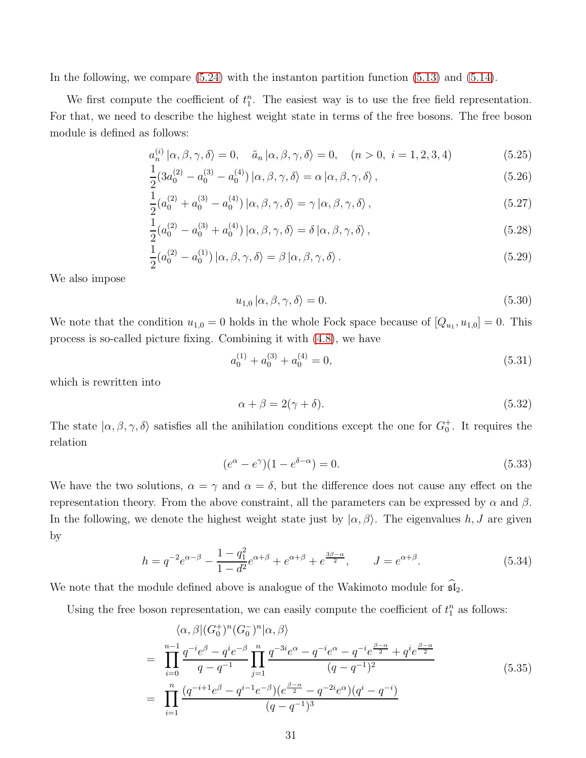In the following, we compare  $(5.24)$  with the instanton partition function  $(5.13)$  and  $(5.14)$ .

We first compute the coefficient of  $t_1^n$ . The easiest way is to use the free field representation. For that, we need to describe the highest weight state in terms of the free bosons. The free boson module is defined as follows:

$$
a_n^{(i)} \left| \alpha, \beta, \gamma, \delta \right\rangle = 0, \quad \tilde{a}_n \left| \alpha, \beta, \gamma, \delta \right\rangle = 0, \quad (n > 0, \ i = 1, 2, 3, 4) \tag{5.25}
$$

$$
\frac{1}{2}(3a_0^{(2)} - a_0^{(3)} - a_0^{(4)}) | \alpha, \beta, \gamma, \delta \rangle = \alpha | \alpha, \beta, \gamma, \delta \rangle ,
$$
\n(5.26)

$$
\frac{1}{2}(a_0^{(2)} + a_0^{(3)} - a_0^{(4)}) | \alpha, \beta, \gamma, \delta \rangle = \gamma | \alpha, \beta, \gamma, \delta \rangle ,
$$
\n(5.27)

$$
\frac{1}{2}(a_0^{(2)} - a_0^{(3)} + a_0^{(4)}) | \alpha, \beta, \gamma, \delta \rangle = \delta | \alpha, \beta, \gamma, \delta \rangle, \tag{5.28}
$$

$$
(a_0^{(2)} - a_0^{(1)}) \left| \alpha, \beta, \gamma, \delta \right\rangle = \beta \left| \alpha, \beta, \gamma, \delta \right\rangle. \tag{5.29}
$$

We also impose

2

$$
u_{1,0}|\alpha,\beta,\gamma,\delta\rangle = 0.\tag{5.30}
$$

We note that the condition  $u_{1,0} = 0$  holds in the whole Fock space because of  $[Q_{u_1}, u_{1,0}] = 0$ . This process is so-called picture fixing. Combining it with [\(4.8\)](#page-20-2), we have

$$
a_0^{(1)} + a_0^{(3)} + a_0^{(4)} = 0,
$$
\n(5.31)

which is rewritten into

$$
\alpha + \beta = 2(\gamma + \delta). \tag{5.32}
$$

The state  $|\alpha, \beta, \gamma, \delta\rangle$  satisfies all the anihilation conditions except the one for  $G_0^+$ . It requires the relation

$$
(e^{\alpha} - e^{\gamma})(1 - e^{\delta - \alpha}) = 0.
$$
\n(5.33)

We have the two solutions,  $\alpha = \gamma$  and  $\alpha = \delta$ , but the difference does not cause any effect on the representation theory. From the above constraint, all the parameters can be expressed by α and β. In the following, we denote the highest weight state just by  $(\alpha, \beta)$ . The eigenvalues h, J are given by

$$
h = q^{-2}e^{\alpha - \beta} - \frac{1 - q_1^2}{1 - d^2}e^{\alpha + \beta} + e^{\alpha + \beta} + e^{\frac{3\beta - \alpha}{2}}, \qquad J = e^{\alpha + \beta}.
$$
 (5.34)

We note that the module defined above is analogue of the Wakimoto module for  $\mathfrak{sl}_2$ .

<span id="page-31-0"></span>Using the free boson representation, we can easily compute the coefficient of  $t_1^n$  as follows:

$$
\langle \alpha, \beta | (G_0^+)^n (G_0^-)^n | \alpha, \beta \rangle
$$
\n
$$
= \prod_{i=0}^{n-1} \frac{q^{-i} e^{\beta} - q^i e^{-\beta}}{q - q^{-1}} \prod_{j=1}^n \frac{q^{-3i} e^{\alpha} - q^{-i} e^{\alpha} - q^{-i} e^{\frac{\beta - \alpha}{2}} + q^i e^{\frac{\beta - \alpha}{2}}}{(q - q^{-1})^2}
$$
\n
$$
= \prod_{i=1}^n \frac{(q^{-i+1} e^{\beta} - q^{i-1} e^{-\beta})(e^{\frac{\beta - \alpha}{2}} - q^{-2i} e^{\alpha})(q^i - q^{-i})}{(q - q^{-1})^3}
$$
\n(5.35)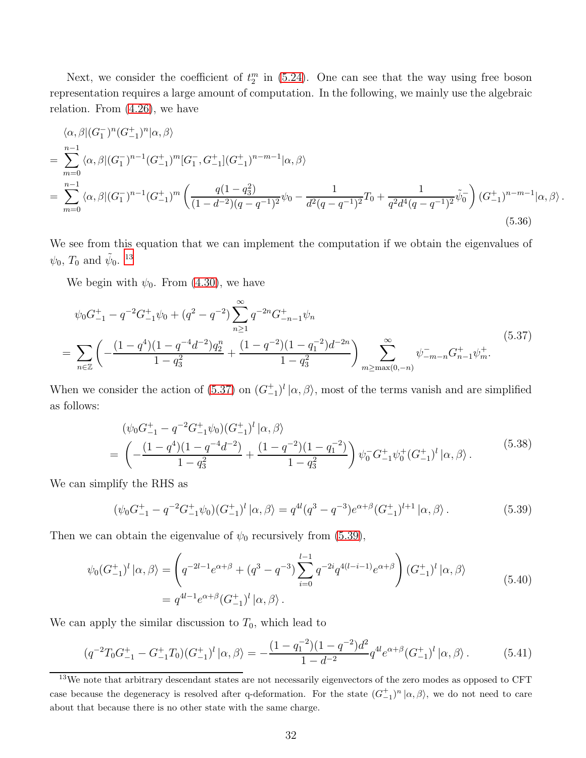Next, we consider the coefficient of  $t_2^m$  in [\(5.24\)](#page-30-0). One can see that the way using free boson representation requires a large amount of computation. In the following, we mainly use the algebraic relation. From [\(4.26\)](#page-23-0), we have

<span id="page-32-4"></span>
$$
\langle \alpha, \beta | (G_1^{-})^n (G_{-1}^{+})^n | \alpha, \beta \rangle
$$
  
= 
$$
\sum_{m=0}^{n-1} \langle \alpha, \beta | (G_1^{-})^{n-1} (G_{-1}^{+})^m [G_1^{-}, G_{-1}^{+}] (G_{-1}^{+})^{n-m-1} | \alpha, \beta \rangle
$$
  
= 
$$
\sum_{m=0}^{n-1} \langle \alpha, \beta | (G_1^{-})^{n-1} (G_{-1}^{+})^m \left( \frac{q(1-q_3^2)}{(1-d^{-2})(q-q^{-1})^2} \psi_0 - \frac{1}{d^2(q-q^{-1})^2} T_0 + \frac{1}{q^2 d^4 (q-q^{-1})^2} \tilde{\psi}_0^{-} \right) (G_{-1}^{+})^{n-m-1} | \alpha, \beta \rangle.
$$
  
(5.36)

We see from this equation that we can implement the computation if we obtain the eigenvalues of  $\psi_0$ ,  $T_0$  and  $\tilde{\psi}_0$ . <sup>[13](#page-32-0)</sup>

We begin with  $\psi_0$ . From [\(4.30\)](#page-23-1), we have

<span id="page-32-1"></span>
$$
\psi_0 G_{-1}^+ - q^{-2} G_{-1}^+ \psi_0 + (q^2 - q^{-2}) \sum_{n \ge 1}^{\infty} q^{-2n} G_{-n-1}^+ \psi_n
$$
\n
$$
= \sum_{n \in \mathbb{Z}} \left( -\frac{(1 - q^4)(1 - q^{-4}d^{-2})q_2^n}{1 - q_3^2} + \frac{(1 - q^{-2})(1 - q_1^{-2})d^{-2n}}{1 - q_3^2} \right) \sum_{m \ge \max(0, -n)}^{\infty} \psi_{-m-n}^- G_{n-1}^+ \psi_m^+.
$$
\n(5.37)

When we consider the action of [\(5.37\)](#page-32-1) on  $(G_{-1}^+)^l |\alpha, \beta\rangle$ , most of the terms vanish and are simplified as follows:

$$
(\psi_0 G_{-1}^+ - q^{-2} G_{-1}^+ \psi_0)(G_{-1}^+)^l |\alpha, \beta\rangle
$$
  
= 
$$
\left(-\frac{(1-q^4)(1-q^{-4}d^{-2})}{1-q_3^2} + \frac{(1-q^{-2})(1-q_1^{-2})}{1-q_3^2}\right) \psi_0^- G_{-1}^+ \psi_0^+ (G_{-1}^+)^l |\alpha, \beta\rangle.
$$
 (5.38)

We can simplify the RHS as

<span id="page-32-2"></span>
$$
(\psi_0 G_{-1}^+ - q^{-2} G_{-1}^+ \psi_0)(G_{-1}^+)^l |\alpha, \beta\rangle = q^{4l} (q^3 - q^{-3}) e^{\alpha + \beta} (G_{-1}^+)^{l+1} |\alpha, \beta\rangle.
$$
 (5.39)

<span id="page-32-3"></span>Then we can obtain the eigenvalue of  $\psi_0$  recursively from [\(5.39\)](#page-32-2),

$$
\psi_0(G_{-1}^+)^l |\alpha, \beta\rangle = \left( q^{-2l-1} e^{\alpha+\beta} + (q^3 - q^{-3}) \sum_{i=0}^{l-1} q^{-2i} q^{4(l-i-1)} e^{\alpha+\beta} \right) (G_{-1}^+)^l |\alpha, \beta\rangle
$$
\n
$$
= q^{4l-1} e^{\alpha+\beta} (G_{-1}^+)^l |\alpha, \beta\rangle.
$$
\n(5.40)

We can apply the similar discussion to  $T_0$ , which lead to

$$
(q^{-2}T_0G_{-1}^+ - G_{-1}^+T_0)(G_{-1}^+)^l |\alpha, \beta\rangle = -\frac{(1 - q_1^{-2})(1 - q^{-2})d^2}{1 - d^{-2}} q^{4l} e^{\alpha + \beta} (G_{-1}^+)^l |\alpha, \beta\rangle. \tag{5.41}
$$

<span id="page-32-0"></span><sup>&</sup>lt;sup>13</sup>We note that arbitrary descendant states are not necessarily eigenvectors of the zero modes as opposed to CFT case because the degeneracy is resolved after q-deformation. For the state  $(G_{-1}^+)^n |\alpha, \beta\rangle$ , we do not need to care about that because there is no other state with the same charge.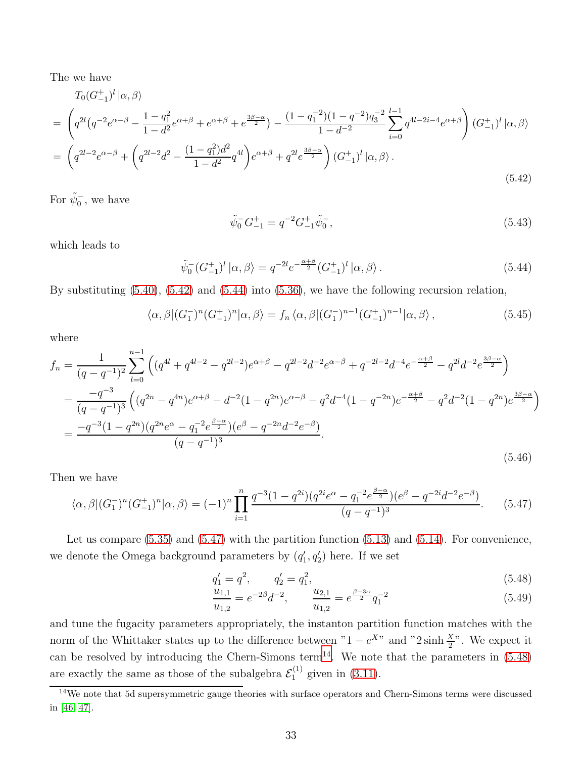The we have

<span id="page-33-0"></span>
$$
T_0(G_{-1}^+)^l |\alpha, \beta\rangle
$$
  
=  $\left(q^{2l}(q^{-2}e^{\alpha-\beta} - \frac{1-q_1^2}{1-d^2}e^{\alpha+\beta} + e^{\alpha+\beta} + e^{\frac{3\beta-\alpha}{2}}) - \frac{(1-q_1^{-2})(1-q^{-2})q_3^{-2}}{1-d^{-2}}\sum_{i=0}^{l-1} q^{4l-2i-4}e^{\alpha+\beta}\right) (G_{-1}^+)^l |\alpha, \beta\rangle$   
=  $\left(q^{2l-2}e^{\alpha-\beta} + \left(q^{2l-2}d^2 - \frac{(1-q_1^2)d^2}{1-d^2}q^{4l}\right)e^{\alpha+\beta} + q^{2l}e^{\frac{3\beta-\alpha}{2}}\right) (G_{-1}^+)^l |\alpha, \beta\rangle.$  (5.42)

For  $\tilde{\psi}_0^-$ , we have

$$
\tilde{\psi}_0^- G_{-1}^+ = q^{-2} G_{-1}^+ \tilde{\psi}_0^-, \tag{5.43}
$$

which leads to

<span id="page-33-1"></span>
$$
\tilde{\psi}_0^-(G_{-1}^+)^l |\alpha, \beta\rangle = q^{-2l} e^{-\frac{\alpha+\beta}{2}} (G_{-1}^+)^l |\alpha, \beta\rangle.
$$
\n(5.44)

By substituting [\(5.40\)](#page-32-3), [\(5.42\)](#page-33-0) and [\(5.44\)](#page-33-1) into [\(5.36\)](#page-32-4), we have the following recursion relation,

$$
\langle \alpha, \beta | (G_1^{-})^n (G_{-1}^{+})^n | \alpha, \beta \rangle = f_n \langle \alpha, \beta | (G_1^{-})^{n-1} (G_{-1}^{+})^{n-1} | \alpha, \beta \rangle, \qquad (5.45)
$$

where

$$
f_n = \frac{1}{(q - q^{-1})^2} \sum_{l=0}^{n-1} \left( (q^{4l} + q^{4l-2} - q^{2l-2}) e^{\alpha + \beta} - q^{2l-2} d^{-2} e^{\alpha - \beta} + q^{-2l-2} d^{-4} e^{-\frac{\alpha + \beta}{2}} - q^{2l} d^{-2} e^{\frac{3\beta - \alpha}{2}} \right)
$$
  
\n
$$
= \frac{-q^{-3}}{(q - q^{-1})^3} \left( (q^{2n} - q^{4n}) e^{\alpha + \beta} - d^{-2} (1 - q^{2n}) e^{\alpha - \beta} - q^2 d^{-4} (1 - q^{-2n}) e^{-\frac{\alpha + \beta}{2}} - q^2 d^{-2} (1 - q^{2n}) e^{\frac{3\beta - \alpha}{2}} \right)
$$
  
\n
$$
= \frac{-q^{-3} (1 - q^{2n}) (q^{2n} e^{\alpha} - q_1^{-2} e^{\frac{\beta - \alpha}{2}}) (e^{\beta} - q^{-2n} d^{-2} e^{-\beta})}{(q - q^{-1})^3}.
$$
  
\n(5.46)

Then we have

<span id="page-33-2"></span>
$$
\langle \alpha, \beta | (G_1^-)^n (G_{-1}^+)^n | \alpha, \beta \rangle = (-1)^n \prod_{i=1}^n \frac{q^{-3} (1 - q^{2i}) (q^{2i} e^{\alpha} - q_1^{-2} e^{\frac{\beta - \alpha}{2}}) (e^{\beta} - q^{-2i} d^{-2} e^{-\beta})}{(q - q^{-1})^3}.
$$
 (5.47)

Let us compare  $(5.35)$  and  $(5.47)$  with the partition function  $(5.13)$  and  $(5.14)$ . For convenience, we denote the Omega background parameters by  $(q'_1, q'_2)$  here. If we set

<span id="page-33-4"></span>
$$
q_1' = q^2, \qquad q_2' = q_1^2,\tag{5.48}
$$

$$
\frac{u_{1,1}}{u_{1,2}} = e^{-2\beta} d^{-2}, \qquad \frac{u_{2,1}}{u_{1,2}} = e^{\frac{\beta - 3\alpha}{2}} q_1^{-2}
$$
(5.49)

and tune the fugacity parameters appropriately, the instanton partition function matches with the norm of the Whittaker states up to the difference between " $1 - e^{X}$ " and "2 sinh  $\frac{X}{2}$ ". We expect it can be resolved by introducing the Chern-Simons term<sup>[14](#page-33-3)</sup>. We note that the parameters in  $(5.48)$ are exactly the same as those of the subalgebra  $\mathcal{E}_1^{(1)}$  given in [\(3.11\)](#page-12-0).

<span id="page-33-3"></span><sup>&</sup>lt;sup>14</sup>We note that 5d supersymmetric gauge theories with surface operators and Chern-Simons terms were discussed in [\[46,](#page-43-10) [47\]](#page-43-11).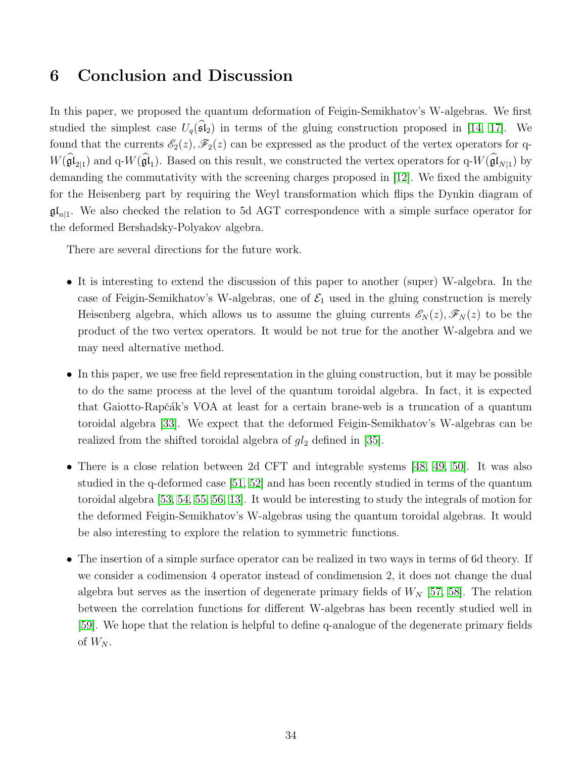### <span id="page-34-0"></span>6 Conclusion and Discussion

In this paper, we proposed the quantum deformation of Feigin-Semikhatov's W-algebras. We first studied the simplest case  $U_q(\widehat{\mathfrak{sl}}_2)$  in terms of the gluing construction proposed in [\[14,](#page-41-8) [17\]](#page-41-11). We found that the currents  $\mathscr{E}_2(z)$ ,  $\mathscr{F}_2(z)$  can be expressed as the product of the vertex operators for q- $W(\mathfrak{gl}_{2|1})$  and q- $W(\mathfrak{gl}_1)$ . Based on this result, we constructed the vertex operators for q- $W(\mathfrak{gl}_{N|1})$  by demanding the commutativity with the screening charges proposed in [\[12\]](#page-41-6). We fixed the ambiguity for the Heisenberg part by requiring the Weyl transformation which flips the Dynkin diagram of  $\mathfrak{gl}_{n|1}$ . We also checked the relation to 5d AGT correspondence with a simple surface operator for the deformed Bershadsky-Polyakov algebra.

There are several directions for the future work.

- It is interesting to extend the discussion of this paper to another (super) W-algebra. In the case of Feigin-Semikhatov's W-algebras, one of  $\mathcal{E}_1$  used in the gluing construction is merely Heisenberg algebra, which allows us to assume the gluing currents  $\mathscr{E}_N(z)$ ,  $\mathscr{F}_N(z)$  to be the product of the two vertex operators. It would be not true for the another W-algebra and we may need alternative method.
- In this paper, we use free field representation in the gluing construction, but it may be possible to do the same process at the level of the quantum toroidal algebra. In fact, it is expected that Gaiotto-Rapčák's VOA at least for a certain brane-web is a truncation of a quantum toroidal algebra [\[33\]](#page-42-13). We expect that the deformed Feigin-Semikhatov's W-algebras can be realized from the shifted toroidal algebra of  $gl_2$  defined in [\[35\]](#page-42-15).
- There is a close relation between 2d CFT and integrable systems [\[48,](#page-43-12) [49,](#page-44-0) [50\]](#page-44-1). It was also studied in the q-deformed case [\[51,](#page-44-2) [52\]](#page-44-3) and has been recently studied in terms of the quantum toroidal algebra [\[53,](#page-44-4) [54,](#page-44-5) [55,](#page-44-6) [56,](#page-44-7) [13\]](#page-41-7). It would be interesting to study the integrals of motion for the deformed Feigin-Semikhatov's W-algebras using the quantum toroidal algebras. It would be also interesting to explore the relation to symmetric functions.
- The insertion of a simple surface operator can be realized in two ways in terms of 6d theory. If we consider a codimension 4 operator instead of condimension 2, it does not change the dual algebra but serves as the insertion of degenerate primary fields of  $W_N$  [\[57,](#page-44-8) [58\]](#page-44-9). The relation between the correlation functions for different W-algebras has been recently studied well in [\[59\]](#page-44-10). We hope that the relation is helpful to define q-analogue of the degenerate primary fields of  $W_N$ .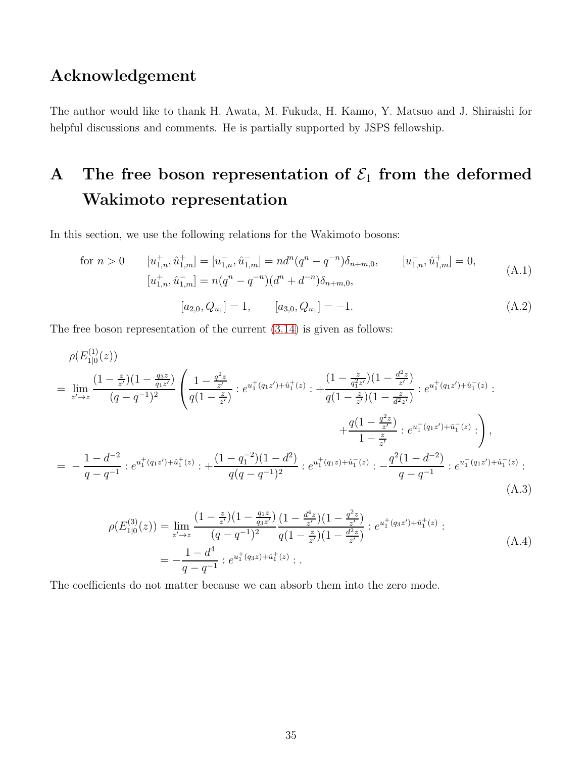### Acknowledgement

The author would like to thank H. Awata, M. Fukuda, H. Kanno, Y. Matsuo and J. Shiraishi for helpful discussions and comments. He is partially supported by JSPS fellowship.

# <span id="page-35-0"></span>A The free boson representation of  $\mathcal{E}_1$  from the deformed Wakimoto representation

In this section, we use the following relations for the Wakimoto bosons:

for 
$$
n > 0
$$
  $[u_{1,n}^+, \hat{u}_{1,m}^+] = [u_{1,n}^-, \hat{u}_{1,m}^-] = nd^n (q^n - q^{-n}) \delta_{n+m,0}, \qquad [u_{1,n}^-, \hat{u}_{1,m}^+] = 0,$   
\n $[u_{1,n}^+, \hat{u}_{1,m}^-] = n (q^n - q^{-n}) (d^n + d^{-n}) \delta_{n+m,0},$   
\n $[a_{2,0}, Q_{u_1}] = 1, \qquad [a_{3,0}, Q_{u_1}] = -1.$  (A.2)

The free boson representation of the current [\(3.14\)](#page-13-1) is given as follows:

$$
\rho(E_{1|0}^{(1)}(z)) = \lim_{z' \to z} \frac{(1 - \frac{z}{z'}) (1 - \frac{q_3 z}{q_1 z'})}{(q - q^{-1})^2} \left( \frac{1 - \frac{q^2 z}{z'}}{q(1 - \frac{z}{z'})} : e^{u_1^+(q_1 z') + \hat{u}_1^+(z)} : + \frac{(1 - \frac{z}{q_1^2 z'}) (1 - \frac{d^2 z}{z'})}{q(1 - \frac{z}{z'}) (1 - \frac{z}{d^2 z'})} : e^{u_1^+(q_1 z') + \hat{u}_1^-(z)} : + \frac{q(1 - \frac{q^2 z}{z'})}{1 - \frac{z}{z'}} : e^{u_1^-(q_1 z') + \hat{u}_1^-(z)} : \right),
$$
  
\n
$$
= -\frac{1 - d^{-2}}{q - q^{-1}} : e^{u_1^+(q_1 z') + \hat{u}_1^+(z)} : + \frac{(1 - q_1^{-2})(1 - d^2)}{q(q - q^{-1})^2} : e^{u_1^+(q_1 z) + \hat{u}_1^-(z)} : - \frac{q^2(1 - d^{-2})}{q - q^{-1}} : e^{u_1^-(q_1 z') + \hat{u}_1^-(z)} :
$$
\n(A.3)

$$
\rho(E_{1|0}^{(3)}(z)) = \lim_{z' \to z} \frac{(1 - \frac{z}{z'}) (1 - \frac{q_1 z}{q_3 z'})}{(q - q^{-1})^2} \frac{(1 - \frac{d^4 z}{z'}) (1 - \frac{q^2 z}{z'})}{q(1 - \frac{z}{z'}) (1 - \frac{d^2 z}{z'})} : e^{u_1^+(q_3 z') + \hat{u}_1^+(z)} :
$$
\n
$$
= -\frac{1 - d^4}{q - q^{-1}} : e^{u_1^+(q_3 z) + \hat{u}_1^+(z)} :
$$
\n(A.4)

The coefficients do not matter because we can absorb them into the zero mode.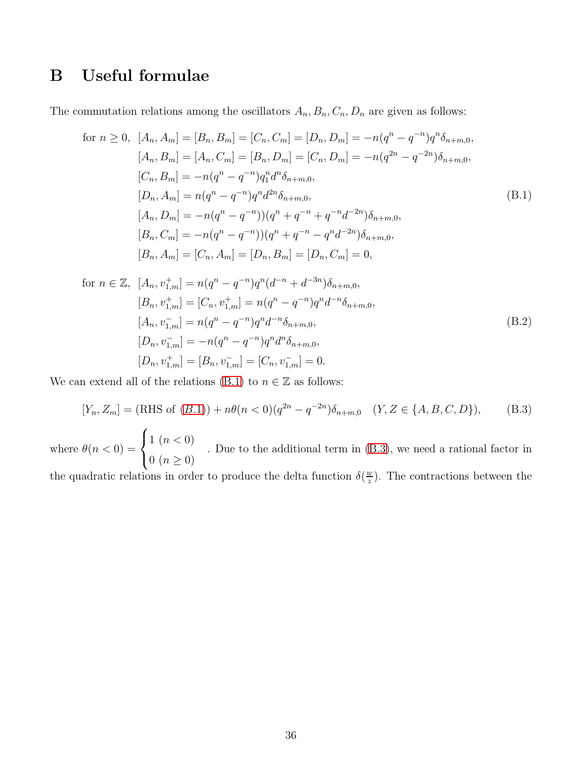## <span id="page-36-0"></span>B Useful formulae

The commutation relations among the oscillators  $A_n, B_n, C_n, D_n$  are given as follows:

<span id="page-36-1"></span>for 
$$
n \ge 0
$$
,  $[A_n, A_m] = [B_n, B_m] = [C_n, C_m] = [D_n, D_m] = -n(q^n - q^{-n})q^n \delta_{n+m,0}$ ,  
\n $[A_n, B_m] = [A_n, C_m] = [B_n, D_m] = [C_n, D_m] = -n(q^{2n} - q^{-2n})\delta_{n+m,0}$ ,  
\n $[C_n, B_m] = -n(q^n - q^{-n})q_1^n d^n \delta_{n+m,0}$ ,  
\n $[D_n, A_m] = n(q^n - q^{-n})q^n d^{2n} \delta_{n+m,0}$ ,  
\n $[A_n, D_m] = -n(q^n - q^{-n})) (q^n + q^{-n} + q^{-n}d^{-2n})\delta_{n+m,0}$ ,  
\n $[B_n, C_m] = -n(q^n - q^{-n})) (q^n + q^{-n} - q^n d^{-2n})\delta_{n+m,0}$ ,  
\n $[B_n, A_m] = [C_n, A_m] = [D_n, B_m] = [D_n, C_m] = 0$ ,

for 
$$
n \in \mathbb{Z}
$$
,  $[A_n, v_{1,m}^+] = n(q^n - q^{-n})q^n(d^{-n} + d^{-3n})\delta_{n+m,0},$   
\n $[B_n, v_{1,m}^+] = [C_n, v_{1,m}^+] = n(q^n - q^{-n})q^n d^{-n} \delta_{n+m,0},$   
\n $[A_n, v_{1,m}^-] = n(q^n - q^{-n})q^n d^{-n} \delta_{n+m,0},$   
\n $[D_n, v_{1,m}^-] = -n(q^n - q^{-n})q^n d^n \delta_{n+m,0},$   
\n $[D_n, v_{1,m}^+] = [B_n, v_{1,m}^-] = [C_n, v_{1,m}^-] = 0.$  (B.2)

We can extend all of the relations [\(B.1\)](#page-36-1) to  $n\in\mathbb{Z}$  as follows:

<span id="page-36-2"></span>
$$
[Y_n, Z_m] = (\text{RHS of } (B.1)) + n\theta (n < 0)(q^{2n} - q^{-2n})\delta_{n+m,0} \quad (Y, Z \in \{A, B, C, D\}), \tag{B.3}
$$
\nare  $\theta(n < 0) = \begin{cases} 1 \ (n < 0) \\ \end{cases}$ . Due to the additional term in (B.3), we need a rational factor in

whe  $\big\{ 0 \; (n \geq 0) \;$ . Due to the additional term in [\(B.3\)](#page-36-2), we need a rational factor in

the quadratic relations in order to produce the delta function  $\delta(\frac{w}{z})$  $\frac{w}{z}$ ). The contractions between the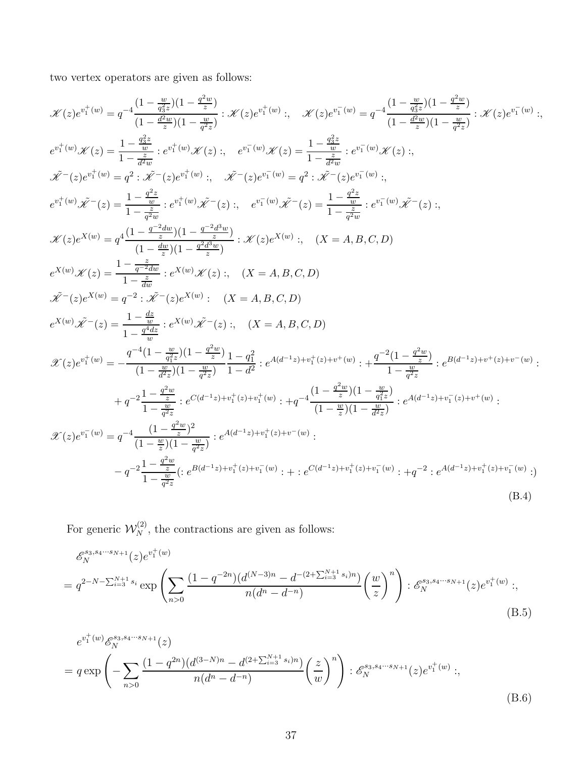two vertex operators are given as follows:

$$
\begin{split} &\mathscr{K}(z)e^{v_{1}^{+}(w)}=q^{-4}\frac{(1-\frac{w}{q_{z}^{2}})(1-\frac{w}{z})}{(1-\frac{w}{q_{z}^{2}})(1-\frac{w}{q_{z}^{2}})}:\mathscr{K}(z)e^{v_{1}^{+}(w)}:,\quad\mathscr{K}(z)e^{v_{1}^{-}(w)}=q^{-4}\frac{(1-\frac{w}{q_{z}^{2}})(1-\frac{w}{q_{z}^{2}})}{(1-\frac{d^{2}w}{q_{z}^{2}})(1-\frac{w}{q_{z}^{2}})}:\mathscr{K}(z)e^{v_{1}^{-}(w)}:,\quad e^{v_{1}^{+}(w)}\mathscr{K}(z)=\frac{1-\frac{q_{3}^{2}}{d_{z}^{2}}}{1-\frac{d^{2}}{d_{z}^{2}}}:\,e^{v_{1}^{+}(w)}\mathscr{K}(z):\,,\quad e^{v_{1}^{-}(w)}\mathscr{K}(z)=\frac{1-\frac{q_{3}^{2}}{d_{z}^{2}}}{1-\frac{d^{2}}{d_{z}^{2}}}:\,e^{v_{1}^{-}(w)}\mathscr{K}(z):\,,\\ &\mathscr{K}^{-}(z)e^{v_{1}^{+}(w)}=\,q^{2}:\,\mathscr{K}^{-}(z)e^{v_{1}^{+}(w)}:,\quad\mathscr{K}^{-}(z)e^{v_{1}^{-}(w)}=\,q^{2}:\,\mathscr{K}^{-}(z)e^{v_{1}^{-}(w)}:,\quad\\ &e^{v_{1}^{+}(w)}\mathscr{K}^{-}(z)=\frac{1-\frac{c^{2}}{d_{z}^{2}}}{1-\frac{c^{2}}{d_{z}^{2}}}:\,e^{v_{1}^{+}(w)}\mathscr{K}^{-}(z):\,,\quad e^{v_{1}^{-}(w)}\mathscr{K}^{-}(z)=\frac{1-\frac{d^{2}}{d_{z}^{2}}}{1-\frac{c^{2}}{d_{z}^{2}}}:\,\mathscr{K}(z)e^{X(w)}:,\quad\left(X=A,B,C,D\right)\\ &\mathscr{K}(z)e^{X(w)}=\,q^{-4}\frac{(1-\frac{d_{z}^{+}(w)}{d_{z}^{2}})(1-\frac{q^{-2}d_{z}^{2}w}{d_{z}^{2}}):\,\mathscr{K}(z)e^{X(w)}:,\quad\left(X=A,B,C,D\right)\\ &\mathscr{K}^{-}(z)e^{X(w)}=\,q^{-2}\cdot\mathscr{K
$$

For generic  $\mathcal{W}_N^{(2)}$ , the contractions are given as follows:

<span id="page-37-0"></span>
$$
\mathcal{E}_{N}^{s_{3},s_{4}\cdots s_{N+1}}(z)e^{v_{1}^{+}(w)}
$$
\n
$$
= q^{2-N-\sum_{i=3}^{N+1} s_{i}} \exp\left(\sum_{n>0} \frac{(1-q^{-2n})(d^{(N-3)n} - d^{-(2+\sum_{i=3}^{N+1} s_{i})n})}{n(d^{n}-d^{-n})}\left(\frac{w}{z}\right)^{n}\right) : \mathcal{E}_{N}^{s_{3},s_{4}\cdots s_{N+1}}(z)e^{v_{1}^{+}(w)}; \tag{B.5}
$$

<span id="page-37-1"></span>
$$
e^{v_1^+(w)} \mathscr{E}_N^{s_3, s_4 \cdots s_{N+1}}(z)
$$
  
=  $q \exp \left(-\sum_{n>0} \frac{(1-q^{2n})(d^{(3-N)n} - d^{(2+\sum_{i=3}^{N+1} s_i)n})}{n(d^n - d^{-n})} \left(\frac{z}{w}\right)^n\right) : \mathscr{E}_N^{s_3, s_4 \cdots s_{N+1}}(z) e^{v_1^+(w)};$  (B.6)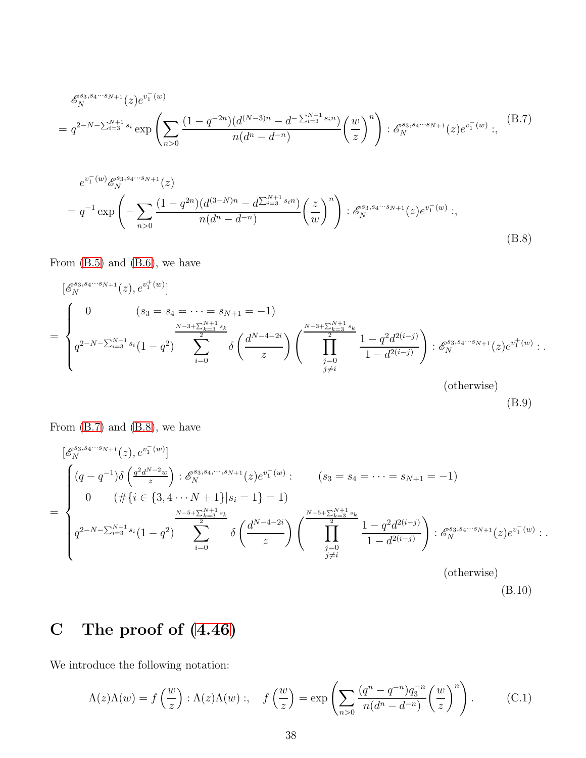<span id="page-38-3"></span>
$$
\mathcal{E}_{N}^{s_{3}, s_{4}\cdots s_{N+1}}(z) e^{v_{1}^{-}(w)}
$$
\n
$$
= q^{2-N-\sum_{i=3}^{N+1} s_{i}} \exp\left(\sum_{n>0} \frac{(1-q^{-2n})(d^{(N-3)n} - d^{-\sum_{i=3}^{N+1} s_{i}n})}{n(d^{n} - d^{-n})}\left(\frac{w}{z}\right)^{n}\right) : \mathcal{E}_{N}^{s_{3}, s_{4}\cdots s_{N+1}}(z) e^{v_{1}^{-}(w)}:,
$$
\n(B.7)

<span id="page-38-4"></span>
$$
e^{v_1^-(w)} \mathcal{E}_N^{s_3, s_4\cdots s_{N+1}}(z)
$$
  
=  $q^{-1} \exp\left(-\sum_{n>0} \frac{(1-q^{2n})(d^{(3-N)n} - d^{\sum_{i=3}^{N+1} s_i n})}{n(d^n - d^{-n})} \left(\frac{z}{w}\right)^n\right) : \mathcal{E}_N^{s_3, s_4\cdots s_{N+1}}(z) e^{v_1^-(w)};$  (B.8)

From  $(B.5)$  and  $(B.6)$ , we have

<span id="page-38-1"></span>
$$
\begin{split}\n\left[\mathcal{E}_{N}^{s_{3},s_{4}\cdots s_{N+1}}(z),e^{v_{1}^{+}(w)}\right] \\
= \begin{cases}\n0 & (s_{3} = s_{4} = \cdots = s_{N+1} = -1) \\
q^{2-N-\sum_{i=3}^{N+1} s_{i}}(1-q^{2}) & \sum_{i=0}^{\frac{N-3+\sum_{k=3}^{N+1} s_{k}}{2}} \delta\left(\frac{d^{N-4-2i}}{z}\right) \left(\prod_{\substack{j=0 \ j\neq i}}^{s_{3}+\sum_{k=3}^{N+1} s_{k}} \frac{1-q^{2}d^{2(i-j)}}{1-d^{2(i-j)}}\right) : \mathcal{E}_{N}^{s_{3},s_{4}\cdots s_{N+1}}(z)e^{v_{1}^{+}(w)}: \\
&\text{(otherwise)}\n\end{cases}.\n\end{split}
$$

(B.9)

From  $(B.7)$  and  $(B.8)$ , we have

<span id="page-38-2"></span>
$$
\begin{bmatrix}\n\mathcal{E}_{N}^{s_{3},s_{4}\cdots s_{N+1}}(z), e^{v_{1}^{-}(w)} \\
\left(q-q^{-1}\right)\delta\left(\frac{q^{2}d^{N-2}w}{z}\right) : \mathcal{E}_{N}^{s_{3},s_{4},\cdots,s_{N+1}}(z)e^{v_{1}^{-}(w)}: & (s_{3} = s_{4} = \cdots = s_{N+1} = -1) \\
0 & (\#\{i \in \{3,4\cdots N+1\}|s_{i} = 1\} = 1) \\
\frac{\sum_{k=3}^{N-5+\sum_{k=3}^{N+1}s_{k}}}{2} & \delta\left(\frac{d^{N-4-2i}}{z}\right)\left(\prod_{\substack{j=0 \ j\neq i}}^{N-5+\sum_{k=3}^{N+1}s_{k}}\frac{1-q^{2}d^{2(i-j)}}{1-d^{2(i-j)}}\right) : \mathcal{E}_{N}^{s_{3},s_{4}\cdots s_{N+1}}(z)e^{v_{1}^{-}(w)}: \\
\text{(otherwise)}\n\end{bmatrix}
$$

# <span id="page-38-0"></span>C The proof of [\(4.46\)](#page-25-0)

We introduce the following notation:

$$
\Lambda(z)\Lambda(w) = f\left(\frac{w}{z}\right) : \Lambda(z)\Lambda(w) : , \quad f\left(\frac{w}{z}\right) = \exp\left(\sum_{n>0} \frac{(q^n - q^{-n})q_3^{-n}}{n(d^n - d^{-n})} \left(\frac{w}{z}\right)^n\right). \tag{C.1}
$$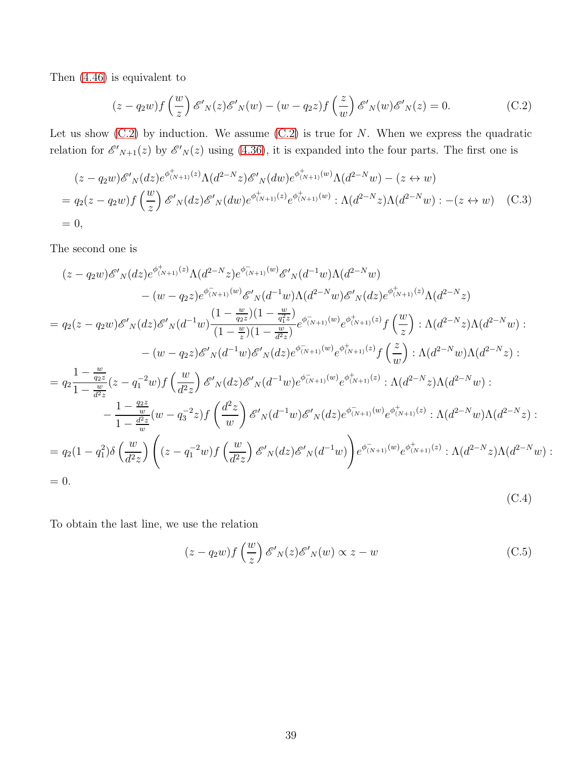Then [\(4.46\)](#page-25-0) is equivalent to

<span id="page-39-0"></span>
$$
(z - q_2 w) f\left(\frac{w}{z}\right) \mathscr{E'}_N(z) \mathscr{E'}_N(w) - (w - q_2 z) f\left(\frac{z}{w}\right) \mathscr{E'}_N(w) \mathscr{E'}_N(z) = 0.
$$
 (C.2)

Let us show  $(C.2)$  by induction. We assume  $(C.2)$  is true for N. When we express the quadratic relation for  $\mathscr{E'}_{N+1}(z)$  by  $\mathscr{E'}_{N}(z)$  using [\(4.36\)](#page-24-1), it is expanded into the four parts. The first one is

$$
(z - q_2 w)\mathscr{E'}_N(dz)e^{\phi^+_{(N+1)}(z)}\Lambda(d^{2-N}z)\mathscr{E'}_N(dw)e^{\phi^+_{(N+1)}(w)}\Lambda(d^{2-N}w) - (z \leftrightarrow w)
$$
  
=  $q_2(z - q_2 w)f\left(\frac{w}{z}\right)\mathscr{E'}_N(dz)\mathscr{E'}_N(dw)e^{\phi^+_{(N+1)}(z)}e^{\phi^+_{(N+1)}(w)}:\Lambda(d^{2-N}z)\Lambda(d^{2-N}w): -(z \leftrightarrow w)$  (C.3)  
= 0,

The second one is

$$
(z-q_2w)\mathscr{E'}_{N}(dz)e^{\phi_{(N+1)}^{+}(z)}\Lambda(d^{2-N}z)e^{\phi_{(N+1)}^{-}(w)}\mathscr{E'}_{N}(d^{-1}w)\Lambda(d^{2-N}w)
$$

$$
-(w-q_2z)e^{\phi_{(N+1)}^{-}(w)}\mathscr{E'}_{N}(d^{-1}w)\Lambda(d^{2-N}w)\mathscr{E'}_{N}(dz)e^{\phi_{(N+1)}^{+}(z)}\Lambda(d^{2-N}z)
$$

$$
=q_2(z-q_2w)\mathscr{E'}_{N}(dz)\mathscr{E'}_{N}(d^{-1}w)\frac{(1-\frac{w}{q_2z})(1-\frac{w}{q_1z})}{(1-\frac{w}{z})(1-\frac{w}{d^2z})}e^{\phi_{(N+1)}^{-}(w)}e^{\phi_{(N+1)}^{+}(z)}f\left(\frac{w}{z}\right):\Lambda(d^{2-N}z)\Lambda(d^{2-N}w):
$$

$$
-(w-q_2z)\mathscr{E'}_{N}(d^{-1}w)\mathscr{E'}_{N}(dz)e^{\phi_{(N+1)}^{-}(w)}e^{\phi_{(N+1)}^{+}(z)}f\left(\frac{z}{w}\right):\Lambda(d^{2-N}w)\Lambda(d^{2-N}z):
$$

$$
=q_2\frac{1-\frac{w}{q_2z}}{1-\frac{w}{d^2z}}(z-q_1^{-2}w)f\left(\frac{w}{d^2z}\right)\mathscr{E'}_{N}(dz)\mathscr{E'}_{N}(d^{-1}w)e^{\phi_{(N+1)}^{-}(w)}e^{\phi_{(N+1)}^{+}(z)}:\Lambda(d^{2-N}z)\Lambda(d^{2-N}w):
$$

$$
-\frac{1-\frac{q_2z}{w}}{1-\frac{d^2z}{w}}(w-q_3^{-2}z)f\left(\frac{d^2z}{w}\right)\mathscr{E'}_{N}(d^{-1}w)\mathscr{E'}_{N}(dz)e^{\phi_{(N+1)}^{-}(w)}e^{\phi_{(N+1)}^{+}(z)}:\Lambda(d^{2-N}w)\Lambda(d^{2-N}z):
$$

$$
=q_2(1-q_1^2)\delta\left(\frac{w}{d^2z}\right)\left((z-q_1^{-2}w)f\left(\frac{w}{d^2z}\right)\mathscr{E'}_{N}(dz)\mathscr{E'}_{N}(d^{-1}w)\right)e^{\phi_{(N+1)}^{-}(w)}e^{\phi_{
$$

To obtain the last line, we use the relation

$$
(z - q_2 w) f\left(\frac{w}{z}\right) \mathscr{E'}_N(z) \mathscr{E'}_N(w) \propto z - w \tag{C.5}
$$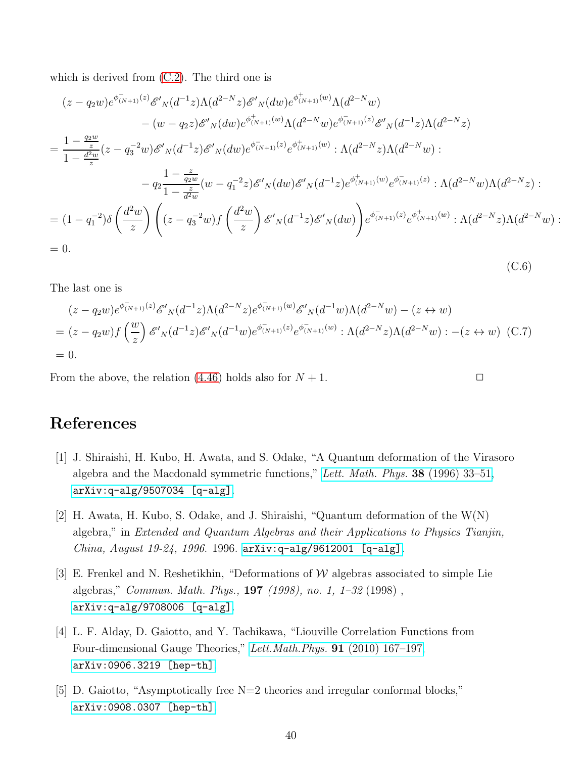which is derived from [\(C.2\)](#page-39-0). The third one is

$$
(z - q_2 w)e^{\phi_{(N+1)}^{-}(z)}\mathcal{E}'_{N}(d^{-1}z)\Lambda(d^{2-N}z)\mathcal{E}'_{N}(dw)e^{\phi_{(N+1)}^{+}(w)}\Lambda(d^{2-N}w)
$$

$$
- (w - q_2 z)\mathcal{E}'_{N}(dw)e^{\phi_{(N+1)}^{+}(w)}\Lambda(d^{2-N}w)e^{\phi_{(N+1)}^{-}(z)}\mathcal{E}'_{N}(d^{-1}z)\Lambda(d^{2-N}z)
$$

$$
= \frac{1 - \frac{q_2 w}{z}}{1 - \frac{d^2 w}{z}}(z - q_3^{-2}w)\mathcal{E}'_{N}(d^{-1}z)\mathcal{E}'_{N}(dw)e^{\phi_{(N+1)}^{-}(z)}e^{\phi_{(N+1)}^{+}(w)}: \Lambda(d^{2-N}z)\Lambda(d^{2-N}w):
$$

$$
- q_2 \frac{1 - \frac{z}{q_2 w}}{1 - \frac{z}{d^2 w}}(w - q_1^{-2}z)\mathcal{E}'_{N}(dw)\mathcal{E}'_{N}(d^{-1}z)e^{\phi_{(N+1)}^{+}(w)}e^{\phi_{(N+1)}^{-}(z)}: \Lambda(d^{2-N}w)\Lambda(d^{2-N}z):
$$

$$
= (1 - q_1^{-2})\delta\left(\frac{d^2 w}{z}\right)\left((z - q_3^{-2}w)f\left(\frac{d^2 w}{z}\right)\mathcal{E}'_{N}(d^{-1}z)\mathcal{E}'_{N}(dw)\right)e^{\phi_{(N+1)}^{-}(z)}e^{\phi_{(N+1)}^{+}(w)}: \Lambda(d^{2-N}z)\Lambda(d^{2-N}w):
$$

$$
= 0.
$$
 (C.6)

The last one is

$$
(z - q_2 w)e^{\phi_{(N+1)}(z)} \mathcal{E}'_N(d^{-1}z) \Lambda(d^{2-N}z) e^{\phi_{(N+1)}(w)} \mathcal{E}'_N(d^{-1}w) \Lambda(d^{2-N}w) - (z \leftrightarrow w)
$$
  
=  $(z - q_2 w)f\left(\frac{w}{z}\right) \mathcal{E}'_N(d^{-1}z) \mathcal{E}'_N(d^{-1}w) e^{\phi_{(N+1)}(z)} e^{\phi_{(N+1)}(w)} : \Lambda(d^{2-N}z) \Lambda(d^{2-N}w) : -(z \leftrightarrow w)$  (C.7)  
= 0.

From the above, the relation [\(4.46\)](#page-25-0) holds also for  $N + 1$ .

## <span id="page-40-0"></span>References

- [1] J. Shiraishi, H. Kubo, H. Awata, and S. Odake, "A Quantum deformation of the Virasoro algebra and the Macdonald symmetric functions," [Lett. Math. Phys.](http://dx.doi.org/10.1007/BF00398297) 38 (1996) 33–51, [arXiv:q-alg/9507034 \[q-alg\]](http://arxiv.org/abs/q-alg/9507034).
- <span id="page-40-1"></span>[2] H. Awata, H. Kubo, S. Odake, and J. Shiraishi, "Quantum deformation of the W(N) algebra," in Extended and Quantum Algebras and their Applications to Physics Tianjin, China, August 19-24, 1996. 1996. [arXiv:q-alg/9612001 \[q-alg\]](http://arxiv.org/abs/q-alg/9612001).
- <span id="page-40-2"></span>[3] E. Frenkel and N. Reshetikhin, "Deformations of  $W$  algebras associated to simple Lie algebras," Commun. Math. Phys., 197 (1998), no. 1, 1–32 (1998) , [arXiv:q-alg/9708006 \[q-alg\]](http://arxiv.org/abs/q-alg/9708006).
- <span id="page-40-3"></span>[4] L. F. Alday, D. Gaiotto, and Y. Tachikawa, "Liouville Correlation Functions from Four-dimensional Gauge Theories," [Lett.Math.Phys.](http://dx.doi.org/10.1007/s11005-010-0369-5) 91 (2010) 167–197, [arXiv:0906.3219 \[hep-th\]](http://arxiv.org/abs/0906.3219).
- <span id="page-40-4"></span>[5] D. Gaiotto, "Asymptotically free N=2 theories and irregular conformal blocks," [arXiv:0908.0307 \[hep-th\]](http://arxiv.org/abs/0908.0307).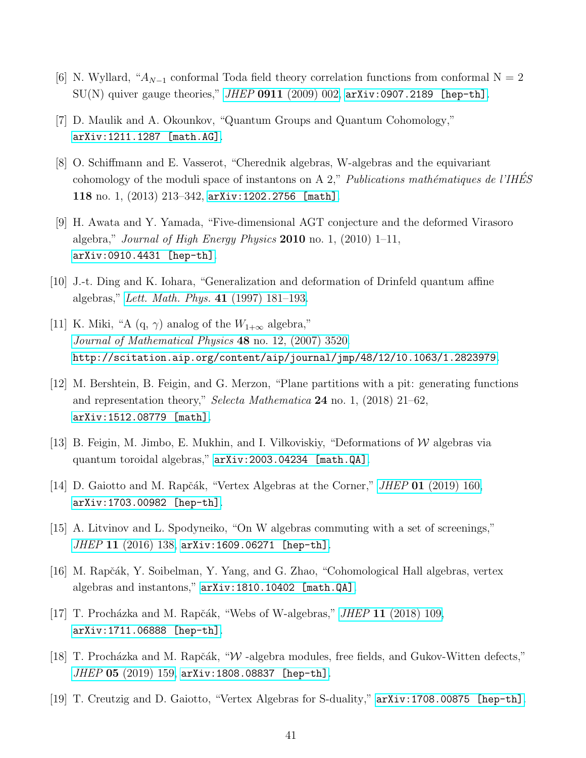- <span id="page-41-1"></span><span id="page-41-0"></span>[6] N. Wyllard, " $A_{N-1}$  conformal Toda field theory correlation functions from conformal N = 2  $SU(N)$  quiver gauge theories," JHEP 0911 [\(2009\) 002,](http://dx.doi.org/10.1088/1126-6708/2009/11/002) [arXiv:0907.2189 \[hep-th\]](http://arxiv.org/abs/0907.2189).
- <span id="page-41-2"></span>[7] D. Maulik and A. Okounkov, "Quantum Groups and Quantum Cohomology," [arXiv:1211.1287 \[math.AG\]](http://arxiv.org/abs/1211.1287).
- [8] O. Schiffmann and E. Vasserot, "Cherednik algebras, W-algebras and the equivariant cohomology of the moduli space of instantons on A 2," Publications mathématiques de l'IHES 118 no. 1, (2013) 213–342, [arXiv:1202.2756 \[math\]](http://arxiv.org/abs/1202.2756).
- <span id="page-41-3"></span>[9] H. Awata and Y. Yamada, "Five-dimensional AGT conjecture and the deformed Virasoro algebra," Journal of High Energy Physics  $2010$  no. 1,  $(2010)$  1–11, [arXiv:0910.4431 \[hep-th\]](http://arxiv.org/abs/0910.4431).
- <span id="page-41-5"></span><span id="page-41-4"></span>[10] J.-t. Ding and K. Iohara, "Generalization and deformation of Drinfeld quantum affine algebras," [Lett. Math. Phys.](http://dx.doi.org/10.1023/A:1007341410987) 41 (1997) 181–193.
- [11] K. Miki, "A  $(q, \gamma)$  analog of the  $W_{1+\infty}$  algebra," [Journal of Mathematical Physics](http://dx.doi.org/10.1063/1.2823979) 48 no. 12, (2007) 3520. <http://scitation.aip.org/content/aip/journal/jmp/48/12/10.1063/1.2823979>.
- <span id="page-41-6"></span>[12] M. Bershtein, B. Feigin, and G. Merzon, "Plane partitions with a pit: generating functions and representation theory," Selecta Mathematica 24 no. 1, (2018) 21–62, [arXiv:1512.08779 \[math\]](http://arxiv.org/abs/1512.08779).
- <span id="page-41-8"></span><span id="page-41-7"></span>[13] B. Feigin, M. Jimbo, E. Mukhin, and I. Vilkoviskiy, "Deformations of W algebras via quantum toroidal algebras," [arXiv:2003.04234 \[math.QA\]](http://arxiv.org/abs/2003.04234).
- <span id="page-41-9"></span>[14] D. Gaiotto and M. Rapčák, "Vertex Algebras at the Corner," *JHEP* 01 [\(2019\) 160,](http://dx.doi.org/10.1007/JHEP01(2019)160) [arXiv:1703.00982 \[hep-th\]](http://arxiv.org/abs/1703.00982).
- <span id="page-41-10"></span>[15] A. Litvinov and L. Spodyneiko, "On W algebras commuting with a set of screenings," JHEP 11 [\(2016\) 138,](http://dx.doi.org/10.1007/JHEP11(2016)138) [arXiv:1609.06271 \[hep-th\]](http://arxiv.org/abs/1609.06271).
- <span id="page-41-11"></span>[16] M. Rapčák, Y. Soibelman, Y. Yang, and G. Zhao, "Cohomological Hall algebras, vertex algebras and instantons," [arXiv:1810.10402 \[math.QA\]](http://arxiv.org/abs/1810.10402).
- <span id="page-41-12"></span>[17] T. Procházka and M. Rapčák, "Webs of W-algebras," *JHEP* 11 [\(2018\) 109,](http://dx.doi.org/10.1007/JHEP11(2018)109) [arXiv:1711.06888 \[hep-th\]](http://arxiv.org/abs/1711.06888).
- <span id="page-41-13"></span>[18] T. Procházka and M. Rapčák, "W -algebra modules, free fields, and Gukov-Witten defects,"  $JHEP$  05 [\(2019\) 159,](http://dx.doi.org/10.1007/JHEP05(2019)159) [arXiv:1808.08837 \[hep-th\]](http://arxiv.org/abs/1808.08837).
- [19] T. Creutzig and D. Gaiotto, "Vertex Algebras for S-duality," [arXiv:1708.00875 \[hep-th\]](http://arxiv.org/abs/1708.00875).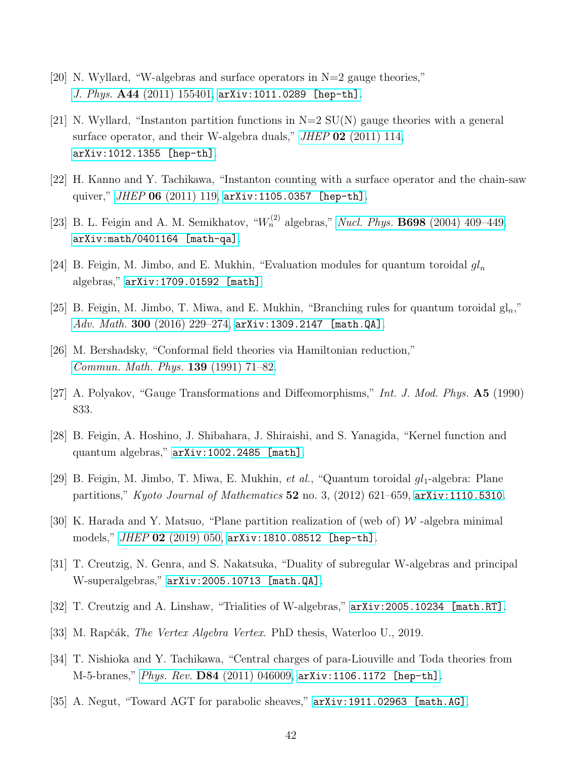- <span id="page-42-1"></span><span id="page-42-0"></span>[20] N. Wyllard, "W-algebras and surface operators in  $N=2$  gauge theories," J. Phys. A44 [\(2011\) 155401,](http://dx.doi.org/10.1088/1751-8113/44/15/155401) [arXiv:1011.0289 \[hep-th\]](http://arxiv.org/abs/1011.0289).
- [21] N. Wyllard, "Instanton partition functions in  $N=2$  SU(N) gauge theories with a general surface operator, and their W-algebra duals," *JHEP* 02 [\(2011\) 114,](http://dx.doi.org/10.1007/JHEP02(2011)114) [arXiv:1012.1355 \[hep-th\]](http://arxiv.org/abs/1012.1355).
- <span id="page-42-3"></span><span id="page-42-2"></span>[22] H. Kanno and Y. Tachikawa, "Instanton counting with a surface operator and the chain-saw quiver," JHEP 06 [\(2011\) 119,](http://dx.doi.org/10.1007/JHEP06(2011)119) [arXiv:1105.0357 \[hep-th\]](http://arxiv.org/abs/1105.0357).
- <span id="page-42-4"></span>[23] B. L. Feigin and A. M. Semikhatov, " $W_n^{(2)}$  algebras," Nucl. Phys. **B698** [\(2004\) 409–449,](http://dx.doi.org/10.1016/j.nuclphysb.2004.06.056) [arXiv:math/0401164 \[math-qa\]](http://arxiv.org/abs/math/0401164).
- <span id="page-42-5"></span>[24] B. Feigin, M. Jimbo, and E. Mukhin, "Evaluation modules for quantum toroidal  $gl_n$ algebras," [arXiv:1709.01592 \[math\]](http://arxiv.org/abs/1709.01592).
- <span id="page-42-6"></span>[25] B. Feigin, M. Jimbo, T. Miwa, and E. Mukhin, "Branching rules for quantum toroidal  $\mathrm{gl}_n$ ," Adv. Math. 300  $(2016)$  229-274, [arXiv:1309.2147 \[math.QA\]](http://arxiv.org/abs/1309.2147).
- <span id="page-42-7"></span>[26] M. Bershadsky, "Conformal field theories via Hamiltonian reduction," [Commun. Math. Phys.](http://dx.doi.org/10.1007/BF02102729) 139 (1991) 71–82.
- <span id="page-42-8"></span>[27] A. Polyakov, "Gauge Transformations and Diffeomorphisms," Int. J. Mod. Phys. A5 (1990) 833.
- <span id="page-42-9"></span>[28] B. Feigin, A. Hoshino, J. Shibahara, J. Shiraishi, and S. Yanagida, "Kernel function and quantum algebras," [arXiv:1002.2485 \[math\]](http://arxiv.org/abs/1002.2485).
- <span id="page-42-10"></span>[29] B. Feigin, M. Jimbo, T. Miwa, E. Mukhin, et al., "Quantum toroidal  $q_l$ -algebra: Plane partitions," Kyoto Journal of Mathematics 52 no. 3, (2012) 621–659, [arXiv:1110.5310](http://arxiv.org/abs/1110.5310).
- <span id="page-42-11"></span>[30] K. Harada and Y. Matsuo, "Plane partition realization of (web of)  $W$ -algebra minimal models," JHEP 02 [\(2019\) 050,](http://dx.doi.org/10.1007/JHEP02(2019)050) [arXiv:1810.08512 \[hep-th\]](http://arxiv.org/abs/1810.08512).
- <span id="page-42-12"></span>[31] T. Creutzig, N. Genra, and S. Nakatsuka, "Duality of subregular W-algebras and principal W-superalgebras," [arXiv:2005.10713 \[math.QA\]](http://arxiv.org/abs/2005.10713).
- <span id="page-42-13"></span>[32] T. Creutzig and A. Linshaw, "Trialities of W-algebras," [arXiv:2005.10234 \[math.RT\]](http://arxiv.org/abs/2005.10234).
- <span id="page-42-14"></span>[33] M. Rapčák, *The Vertex Algebra Vertex*. PhD thesis, Waterloo U., 2019.
- <span id="page-42-15"></span>[34] T. Nishioka and Y. Tachikawa, "Central charges of para-Liouville and Toda theories from M-5-branes," Phys. Rev. D84 [\(2011\) 046009,](http://dx.doi.org/10.1103/PhysRevD.84.046009) [arXiv:1106.1172 \[hep-th\]](http://arxiv.org/abs/1106.1172).
- [35] A. Negut, "Toward AGT for parabolic sheaves," [arXiv:1911.02963 \[math.AG\]](http://arxiv.org/abs/1911.02963).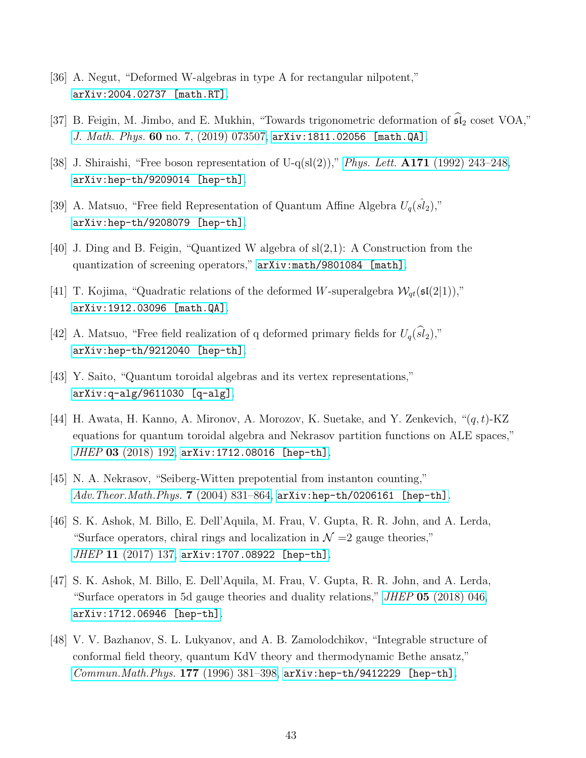- <span id="page-43-1"></span><span id="page-43-0"></span>[36] A. Negut, "Deformed W-algebras in type A for rectangular nilpotent," [arXiv:2004.02737 \[math.RT\]](http://arxiv.org/abs/2004.02737).
- <span id="page-43-2"></span>[37] B. Feigin, M. Jimbo, and E. Mukhin, "Towards trigonometric deformation of  $\widehat{\mathfrak{sl}}_2$  coset VOA," J. Math. Phys. 60 no. 7,  $(2019)$  073507, [arXiv:1811.02056 \[math.QA\]](http://arxiv.org/abs/1811.02056).
- <span id="page-43-3"></span>[38] J. Shiraishi, "Free boson representation of U-q(sl(2))," Phys. Lett.  $\text{A171}$  [\(1992\) 243–248,](http://dx.doi.org/10.1016/0375-9601(92)90635-Y) [arXiv:hep-th/9209014 \[hep-th\]](http://arxiv.org/abs/hep-th/9209014).
- <span id="page-43-4"></span>[39] A. Matsuo, "Free field Representation of Quantum Affine Algebra  $U_q(\hat{sl}_2)$ ," [arXiv:hep-th/9208079 \[hep-th\]](http://arxiv.org/abs/hep-th/9208079).
- <span id="page-43-5"></span>[40] J. Ding and B. Feigin, "Quantized W algebra of sl(2,1): A Construction from the quantization of screening operators," [arXiv:math/9801084 \[math\]](http://arxiv.org/abs/math/9801084).
- <span id="page-43-6"></span>[41] T. Kojima, "Quadratic relations of the deformed W-superalgebra  $\mathcal{W}_{qt}(\mathfrak{sl}(2|1)),$ " [arXiv:1912.03096 \[math.QA\]](http://arxiv.org/abs/1912.03096).
- <span id="page-43-7"></span>[42] A. Matsuo, "Free field realization of q deformed primary fields for  $U_q(\widehat{sl}_2)$ ," [arXiv:hep-th/9212040 \[hep-th\]](http://arxiv.org/abs/hep-th/9212040).
- <span id="page-43-8"></span>[43] Y. Saito, "Quantum toroidal algebras and its vertex representations," [arXiv:q-alg/9611030 \[q-alg\]](http://arxiv.org/abs/q-alg/9611030).
- [44] H. Awata, H. Kanno, A. Mironov, A. Morozov, K. Suetake, and Y. Zenkevich,  $\cdot (q, t)$ -KZ equations for quantum toroidal algebra and Nekrasov partition functions on ALE spaces," JHEP 03 [\(2018\) 192,](http://dx.doi.org/10.1007/JHEP03(2018)192) [arXiv:1712.08016 \[hep-th\]](http://arxiv.org/abs/1712.08016).
- <span id="page-43-10"></span><span id="page-43-9"></span>[45] N. A. Nekrasov, "Seiberg-Witten prepotential from instanton counting,"  $Adv. The or. Math. Phys.$  7 (2004) 831–864,  $arXiv: hep-th/0206161$  [hep-th].
- [46] S. K. Ashok, M. Billo, E. Dell'Aquila, M. Frau, V. Gupta, R. R. John, and A. Lerda, "Surface operators, chiral rings and localization in  $\mathcal{N}=2$  gauge theories," JHEP 11 [\(2017\) 137,](http://dx.doi.org/10.1007/JHEP11(2017)137) [arXiv:1707.08922 \[hep-th\]](http://arxiv.org/abs/1707.08922).
- <span id="page-43-11"></span>[47] S. K. Ashok, M. Billo, E. Dell'Aquila, M. Frau, V. Gupta, R. R. John, and A. Lerda, "Surface operators in 5d gauge theories and duality relations," JHEP 05 [\(2018\) 046,](http://dx.doi.org/10.1007/JHEP05(2018)046) [arXiv:1712.06946 \[hep-th\]](http://arxiv.org/abs/1712.06946).
- <span id="page-43-12"></span>[48] V. V. Bazhanov, S. L. Lukyanov, and A. B. Zamolodchikov, "Integrable structure of conformal field theory, quantum KdV theory and thermodynamic Bethe ansatz,"  $Common. Math. Phys.$  177 (1996) 381–398, [arXiv:hep-th/9412229 \[hep-th\]](http://arxiv.org/abs/hep-th/9412229).